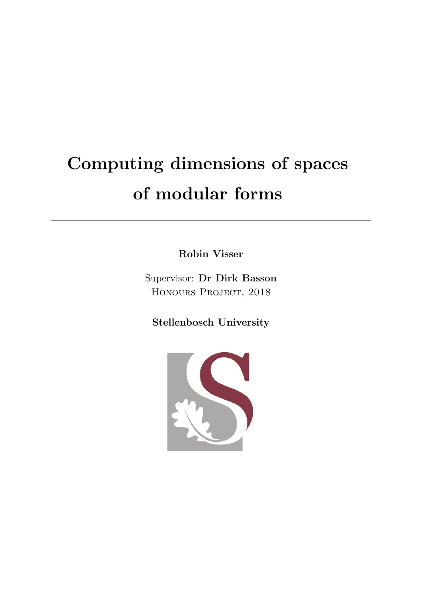# Computing dimensions of spaces of modular forms

Robin Visser

Supervisor: Dr Dirk Basson Honours Project, 2018

Stellenbosch University

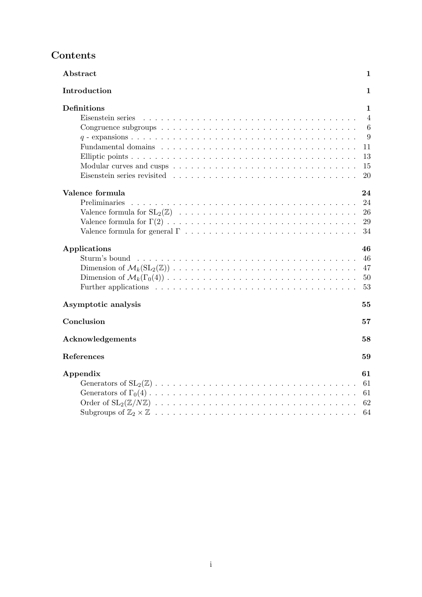# Contents

| Abstract<br>1                       |
|-------------------------------------|
| Introduction<br>1                   |
| <b>Definitions</b><br>1             |
| $\overline{4}$<br>Eisenstein series |
| 6                                   |
| 9                                   |
| 11                                  |
| 13                                  |
| 15                                  |
| 20                                  |
| Valence formula<br>24               |
| 24<br><b>Preliminaries</b>          |
| 26                                  |
| 29                                  |
| 34                                  |
| 46<br>Applications                  |
| 46                                  |
| 47                                  |
| 50                                  |
| 53                                  |
| Asymptotic analysis<br>55           |
| Conclusion<br>57                    |
| Acknowledgements<br>58              |
| References<br>59                    |
| Appendix<br>61                      |
| 61                                  |
| 61                                  |
| 62                                  |
| 64                                  |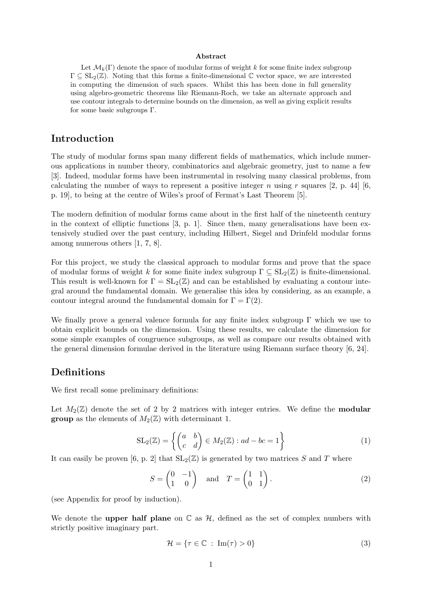#### Abstract

Let  $\mathcal{M}_k(\Gamma)$  denote the space of modular forms of weight k for some finite index subgroup  $\Gamma \subset SL_2(\mathbb{Z})$ . Noting that this forms a finite-dimensional  $\mathbb C$  vector space, we are interested in computing the dimension of such spaces. Whilst this has been done in full generality using algebro-geometric theorems like Riemann-Roch, we take an alternate approach and use contour integrals to determine bounds on the dimension, as well as giving explicit results for some basic subgroups Γ.

# Introduction

The study of modular forms span many different fields of mathematics, which include numerous applications in number theory, combinatorics and algebraic geometry, just to name a few [3]. Indeed, modular forms have been instrumental in resolving many classical problems, from calculating the number of ways to represent a positive integer n using r squares [2, p. 44] [6, p. 19], to being at the centre of Wiles's proof of Fermat's Last Theorem [5].

The modern definition of modular forms came about in the first half of the nineteenth century in the context of elliptic functions  $[3, p, 1]$ . Since then, many generalisations have been extensively studied over the past century, including Hilbert, Siegel and Drinfeld modular forms among numerous others [1, 7, 8].

For this project, we study the classical approach to modular forms and prove that the space of modular forms of weight k for some finite index subgroup  $\Gamma \subseteq SL_2(\mathbb{Z})$  is finite-dimensional. This result is well-known for  $\Gamma = SL_2(\mathbb{Z})$  and can be established by evaluating a contour integral around the fundamental domain. We generalise this idea by considering, as an example, a contour integral around the fundamental domain for  $\Gamma = \Gamma(2)$ .

We finally prove a general valence formula for any finite index subgroup  $\Gamma$  which we use to obtain explicit bounds on the dimension. Using these results, we calculate the dimension for some simple examples of congruence subgroups, as well as compare our results obtained with the general dimension formulae derived in the literature using Riemann surface theory [6, 24].

# Definitions

We first recall some preliminary definitions:

Let  $M_2(\mathbb{Z})$  denote the set of 2 by 2 matrices with integer entries. We define the **modular group** as the elements of  $M_2(\mathbb{Z})$  with determinant 1.

$$
SL_2(\mathbb{Z}) = \left\{ \begin{pmatrix} a & b \\ c & d \end{pmatrix} \in M_2(\mathbb{Z}) : ad - bc = 1 \right\}
$$
 (1)

It can easily be proven [6, p. 2] that  $SL_2(\mathbb{Z})$  is generated by two matrices S and T where

$$
S = \begin{pmatrix} 0 & -1 \\ 1 & 0 \end{pmatrix} \quad \text{and} \quad T = \begin{pmatrix} 1 & 1 \\ 0 & 1 \end{pmatrix}.
$$
 (2)

(see Appendix for proof by induction).

We denote the **upper half plane** on  $\mathbb{C}$  as  $\mathcal{H}$ , defined as the set of complex numbers with strictly positive imaginary part.

$$
\mathcal{H} = \{ \tau \in \mathbb{C} : \operatorname{Im}(\tau) > 0 \}
$$
 (3)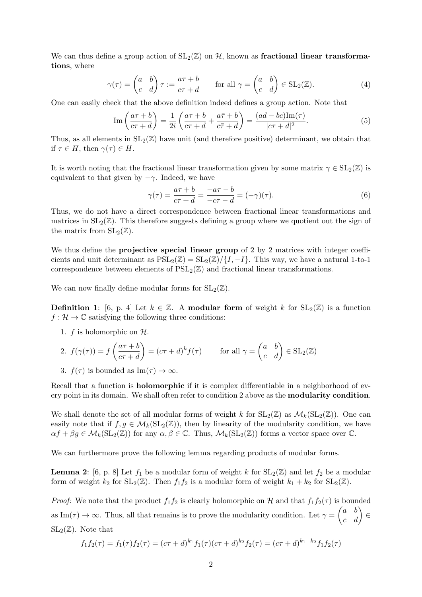We can thus define a group action of  $SL_2(\mathbb{Z})$  on H, known as fractional linear transformations, where

$$
\gamma(\tau) = \begin{pmatrix} a & b \\ c & d \end{pmatrix} \tau := \frac{a\tau + b}{c\tau + d} \quad \text{for all } \gamma = \begin{pmatrix} a & b \\ c & d \end{pmatrix} \in SL_2(\mathbb{Z}). \tag{4}
$$

One can easily check that the above definition indeed defines a group action. Note that

$$
\operatorname{Im}\left(\frac{a\tau+b}{c\tau+d}\right) = \frac{1}{2i}\left(\frac{a\tau+b}{c\tau+d} + \frac{a\bar{\tau}+b}{c\bar{\tau}+d}\right) = \frac{(ad-bc)\operatorname{Im}(\tau)}{|c\tau+d|^2}.
$$
\n(5)

Thus, as all elements in  $SL_2(\mathbb{Z})$  have unit (and therefore positive) determinant, we obtain that if  $\tau \in H$ , then  $\gamma(\tau) \in H$ .

It is worth noting that the fractional linear transformation given by some matrix  $\gamma \in SL_2(\mathbb{Z})$  is equivalent to that given by  $-\gamma$ . Indeed, we have

$$
\gamma(\tau) = \frac{a\tau + b}{c\tau + d} = \frac{-a\tau - b}{-c\tau - d} = (-\gamma)(\tau). \tag{6}
$$

Thus, we do not have a direct correspondence between fractional linear transformations and matrices in  $SL_2(\mathbb{Z})$ . This therefore suggests defining a group where we quotient out the sign of the matrix from  $SL_2(\mathbb{Z})$ .

We thus define the **projective special linear group** of 2 by 2 matrices with integer coefficients and unit determinant as  $PSL_2(\mathbb{Z}) = SL_2(\mathbb{Z})/\{I, -I\}$ . This way, we have a natural 1-to-1 correspondence between elements of  $PSL_2(\mathbb{Z})$  and fractional linear transformations.

We can now finally define modular forms for  $SL_2(\mathbb{Z})$ .

**Definition 1:** [6, p. 4] Let  $k \in \mathbb{Z}$ . A modular form of weight k for  $SL_2(\mathbb{Z})$  is a function  $f: \mathcal{H} \to \mathbb{C}$  satisfying the following three conditions:

1. f is holomorphic on  $H$ .

2. 
$$
f(\gamma(\tau)) = f\left(\frac{a\tau + b}{c\tau + d}\right) = (c\tau + d)^k f(\tau)
$$
 for all  $\gamma = \begin{pmatrix} a & b \\ c & d \end{pmatrix} \in SL_2(\mathbb{Z})$ 

3. 
$$
f(\tau)
$$
 is bounded as  $\text{Im}(\tau) \to \infty$ .

Recall that a function is **holomorphic** if it is complex differentiable in a neighborhood of every point in its domain. We shall often refer to condition 2 above as the modularity condition.

We shall denote the set of all modular forms of weight k for  $SL_2(\mathbb{Z})$  as  $\mathcal{M}_k(SL_2(\mathbb{Z}))$ . One can easily note that if  $f, g \in \mathcal{M}_k(SL_2(\mathbb{Z}))$ , then by linearity of the modularity condition, we have  $\alpha f + \beta g \in \mathcal{M}_k(\mathrm{SL}_2(\mathbb{Z}))$  for any  $\alpha, \beta \in \mathbb{C}$ . Thus,  $\mathcal{M}_k(\mathrm{SL}_2(\mathbb{Z}))$  forms a vector space over  $\mathbb{C}$ .

We can furthermore prove the following lemma regarding products of modular forms.

**Lemma 2:** [6, p. 8] Let  $f_1$  be a modular form of weight k for  $SL_2(\mathbb{Z})$  and let  $f_2$  be a modular form of weight  $k_2$  for  $SL_2(\mathbb{Z})$ . Then  $f_1f_2$  is a modular form of weight  $k_1 + k_2$  for  $SL_2(\mathbb{Z})$ .

*Proof:* We note that the product  $f_1f_2$  is clearly holomorphic on H and that  $f_1f_2(\tau)$  is bounded as Im( $\tau$ )  $\rightarrow \infty$ . Thus, all that remains is to prove the modularity condition. Let  $\gamma = \begin{pmatrix} a & b \\ c & d \end{pmatrix} \in$  $SL_2(\mathbb{Z})$ . Note that

$$
f_1 f_2(\tau) = f_1(\tau) f_2(\tau) = (c\tau + d)^{k_1} f_1(\tau) (c\tau + d)^{k_2} f_2(\tau) = (c\tau + d)^{k_1 + k_2} f_1 f_2(\tau)
$$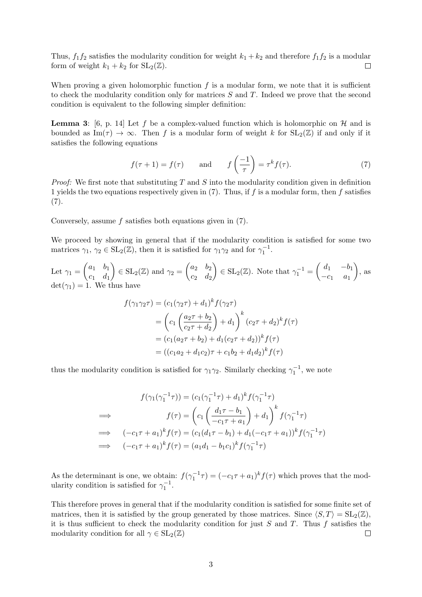Thus,  $f_1f_2$  satisfies the modularity condition for weight  $k_1 + k_2$  and therefore  $f_1f_2$  is a modular form of weight  $k_1 + k_2$  for  $SL_2(\mathbb{Z})$ .  $\Box$ 

When proving a given holomorphic function  $f$  is a modular form, we note that it is sufficient to check the modularity condition only for matrices S and T. Indeed we prove that the second condition is equivalent to the following simpler definition:

**Lemma 3:** [6, p. 14] Let f be a complex-valued function which is holomorphic on H and is bounded as  $\text{Im}(\tau) \to \infty$ . Then f is a modular form of weight k for  $SL_2(\mathbb{Z})$  if and only if it satisfies the following equations

$$
f(\tau + 1) = f(\tau)
$$
 and  $f\left(\frac{-1}{\tau}\right) = \tau^k f(\tau).$  (7)

*Proof:* We first note that substituting  $T$  and  $S$  into the modularity condition given in definition 1 yields the two equations respectively given in  $(7)$ . Thus, if f is a modular form, then f satisfies  $(7).$ 

Conversely, assume  $f$  satisfies both equations given in  $(7)$ .

We proceed by showing in general that if the modularity condition is satisfied for some two matrices  $\gamma_1, \gamma_2 \in SL_2(\mathbb{Z})$ , then it is satisfied for  $\gamma_1 \gamma_2$  and for  $\gamma_1^{-1}$ .

Let  $\gamma_1 = \begin{pmatrix} a_1 & b_1 \\ a_1 & d \end{pmatrix}$  $c_1$   $d_1$  $\Big) \in SL_2(\mathbb{Z})$  and  $\gamma_2 = \begin{pmatrix} a_2 & b_2 \\ a & d \end{pmatrix}$  $c_2$   $d_2$  $\left( \begin{array}{cc} \text{SL}_2(\mathbb{Z}) & \text{Note that } \gamma_1^{-1} = \begin{pmatrix} d_1 & -b_1 \\ -c_1 & a_1 \end{pmatrix} \end{array} \right)$  $-c_1$   $a_1$  $\bigg)$ , as  $\det(\gamma_1) = 1$ . We thus have

$$
f(\gamma_1 \gamma_2 \tau) = (c_1(\gamma_2 \tau) + d_1)^k f(\gamma_2 \tau)
$$
  
=  $\left(c_1 \left(\frac{a_2 \tau + b_2}{c_2 \tau + d_2}\right) + d_1\right)^k (c_2 \tau + d_2)^k f(\tau)$   
=  $(c_1(a_2 \tau + b_2) + d_1(c_2 \tau + d_2))^k f(\tau)$   
=  $((c_1 a_2 + d_1 c_2) \tau + c_1 b_2 + d_1 d_2)^k f(\tau)$ 

thus the modularity condition is satisfied for  $\gamma_1 \gamma_2$ . Similarly checking  $\gamma_1^{-1}$ , we note

$$
f(\gamma_1(\gamma_1^{-1}\tau)) = (c_1(\gamma_1^{-1}\tau) + d_1)^k f(\gamma_1^{-1}\tau)
$$
  
\n
$$
\implies f(\tau) = \left(c_1 \left(\frac{d_1\tau - b_1}{-c_1\tau + a_1}\right) + d_1\right)^k f(\gamma_1^{-1}\tau)
$$
  
\n
$$
\implies (-c_1\tau + a_1)^k f(\tau) = (c_1(d_1\tau - b_1) + d_1(-c_1\tau + a_1))^k f(\gamma_1^{-1}\tau)
$$
  
\n
$$
\implies (-c_1\tau + a_1)^k f(\tau) = (a_1d_1 - b_1c_1)^k f(\gamma_1^{-1}\tau)
$$

As the determinant is one, we obtain:  $f(\gamma_1^{-1}\tau) = (-c_1\tau + a_1)^k f(\tau)$  which proves that the modularity condition is satisfied for  $\gamma_1^{-1}$ .

This therefore proves in general that if the modularity condition is satisfied for some finite set of matrices, then it is satisfied by the group generated by those matrices. Since  $\langle S, T \rangle = \text{SL}_2(\mathbb{Z}),$ it is thus sufficient to check the modularity condition for just  $S$  and  $T$ . Thus f satisfies the modularity condition for all  $\gamma \in SL_2(\mathbb{Z})$  $\Box$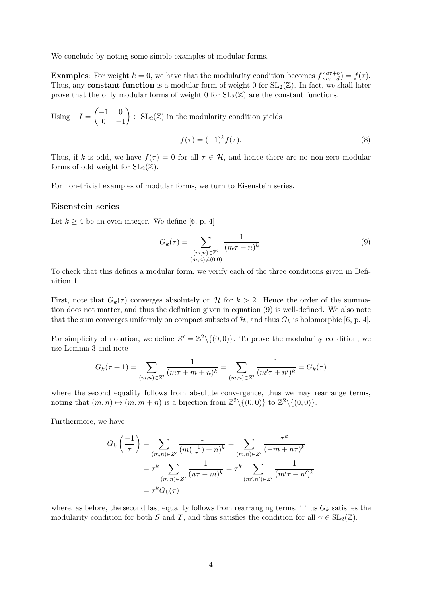We conclude by noting some simple examples of modular forms.

**Examples:** For weight  $k = 0$ , we have that the modularity condition becomes  $f\left(\frac{a\tau+b}{c\tau+d}\right)$  $\frac{a\tau+b}{c\tau+d}$ ) =  $f(\tau)$ . Thus, any **constant function** is a modular form of weight 0 for  $SL_2(\mathbb{Z})$ . In fact, we shall later prove that the only modular forms of weight 0 for  $SL_2(\mathbb{Z})$  are the constant functions.

Using  $-I = \begin{pmatrix} -1 & 0 \\ 0 & 0 \end{pmatrix}$  $0 -1$  $\Big) \in SL_2(\mathbb{Z})$  in the modularity condition yields  $f(\tau) = (-1)^k f(\tau).$  (8)

Thus, if k is odd, we have  $f(\tau) = 0$  for all  $\tau \in \mathcal{H}$ , and hence there are no non-zero modular forms of odd weight for  $SL_2(\mathbb{Z})$ .

For non-trivial examples of modular forms, we turn to Eisenstein series.

#### Eisenstein series

Let  $k \geq 4$  be an even integer. We define [6, p. 4]

$$
G_k(\tau) = \sum_{\substack{(m,n)\in\mathbb{Z}^2\\(m,n)\neq(0,0)}} \frac{1}{(m\tau+n)^k}.
$$
\n(9)

To check that this defines a modular form, we verify each of the three conditions given in Definition 1.

First, note that  $G_k(\tau)$  converges absolutely on H for  $k > 2$ . Hence the order of the summation does not matter, and thus the definition given in equation (9) is well-defined. We also note that the sum converges uniformly on compact subsets of  $\mathcal{H}$ , and thus  $G_k$  is holomorphic [6, p. 4].

For simplicity of notation, we define  $Z' = \mathbb{Z}^2 \setminus \{(0,0)\}\.$  To prove the modularity condition, we use Lemma 3 and note

$$
G_k(\tau + 1) = \sum_{(m,n)\in Z'} \frac{1}{(m\tau + m + n)^k} = \sum_{(m,n)\in Z'} \frac{1}{(m'\tau + n')^k} = G_k(\tau)
$$

where the second equality follows from absolute convergence, thus we may rearrange terms, noting that  $(m, n) \mapsto (m, m + n)$  is a bijection from  $\mathbb{Z}^2 \setminus \{(0, 0)\}$  to  $\mathbb{Z}^2 \setminus \{(0, 0)\}.$ 

Furthermore, we have

$$
G_k\left(\frac{-1}{\tau}\right) = \sum_{(m,n)\in Z'} \frac{1}{(m(\frac{-1}{\tau})+n)^k} = \sum_{(m,n)\in Z'} \frac{\tau^k}{(-m+n\tau)^k}
$$

$$
= \tau^k \sum_{(m,n)\in Z'} \frac{1}{(n\tau-m)^k} = \tau^k \sum_{(m',n')\in Z'} \frac{1}{(m'\tau+n')^k}
$$

$$
= \tau^k G_k(\tau)
$$

where, as before, the second last equality follows from rearranging terms. Thus  $G_k$  satisfies the modularity condition for both S and T, and thus satisfies the condition for all  $\gamma \in SL_2(\mathbb{Z})$ .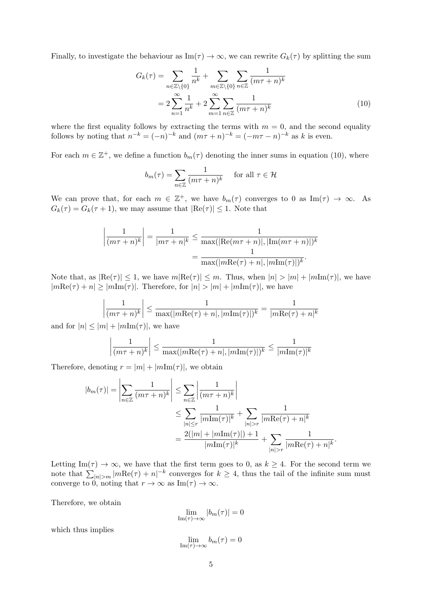Finally, to investigate the behaviour as  $\text{Im}(\tau) \to \infty$ , we can rewrite  $G_k(\tau)$  by splitting the sum

$$
G_k(\tau) = \sum_{n \in \mathbb{Z} \setminus \{0\}} \frac{1}{n^k} + \sum_{m \in \mathbb{Z} \setminus \{0\}} \sum_{n \in \mathbb{Z}} \frac{1}{(m\tau + n)^k}
$$
  
= 
$$
2 \sum_{n=1}^{\infty} \frac{1}{n^k} + 2 \sum_{m=1}^{\infty} \sum_{n \in \mathbb{Z}} \frac{1}{(m\tau + n)^k}
$$
(10)

where the first equality follows by extracting the terms with  $m = 0$ , and the second equality follows by noting that  $n^{-k} = (-n)^{-k}$  and  $(m\tau + n)^{-k} = (-m\tau - n)^{-k}$  as k is even.

For each  $m \in \mathbb{Z}^+$ , we define a function  $b_m(\tau)$  denoting the inner sums in equation (10), where

$$
b_m(\tau) = \sum_{n \in \mathbb{Z}} \frac{1}{(m\tau + n)^k} \quad \text{for all } \tau \in \mathcal{H}
$$

We can prove that, for each  $m \in \mathbb{Z}^+$ , we have  $b_m(\tau)$  converges to 0 as Im( $\tau$ )  $\rightarrow \infty$ . As  $G_k(\tau) = G_k(\tau + 1)$ , we may assume that  $|\text{Re}(\tau)| \leq 1$ . Note that

$$
\left|\frac{1}{(m\tau+n)^k}\right| = \frac{1}{|m\tau+n|^k} \le \frac{1}{\max(|\text{Re}(m\tau+n)|, |\text{Im}(m\tau+n)|)^k}
$$

$$
= \frac{1}{\max(|m\text{Re}(\tau)+n|, |m\text{Im}(\tau)|)^k}.
$$

Note that, as  $|Re(\tau)| \leq 1$ , we have  $m|Re(\tau)| \leq m$ . Thus, when  $|n| > |m| + |mIm(\tau)|$ , we have  $|m\text{Re}(\tau) + n| \ge |m\text{Im}(\tau)|$ . Therefore, for  $|n| > |m| + |m\text{Im}(\tau)|$ , we have

$$
\left| \frac{1}{(m\tau + n)^k} \right| \le \frac{1}{\max(|m\text{Re}(\tau) + n|, |m\text{Im}(\tau)|)^k} = \frac{1}{|m\text{Re}(\tau) + n|^k}
$$

and for  $|n| \leq |m| + |m\text{Im}(\tau)|$ , we have

$$
\left|\frac{1}{(m\tau+n)^k}\right| \le \frac{1}{\max(|m\text{Re}(\tau)+n|,|m\text{Im}(\tau)|)^k} \le \frac{1}{|m\text{Im}(\tau)|^k}
$$

Therefore, denoting  $r = |m| + |m\text{Im}(\tau)|$ , we obtain

$$
|b_m(\tau)| = \left| \sum_{n \in \mathbb{Z}} \frac{1}{(m\tau + n)^k} \right| \le \sum_{n \in \mathbb{Z}} \left| \frac{1}{(m\tau + n)^k} \right|
$$
  

$$
\le \sum_{|n| \le r} \frac{1}{|m \text{Im}(\tau)|^k} + \sum_{|n| > r} \frac{1}{|m \text{Re}(\tau) + n|^k}
$$
  

$$
= \frac{2(|m| + |m \text{Im}(\tau)|) + 1}{|m \text{Im}(\tau)|^k} + \sum_{|n| > r} \frac{1}{|m \text{Re}(\tau) + n|^k}.
$$

Letting Im( $\tau$ )  $\rightarrow \infty$ , we have that the first term goes to 0, as  $k \geq 4$ . For the second term we note that  $\sum_{|n|>m} |m\text{Re}(\tau)+n|^{-k}$  converges for  $k \geq 4$ , thus the tail of the infinite sum must converge to 0, noting that  $r \to \infty$  as Im( $\tau$ )  $\to \infty$ .

Therefore, we obtain

$$
\lim_{\mathrm{Im}(\tau)\to\infty}|b_m(\tau)|=0
$$

which thus implies

$$
\lim_{\mathrm{Im}(\tau)\to\infty}b_m(\tau)=0
$$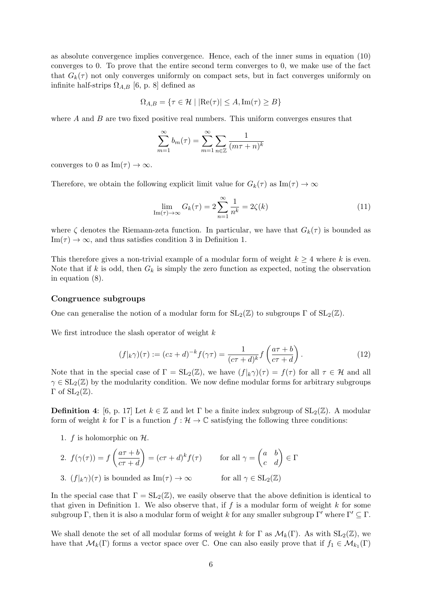as absolute convergence implies convergence. Hence, each of the inner sums in equation (10) converges to 0. To prove that the entire second term converges to 0, we make use of the fact that  $G_k(\tau)$  not only converges uniformly on compact sets, but in fact converges uniformly on infinite half-strips  $\Omega_{A,B}$  [6, p. 8] defined as

$$
\Omega_{A,B} = \{ \tau \in \mathcal{H} \mid |\text{Re}(\tau)| \le A, \text{Im}(\tau) \ge B \}
$$

where  $A$  and  $B$  are two fixed positive real numbers. This uniform converges ensures that

$$
\sum_{m=1}^{\infty} b_m(\tau) = \sum_{m=1}^{\infty} \sum_{n \in \mathbb{Z}} \frac{1}{(m\tau + n)^k}
$$

converges to 0 as Im( $\tau$ )  $\rightarrow \infty$ .

Therefore, we obtain the following explicit limit value for  $G_k(\tau)$  as  $\text{Im}(\tau) \to \infty$ 

$$
\lim_{\mathrm{Im}(\tau)\to\infty} G_k(\tau) = 2\sum_{n=1}^{\infty} \frac{1}{n^k} = 2\zeta(k)
$$
\n(11)

where  $\zeta$  denotes the Riemann-zeta function. In particular, we have that  $G_k(\tau)$  is bounded as  $\text{Im}(\tau) \to \infty$ , and thus satisfies condition 3 in Definition 1.

This therefore gives a non-trivial example of a modular form of weight  $k \geq 4$  where k is even. Note that if k is odd, then  $G_k$  is simply the zero function as expected, noting the observation in equation (8).

## Congruence subgroups

One can generalise the notion of a modular form for  $SL_2(\mathbb{Z})$  to subgroups  $\Gamma$  of  $SL_2(\mathbb{Z})$ .

We first introduce the slash operator of weight  $k$ 

$$
(f|_{k}\gamma)(\tau) := (cz+d)^{-k}f(\gamma\tau) = \frac{1}{(c\tau+d)^{k}}f\left(\frac{a\tau+b}{c\tau+d}\right).
$$
 (12)

Note that in the special case of  $\Gamma = SL_2(\mathbb{Z})$ , we have  $(f|_k \gamma)(\tau) = f(\tau)$  for all  $\tau \in \mathcal{H}$  and all  $\gamma \in SL_2(\mathbb{Z})$  by the modularity condition. We now define modular forms for arbitrary subgroups  $Γ$  of  $SL_2(\mathbb{Z})$ .

**Definition 4:** [6, p. 17] Let  $k \in \mathbb{Z}$  and let  $\Gamma$  be a finite index subgroup of  $SL_2(\mathbb{Z})$ . A modular form of weight k for  $\Gamma$  is a function  $f : \mathcal{H} \to \mathbb{C}$  satisfying the following three conditions:

1.  $f$  is holomorphic on  $H$ .

2. 
$$
f(\gamma(\tau)) = f\left(\frac{a\tau + b}{c\tau + d}\right) = (c\tau + d)^k f(\tau)
$$
 for all  $\gamma = \begin{pmatrix} a & b \\ c & d \end{pmatrix} \in \Gamma$   
3.  $(f|_{k}\gamma)(\tau)$  is bounded as  $\text{Im}(\tau) \to \infty$  for all  $\gamma \in \text{SL}_2(\mathbb{Z})$ 

In the special case that  $\Gamma = SL_2(\mathbb{Z})$ , we easily observe that the above definition is identical to that given in Definition 1. We also observe that, if  $f$  is a modular form of weight  $k$  for some subgroup Γ, then it is also a modular form of weight k for any smaller subgroup Γ' where  $\Gamma' \subseteq \Gamma$ .

We shall denote the set of all modular forms of weight k for  $\Gamma$  as  $\mathcal{M}_k(\Gamma)$ . As with  $SL_2(\mathbb{Z})$ , we have that  $\mathcal{M}_k(\Gamma)$  forms a vector space over  $\mathbb{C}$ . One can also easily prove that if  $f_1 \in \mathcal{M}_{k_1}(\Gamma)$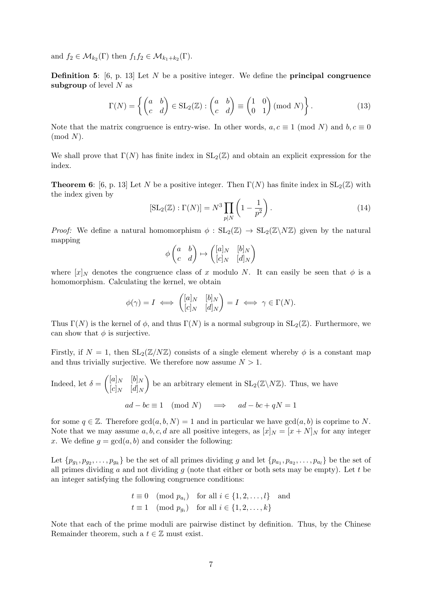and  $f_2 \in \mathcal{M}_{k_2}(\Gamma)$  then  $f_1 f_2 \in \mathcal{M}_{k_1+k_2}(\Gamma)$ .

**Definition 5:** [6, p. 13] Let N be a positive integer. We define the **principal congruence** subgroup of level  $N$  as

$$
\Gamma(N) = \left\{ \begin{pmatrix} a & b \\ c & d \end{pmatrix} \in SL_2(\mathbb{Z}) : \begin{pmatrix} a & b \\ c & d \end{pmatrix} \equiv \begin{pmatrix} 1 & 0 \\ 0 & 1 \end{pmatrix} (\text{mod } N) \right\}.
$$
 (13)

Note that the matrix congruence is entry-wise. In other words,  $a, c \equiv 1 \pmod{N}$  and  $b, c \equiv 0$  $(mod N).$ 

We shall prove that  $\Gamma(N)$  has finite index in  $SL_2(\mathbb{Z})$  and obtain an explicit expression for the index.

**Theorem 6**: [6, p. 13] Let N be a positive integer. Then  $\Gamma(N)$  has finite index in  $SL_2(\mathbb{Z})$  with the index given by

$$
[\text{SL}_2(\mathbb{Z}):\Gamma(N)] = N^3 \prod_{p|N} \left(1 - \frac{1}{p^2}\right). \tag{14}
$$

*Proof:* We define a natural homomorphism  $\phi : SL_2(\mathbb{Z}) \to SL_2(\mathbb{Z}\setminus N\mathbb{Z})$  given by the natural mapping

$$
\phi \begin{pmatrix} a & b \\ c & d \end{pmatrix} \mapsto \begin{pmatrix} [a]_N & [b]_N \\ [c]_N & [d]_N \end{pmatrix}
$$

where  $[x]_N$  denotes the congruence class of x modulo N. It can easily be seen that  $\phi$  is a homomorphism. Calculating the kernel, we obtain

$$
\phi(\gamma) = I \iff \begin{pmatrix} [a]_N & [b]_N \\ [c]_N & [d]_N \end{pmatrix} = I \iff \gamma \in \Gamma(N).
$$

Thus Γ(N) is the kernel of  $\phi$ , and thus Γ(N) is a normal subgroup in SL<sub>2</sub>(Z). Furthermore, we can show that  $\phi$  is surjective.

Firstly, if  $N = 1$ , then  $SL_2(\mathbb{Z}/N\mathbb{Z})$  consists of a single element whereby  $\phi$  is a constant map and thus trivially surjective. We therefore now assume  $N > 1$ .

Indeed, let  $\delta = \begin{pmatrix} [a]_N & [b]_N \\ [a]_N & [b]_N \end{pmatrix}$  $[c]_N$   $[d]_N$ ) be an arbitrary element in  $SL_2(\mathbb{Z}\backslash N\mathbb{Z})$ . Thus, we have  $ad - bc \equiv 1 \pmod{N} \implies ad - bc + qN = 1$ 

for some  $q \in \mathbb{Z}$ . Therefore  $gcd(a, b, N) = 1$  and in particular we have  $gcd(a, b)$  is coprime to N. Note that we may assume a, b, c, d are all positive integers, as  $[x]_N = [x + N]_N$  for any integer x. We define  $q = \gcd(a, b)$  and consider the following:

Let  $\{p_{g_1}, p_{g_2}, \ldots, p_{g_k}\}\$  be the set of all primes dividing g and let  $\{p_{a_1}, p_{a_2}, \ldots, p_{a_l}\}\$  be the set of all primes dividing a and not dividing q (note that either or both sets may be empty). Let t be an integer satisfying the following congruence conditions:

$$
t \equiv 0 \pmod{p_{a_i}} \quad \text{for all } i \in \{1, 2, \dots, l\} \quad \text{and}
$$

$$
t \equiv 1 \pmod{p_{g_i}} \quad \text{for all } i \in \{1, 2, \dots, k\}
$$

Note that each of the prime moduli are pairwise distinct by definition. Thus, by the Chinese Remainder theorem, such a  $t \in \mathbb{Z}$  must exist.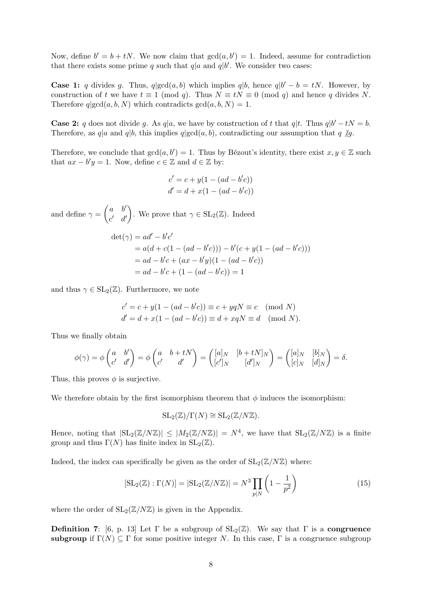Now, define  $b' = b + tN$ . We now claim that  $gcd(a, b') = 1$ . Indeed, assume for contradiction that there exists some prime q such that  $q|a$  and  $q|b'$ . We consider two cases:

**Case 1:** q divides g. Thus,  $q | gcd(a, b)$  which implies  $q | b$ , hence  $q | b' - b = tN$ . However, by construction of t we have  $t \equiv 1 \pmod{q}$ . Thus  $N \equiv tN \equiv 0 \pmod{q}$  and hence q divides N. Therefore  $q | gcd(a, b, N)$  which contradicts  $gcd(a, b, N) = 1$ .

**Case 2:** q does not divide g. As  $q|a$ , we have by construction of t that  $q|t$ . Thus  $q|b'-tN = b$ . Therefore, as q|a and q|b, this implies  $q$ |gcd $(a, b)$ , contradicting our assumption that q  $\not g$ .

Therefore, we conclude that  $gcd(a, b') = 1$ . Thus by Bézout's identity, there exist  $x, y \in \mathbb{Z}$  such that  $ax - b'y = 1$ . Now, define  $c \in \mathbb{Z}$  and  $d \in \mathbb{Z}$  by:

$$
c' = c + y(1 - (ad - b'c))
$$
  

$$
d' = d + x(1 - (ad - b'c))
$$

and define  $\gamma = \begin{pmatrix} a & b' \\ b' & b' \end{pmatrix}$  $c'$  d' ). We prove that  $\gamma \in SL_2(\mathbb{Z})$ . Indeed

$$
det(\gamma) = ad' - b'c'
$$
  
=  $a(d + c(1 - (ad - b'c))) - b'(c + y(1 - (ad - b'c)))$   
=  $ad - b'c + (ax - b'y)(1 - (ad - b'c))$   
=  $ad - b'c + (1 - (ad - b'c)) = 1$ 

and thus  $\gamma \in SL_2(\mathbb{Z})$ . Furthermore, we note

$$
c' = c + y(1 - (ad - b'c)) \equiv c + yqN \equiv c \pmod{N}
$$
  
\n
$$
d' = d + x(1 - (ad - b'c)) \equiv d + xqN \equiv d \pmod{N}.
$$

Thus we finally obtain

$$
\phi(\gamma) = \phi \begin{pmatrix} a & b' \\ c' & d' \end{pmatrix} = \phi \begin{pmatrix} a & b+tN \\ c' & d' \end{pmatrix} = \begin{pmatrix} [a]_N & [b+tN]_N \\ [c']_N & [d']_N \end{pmatrix} = \begin{pmatrix} [a]_N & [b]_N \\ [c]_N & [d]_N \end{pmatrix} = \delta.
$$

Thus, this proves  $\phi$  is surjective.

We therefore obtain by the first isomorphism theorem that  $\phi$  induces the isomorphism:

$$
SL_2(\mathbb{Z})/\Gamma(N) \cong SL_2(\mathbb{Z}/N\mathbb{Z}).
$$

Hence, noting that  $|\text{SL}_2(\mathbb{Z}/N\mathbb{Z})| \leq |M_2(\mathbb{Z}/N\mathbb{Z})| = N^4$ , we have that  $\text{SL}_2(\mathbb{Z}/N\mathbb{Z})$  is a finite group and thus  $\Gamma(N)$  has finite index in  $SL_2(\mathbb{Z})$ .

Indeed, the index can specifically be given as the order of  $SL_2(\mathbb{Z}/N\mathbb{Z})$  where:

$$
[\text{SL}_2(\mathbb{Z}):\Gamma(N)] = |\text{SL}_2(\mathbb{Z}/N\mathbb{Z})| = N^3 \prod_{p|N} \left(1 - \frac{1}{p^2}\right)
$$
 (15)

where the order of  $SL_2(\mathbb{Z}/N\mathbb{Z})$  is given in the Appendix.

**Definition 7:** [6, p. 13] Let  $\Gamma$  be a subgroup of  $SL_2(\mathbb{Z})$ . We say that  $\Gamma$  is a **congruence** subgroup if  $\Gamma(N) \subseteq \Gamma$  for some positive integer N. In this case,  $\Gamma$  is a congruence subgroup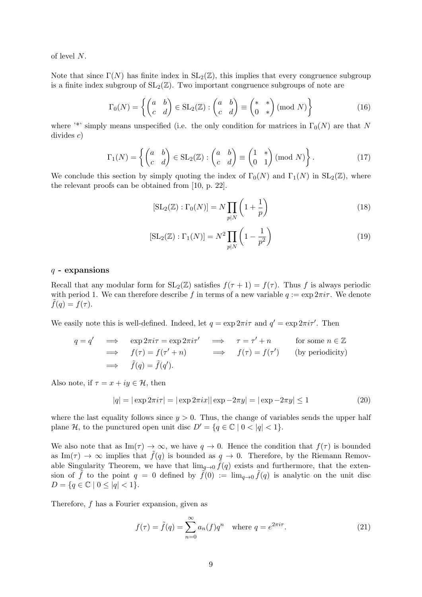of level N.

Note that since  $\Gamma(N)$  has finite index in  $SL_2(\mathbb{Z})$ , this implies that every congruence subgroup is a finite index subgroup of  $SL_2(\mathbb{Z})$ . Two important congruence subgroups of note are

$$
\Gamma_0(N) = \left\{ \begin{pmatrix} a & b \\ c & d \end{pmatrix} \in SL_2(\mathbb{Z}) : \begin{pmatrix} a & b \\ c & d \end{pmatrix} \equiv \begin{pmatrix} * & * \\ 0 & * \end{pmatrix} (\text{mod } N) \right\}
$$
(16)

where '\*' simply means unspecified (i.e. the only condition for matrices in  $\Gamma_0(N)$  are that N divides c)

$$
\Gamma_1(N) = \left\{ \begin{pmatrix} a & b \\ c & d \end{pmatrix} \in SL_2(\mathbb{Z}) : \begin{pmatrix} a & b \\ c & d \end{pmatrix} \equiv \begin{pmatrix} 1 & * \\ 0 & 1 \end{pmatrix} \pmod{N} \right\}.
$$
 (17)

We conclude this section by simply quoting the index of  $\Gamma_0(N)$  and  $\Gamma_1(N)$  in  $SL_2(\mathbb{Z})$ , where the relevant proofs can be obtained from [10, p. 22].

$$
[\text{SL}_2(\mathbb{Z}):\Gamma_0(N)] = N \prod_{p|N} \left(1 + \frac{1}{p}\right)
$$
 (18)

$$
[\text{SL}_2(\mathbb{Z}) : \Gamma_1(N)] = N^2 \prod_{p|N} \left(1 - \frac{1}{p^2}\right)
$$
 (19)

## $q$  - expansions

Recall that any modular form for  $SL_2(\mathbb{Z})$  satisfies  $f(\tau + 1) = f(\tau)$ . Thus f is always periodic with period 1. We can therefore describe f in terms of a new variable  $q := \exp 2\pi i \tau$ . We denote  $\tilde{f}(q) = f(\tau).$ 

We easily note this is well-defined. Indeed, let  $q = \exp 2\pi i \tau$  and  $q' = \exp 2\pi i \tau'$ . Then

$$
q = q' \implies \exp 2\pi i \tau = \exp 2\pi i \tau' \implies \tau = \tau' + n \quad \text{for some } n \in \mathbb{Z}
$$
  
\n
$$
\implies f(\tau) = f(\tau' + n) \implies f(\tau) = f(\tau') \quad \text{(by periodicity)}
$$
  
\n
$$
\implies \tilde{f}(q) = \tilde{f}(q').
$$

Also note, if  $\tau = x + iy \in \mathcal{H}$ , then

$$
|q| = |\exp 2\pi i \tau| = |\exp 2\pi i x| |\exp - 2\pi y| = |\exp - 2\pi y| \le 1
$$
\n(20)

where the last equality follows since  $y > 0$ . Thus, the change of variables sends the upper half plane H, to the punctured open unit disc  $D' = \{q \in \mathbb{C} \mid 0 < |q| < 1\}.$ 

We also note that as Im( $\tau$ )  $\rightarrow \infty$ , we have  $q \rightarrow 0$ . Hence the condition that  $f(\tau)$  is bounded as Im( $\tau$ )  $\rightarrow \infty$  implies that  $\tilde{f}(q)$  is bounded as  $q \rightarrow 0$ . Therefore, by the Riemann Removable Singularity Theorem, we have that  $\lim_{q\to 0} \tilde{f}(q)$  exists and furthermore, that the extension of  $\tilde{f}$  to the point  $q = 0$  defined by  $\tilde{f}(0) := \lim_{q\to 0} \tilde{f}(q)$  is analytic on the unit disc  $D = \{q \in \mathbb{C} \mid 0 \leq |q| < 1\}.$ 

Therefore, f has a Fourier expansion, given as

$$
f(\tau) = \tilde{f}(q) = \sum_{n=0}^{\infty} a_n(f) q^n \quad \text{where } q = e^{2\pi i \tau}.
$$
 (21)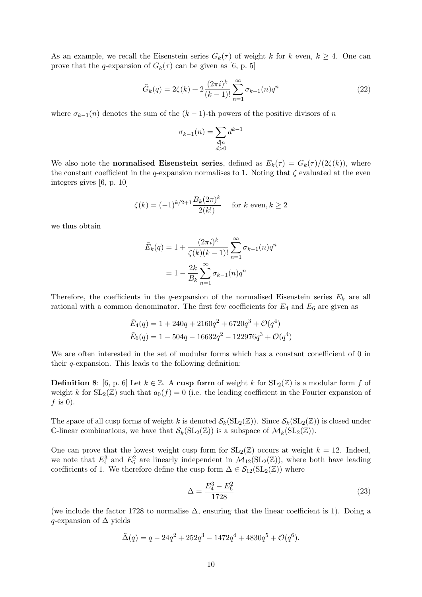As an example, we recall the Eisenstein series  $G_k(\tau)$  of weight k for k even,  $k \geq 4$ . One can prove that the q-expansion of  $G_k(\tau)$  can be given as [6, p. 5]

$$
\tilde{G}_k(q) = 2\zeta(k) + 2\frac{(2\pi i)^k}{(k-1)!} \sum_{n=1}^{\infty} \sigma_{k-1}(n) q^n
$$
\n(22)

where  $\sigma_{k-1}(n)$  denotes the sum of the  $(k-1)$ -th powers of the positive divisors of n

$$
\sigma_{k-1}(n) = \sum_{\substack{d|n\\d>0}} d^{k-1}
$$

We also note the **normalised Eisenstein series**, defined as  $E_k(\tau) = G_k(\tau)/(2\zeta(k))$ , where the constant coefficient in the q-expansion normalises to 1. Noting that  $\zeta$  evaluated at the even integers gives [6, p. 10]

$$
\zeta(k) = (-1)^{k/2+1} \frac{B_k(2\pi)^k}{2(k!)} \quad \text{for } k \text{ even, } k \ge 2
$$

we thus obtain

$$
\tilde{E}_k(q) = 1 + \frac{(2\pi i)^k}{\zeta(k)(k-1)!} \sum_{n=1}^{\infty} \sigma_{k-1}(n) q^n
$$

$$
= 1 - \frac{2k}{B_k} \sum_{n=1}^{\infty} \sigma_{k-1}(n) q^n
$$

Therefore, the coefficients in the q-expansion of the normalised Eisenstein series  $E_k$  are all rational with a common denominator. The first few coefficients for  $E_4$  and  $E_6$  are given as

$$
\tilde{E}_4(q) = 1 + 240q + 2160q^2 + 6720q^3 + \mathcal{O}(q^4)
$$
  

$$
\tilde{E}_6(q) = 1 - 504q - 16632q^2 - 122976q^3 + \mathcal{O}(q^4)
$$

We are often interested in the set of modular forms which has a constant conefficient of 0 in their  $q$ -expansion. This leads to the following definition:

**Definition 8:** [6, p. 6] Let  $k \in \mathbb{Z}$ . A cusp form of weight k for  $SL_2(\mathbb{Z})$  is a modular form f of weight k for  $SL_2(\mathbb{Z})$  such that  $a_0(f) = 0$  (i.e. the leading coefficient in the Fourier expansion of  $f$  is 0).

The space of all cusp forms of weight k is denoted  $\mathcal{S}_k(\operatorname{SL}_2(\mathbb{Z}))$ . Since  $\mathcal{S}_k(\operatorname{SL}_2(\mathbb{Z}))$  is closed under C-linear combinations, we have that  $\mathcal{S}_k(\mathrm{SL}_2(\mathbb{Z}))$  is a subspace of  $\mathcal{M}_k(\mathrm{SL}_2(\mathbb{Z}))$ .

One can prove that the lowest weight cusp form for  $SL_2(\mathbb{Z})$  occurs at weight  $k = 12$ . Indeed, we note that  $E_4^3$  and  $E_6^2$  are linearly independent in  $\mathcal{M}_{12}(\mathrm{SL}_2(\mathbb{Z}))$ , where both have leading coefficients of 1. We therefore define the cusp form  $\Delta \in \mathcal{S}_{12}(\mathrm{SL}_2(\mathbb{Z}))$  where

$$
\Delta = \frac{E_4^3 - E_6^2}{1728} \tag{23}
$$

(we include the factor 1728 to normalise  $\Delta$ , ensuring that the linear coefficient is 1). Doing a q-expansion of  $\Delta$  yields

$$
\tilde{\Delta}(q) = q - 24q^2 + 252q^3 - 1472q^4 + 4830q^5 + \mathcal{O}(q^6).
$$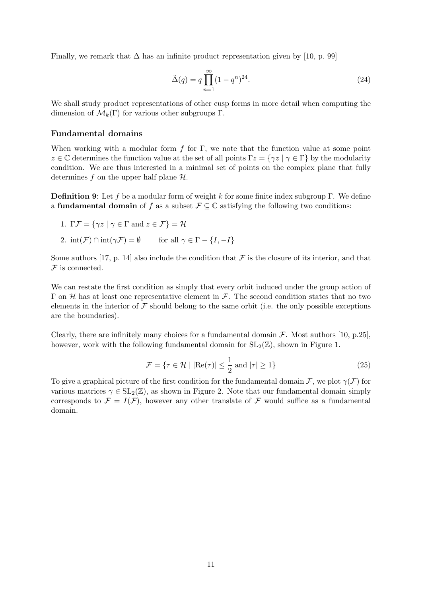Finally, we remark that  $\Delta$  has an infinite product representation given by [10, p. 99]

$$
\tilde{\Delta}(q) = q \prod_{n=1}^{\infty} (1 - q^n)^{24}.
$$
\n(24)

We shall study product representations of other cusp forms in more detail when computing the dimension of  $\mathcal{M}_k(\Gamma)$  for various other subgroups  $\Gamma$ .

## Fundamental domains

When working with a modular form f for  $\Gamma$ , we note that the function value at some point z  $\in \mathbb{C}$  determines the function value at the set of all points  $\Gamma z = \{ \gamma z \mid \gamma \in \Gamma \}$  by the modularity condition. We are thus interested in a minimal set of points on the complex plane that fully determines f on the upper half plane  $H$ .

**Definition 9:** Let f be a modular form of weight k for some finite index subgroup Γ. We define a **fundamental domain** of f as a subset  $\mathcal{F} \subseteq \mathbb{C}$  satisfying the following two conditions:

- 1. Γ $\mathcal{F} = \{ \gamma z \mid \gamma \in \Gamma \text{ and } z \in \mathcal{F} \} = \mathcal{H}$
- 2.  $\text{int}(\mathcal{F}) \cap \text{int}(\gamma \mathcal{F}) = \emptyset$  for all  $\gamma \in \Gamma \{I, -I\}$

Some authors [17, p. 14] also include the condition that  $\mathcal F$  is the closure of its interior, and that  ${\mathcal F}$  is connected.

We can restate the first condition as simply that every orbit induced under the group action of Γ on *H* has at least one representative element in *F*. The second condition states that no two elements in the interior of  $\mathcal F$  should belong to the same orbit (i.e. the only possible exceptions are the boundaries).

Clearly, there are infinitely many choices for a fundamental domain  $\mathcal F$ . Most authors [10, p.25], however, work with the following fundamental domain for  $SL_2(\mathbb{Z})$ , shown in Figure 1.

$$
\mathcal{F} = \{ \tau \in \mathcal{H} \mid |\text{Re}(\tau)| \le \frac{1}{2} \text{ and } |\tau| \ge 1 \}
$$
\n(25)

To give a graphical picture of the first condition for the fundamental domain F, we plot  $\gamma(F)$  for various matrices  $\gamma \in SL_2(\mathbb{Z})$ , as shown in Figure 2. Note that our fundamental domain simply corresponds to  $\mathcal{F} = I(\mathcal{F})$ , however any other translate of  $\mathcal{F}$  would suffice as a fundamental domain.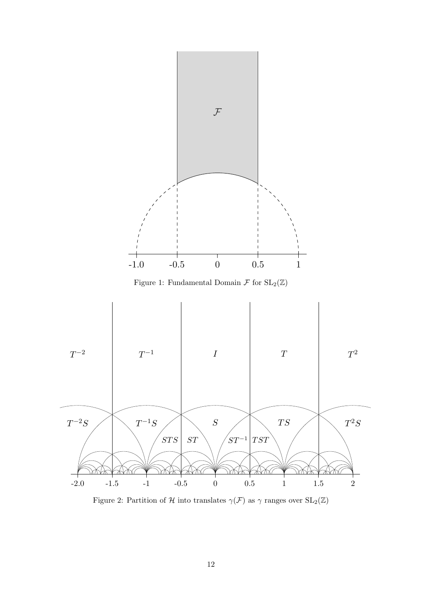

Figure 1: Fundamental Domain  $\mathcal F$  for  $SL_2(\mathbb Z)$ 



Figure 2: Partition of  ${\mathcal H}$  into translates  $\gamma({\mathcal F})$  as  $\gamma$  ranges over  $\mathrm{SL}_2(\mathbb{Z})$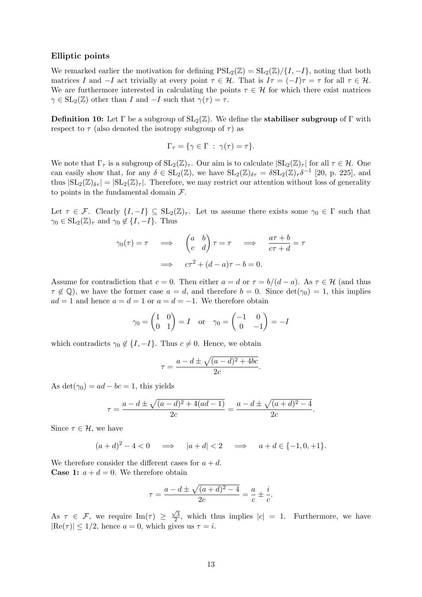## Elliptic points

We remarked earlier the motivation for defining  $PSL_2(\mathbb{Z}) = SL_2(\mathbb{Z})/ \{I, -I\}$ , noting that both matrices I and  $-I$  act trivially at every point  $\tau \in \mathcal{H}$ . That is  $I\tau = (-I)\tau = \tau$  for all  $\tau \in \mathcal{H}$ . We are furthermore interested in calculating the points  $\tau \in \mathcal{H}$  for which there exist matrices  $\gamma \in SL_2(\mathbb{Z})$  other than I and  $-I$  such that  $\gamma(\tau) = \tau$ .

**Definition 10:** Let  $\Gamma$  be a subgroup of  $SL_2(\mathbb{Z})$ . We define the **stabiliser subgroup** of  $\Gamma$  with respect to  $\tau$  (also denoted the isotropy subgroup of  $\tau$ ) as

$$
\Gamma_{\tau} = \{ \gamma \in \Gamma \; : \; \gamma(\tau) = \tau \}.
$$

We note that  $\Gamma_{\tau}$  is a subgroup of  $SL_2(\mathbb{Z})_{\tau}$ . Our aim is to calculate  $|SL_2(\mathbb{Z})_{\tau}|$  for all  $\tau \in \mathcal{H}$ . One can easily show that, for any  $\delta \in SL_2(\mathbb{Z})$ , we have  $SL_2(\mathbb{Z})_{\delta \tau} = \delta SL_2(\mathbb{Z})_{\tau} \delta^{-1}$  [20, p. 225], and thus  $|SL_2(\mathbb{Z})_{\delta\tau}| = |SL_2(\mathbb{Z})_{\tau}|$ . Therefore, we may restrict our attention without loss of generality to points in the fundamental domain  $\mathcal{F}.$ 

Let  $\tau \in \mathcal{F}$ . Clearly  $\{I, -I\} \subseteq SL_2(\mathbb{Z})_{\tau}$ . Let us assume there exists some  $\gamma_0 \in \Gamma$  such that  $\gamma_0 \in SL_2(\mathbb{Z})_{\tau}$  and  $\gamma_0 \notin \{I, -I\}$ . Thus

$$
\gamma_0(\tau) = \tau \quad \Longrightarrow \quad \begin{pmatrix} a & b \\ c & d \end{pmatrix} \tau = \tau \quad \Longrightarrow \quad \frac{a\tau + b}{c\tau + d} = \tau
$$

$$
\Longrightarrow \quad c\tau^2 + (d - a)\tau - b = 0.
$$

Assume for contradiction that  $c = 0$ . Then either  $a = d$  or  $\tau = b/(d - a)$ . As  $\tau \in \mathcal{H}$  (and thus  $\tau \notin \mathbb{Q}$ , we have the former case  $a = d$ , and therefore  $b = 0$ . Since  $\det(\gamma_0) = 1$ , this implies  $ad = 1$  and hence  $a = d = 1$  or  $a = d = -1$ . We therefore obtain

$$
\gamma_0 = \begin{pmatrix} 1 & 0 \\ 0 & 1 \end{pmatrix} = I \quad \text{or} \quad \gamma_0 = \begin{pmatrix} -1 & 0 \\ 0 & -1 \end{pmatrix} = -I
$$

which contradicts  $\gamma_0 \notin \{I, -I\}$ . Thus  $c \neq 0$ . Hence, we obtain

$$
\tau = \frac{a - d \pm \sqrt{(a - d)^2 + 4bc}}{2c}.
$$

As det( $\gamma_0$ ) = ad – bc = 1, this yields

$$
\tau = \frac{a - d \pm \sqrt{(a - d)^2 + 4(ad - 1)}}{2c} = \frac{a - d \pm \sqrt{(a + d)^2 - 4}}{2c}
$$

.

Since  $\tau \in \mathcal{H}$ , we have

$$
(a+d)^2 - 4 < 0 \quad \implies \quad |a+d| < 2 \quad \implies \quad a+d \in \{-1,0,+1\}.
$$

We therefore consider the different cases for  $a + d$ . **Case 1:**  $a + d = 0$ . We therefore obtain

$$
\tau = \frac{a - d \pm \sqrt{(a + d)^2 - 4}}{2c} = \frac{a}{c} \pm \frac{i}{c}.
$$

As  $\tau \in \mathcal{F}$ , we require  $\text{Im}(\tau) \geq$  $\sqrt{3}$  $\frac{\sqrt{3}}{2}$ , which thus implies  $|c| = 1$ . Furthermore, we have  $|\text{Re}(\tau)| \leq 1/2$ , hence  $a = 0$ , which gives us  $\tau = i$ .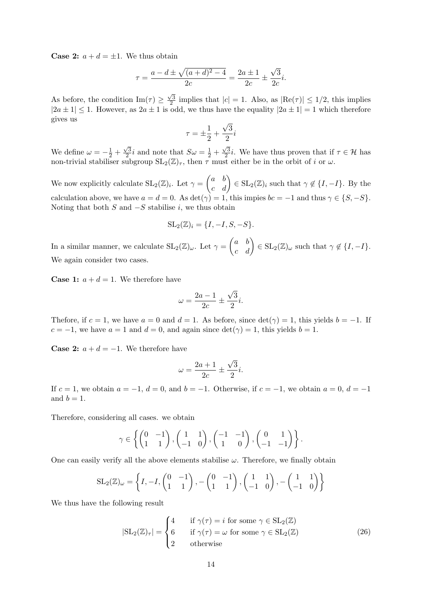**Case 2:**  $a + d = \pm 1$ . We thus obtain

$$
\tau = \frac{a - d \pm \sqrt{(a + d)^2 - 4}}{2c} = \frac{2a \pm 1}{2c} \pm \frac{\sqrt{3}}{2c}i.
$$

As before, the condition  $\text{Im}(\tau) \geq$  $\sqrt{3}$  $\frac{\sqrt{3}}{2}$  implies that  $|c| = 1$ . Also, as  $|\text{Re}(\tau)| \leq 1/2$ , this implies  $|2a \pm 1| \leq 1$ . However, as  $2a \pm 1$  is odd, we thus have the equality  $|2a \pm 1| = 1$  which therefore gives us √

$$
\tau = \pm \frac{1}{2} + \frac{\sqrt{3}}{2}i
$$

We define  $\omega = -\frac{1}{2} + \frac{1}{2}$  $\sqrt{3}$  $\frac{\sqrt{3}}{2}i$  and note that  $S\omega = \frac{1}{2} + \frac{1}{2}$  $\sqrt{3}$  $\frac{\sqrt{3}}{2}i$ . We have thus proven that if  $\tau \in \mathcal{H}$  has non-trivial stabiliser subgroup  $SL_2(\mathbb{Z})_{\tau}$ , then  $\tau$  must either be in the orbit of i or  $\omega$ .

We now explicitly calculate  $\mathrm{SL}_2(\mathbb{Z})_i$ . Let  $\gamma = \begin{pmatrix} a & b \\ c & d \end{pmatrix} \in \mathrm{SL}_2(\mathbb{Z})_i$  such that  $\gamma \notin \{I, -I\}$ . By the calculation above, we have  $a = d = 0$ . As  $\det(\gamma) = 1$ , this impies  $bc = -1$  and thus  $\gamma \in \{S, -S\}$ . Noting that both  $S$  and  $-S$  stabilise i, we thus obtain

$$
SL_2(\mathbb{Z})_i = \{I, -I, S, -S\}.
$$

In a similar manner, we calculate  $\mathrm{SL}_2(\mathbb{Z})_\omega$ . Let  $\gamma = \begin{pmatrix} a & b \\ c & d \end{pmatrix} \in \mathrm{SL}_2(\mathbb{Z})_\omega$  such that  $\gamma \notin \{I, -I\}$ . We again consider two cases.

**Case 1:**  $a + d = 1$ . We therefore have

$$
\omega = \frac{2a - 1}{2c} \pm \frac{\sqrt{3}}{2}i.
$$

Thefore, if  $c = 1$ , we have  $a = 0$  and  $d = 1$ . As before, since  $\det(\gamma) = 1$ , this yields  $b = -1$ . If  $c = -1$ , we have  $a = 1$  and  $d = 0$ , and again since  $\det(\gamma) = 1$ , this yields  $b = 1$ .

**Case 2:**  $a + d = -1$ . We therefore have

$$
\omega = \frac{2a+1}{2c} \pm \frac{\sqrt{3}}{2}i.
$$

If  $c = 1$ , we obtain  $a = -1$ ,  $d = 0$ , and  $b = -1$ . Otherwise, if  $c = -1$ , we obtain  $a = 0$ ,  $d = -1$ and  $b = 1$ .

Therefore, considering all cases. we obtain

$$
\gamma \in \left\{ \begin{pmatrix} 0 & -1 \\ 1 & 1 \end{pmatrix}, \begin{pmatrix} 1 & 1 \\ -1 & 0 \end{pmatrix}, \begin{pmatrix} -1 & -1 \\ 1 & 0 \end{pmatrix}, \begin{pmatrix} 0 & 1 \\ -1 & -1 \end{pmatrix} \right\}.
$$

One can easily verify all the above elements stabilise  $\omega$ . Therefore, we finally obtain

$$
SL_2(\mathbb{Z})_{\omega} = \left\{ I, -I, \begin{pmatrix} 0 & -1 \\ 1 & 1 \end{pmatrix}, -\begin{pmatrix} 0 & -1 \\ 1 & 1 \end{pmatrix}, \begin{pmatrix} 1 & 1 \\ -1 & 0 \end{pmatrix}, -\begin{pmatrix} 1 & 1 \\ -1 & 0 \end{pmatrix} \right\}
$$

We thus have the following result

$$
|\mathrm{SL}_2(\mathbb{Z})_{\tau}| = \begin{cases} 4 & \text{if } \gamma(\tau) = i \text{ for some } \gamma \in \mathrm{SL}_2(\mathbb{Z}) \\ 6 & \text{if } \gamma(\tau) = \omega \text{ for some } \gamma \in \mathrm{SL}_2(\mathbb{Z}) \\ 2 & \text{otherwise} \end{cases}
$$
(26)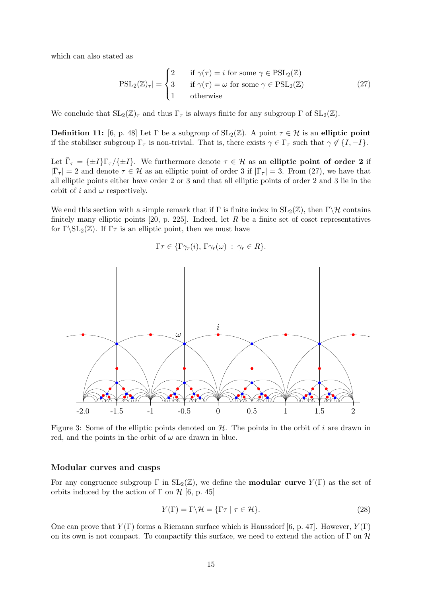which can also stated as

$$
|\mathrm{PSL}_2(\mathbb{Z})_{\tau}| = \begin{cases} 2 & \text{if } \gamma(\tau) = i \text{ for some } \gamma \in \mathrm{PSL}_2(\mathbb{Z}) \\ 3 & \text{if } \gamma(\tau) = \omega \text{ for some } \gamma \in \mathrm{PSL}_2(\mathbb{Z}) \\ 1 & \text{otherwise} \end{cases} \tag{27}
$$

We conclude that  $SL_2(\mathbb{Z})_\tau$  and thus  $\Gamma_\tau$  is always finite for any subgroup  $\Gamma$  of  $SL_2(\mathbb{Z})$ .

**Definition 11:** [6, p. 48] Let  $\Gamma$  be a subgroup of  $SL_2(\mathbb{Z})$ . A point  $\tau \in \mathcal{H}$  is an elliptic point if the stabiliser subgroup  $\Gamma_{\tau}$  is non-trivial. That is, there exists  $\gamma \in \Gamma_{\tau}$  such that  $\gamma \notin \{I, -I\}$ .

Let  $\bar{\Gamma}_{\tau} = {\pm I} {\Gamma}_{\tau} / {\pm I}$ . We furthermore denote  $\tau \in \mathcal{H}$  as an elliptic point of order 2 if  $|\bar{\Gamma}_{\tau}| = 2$  and denote  $\tau \in \mathcal{H}$  as an elliptic point of order 3 if  $|\bar{\Gamma}_{\tau}| = 3$ . From (27), we have that all elliptic points either have order 2 or 3 and that all elliptic points of order 2 and 3 lie in the orbit of i and  $\omega$  respectively.

We end this section with a simple remark that if  $\Gamma$  is finite index in  $SL_2(\mathbb{Z})$ , then  $\Gamma \backslash \mathcal{H}$  contains finitely many elliptic points  $[20, p. 225]$ . Indeed, let R be a finite set of coset representatives for  $\Gamma \setminus SL_2(\mathbb{Z})$ . If  $\Gamma \tau$  is an elliptic point, then we must have

$$
\Gamma \tau \in \{\Gamma \gamma_r(i), \Gamma \gamma_r(\omega) : \gamma_r \in R\}.
$$



Figure 3: Some of the elliptic points denoted on  $H$ . The points in the orbit of i are drawn in red, and the points in the orbit of  $\omega$  are drawn in blue.

## Modular curves and cusps

For any congruence subgroup  $\Gamma$  in  $SL_2(\mathbb{Z})$ , we define the **modular curve**  $Y(\Gamma)$  as the set of orbits induced by the action of  $\Gamma$  on  $\mathcal{H}$  [6, p. 45]

$$
Y(\Gamma) = \Gamma \backslash \mathcal{H} = \{ \Gamma \tau \mid \tau \in \mathcal{H} \}. \tag{28}
$$

One can prove that  $Y(\Gamma)$  forms a Riemann surface which is Haussdorf [6, p. 47]. However,  $Y(\Gamma)$ on its own is not compact. To compactify this surface, we need to extend the action of  $\Gamma$  on  $\mathcal H$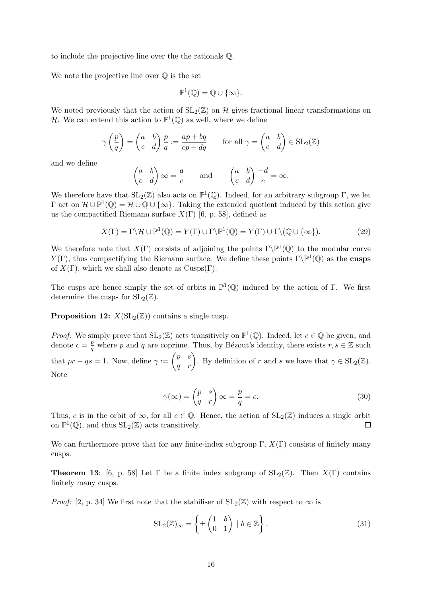to include the projective line over the the rationals Q.

We note the projective line over  $\mathbb O$  is the set

$$
\mathbb{P}^1(\mathbb{Q}) = \mathbb{Q} \cup \{\infty\}.
$$

We noted previously that the action of  $SL_2(\mathbb{Z})$  on H gives fractional linear transformations on H. We can extend this action to  $\mathbb{P}^1(\mathbb{Q})$  as well, where we define

$$
\gamma\left(\frac{p}{q}\right) = \begin{pmatrix} a & b \\ c & d \end{pmatrix} \frac{p}{q} := \frac{ap + bq}{cp + dq} \quad \text{for all } \gamma = \begin{pmatrix} a & b \\ c & d \end{pmatrix} \in SL_2(\mathbb{Z})
$$

and we define

$$
\begin{pmatrix} a & b \\ c & d \end{pmatrix} \infty = \frac{a}{c} \quad \text{and} \quad \begin{pmatrix} a & b \\ c & d \end{pmatrix} \frac{-d}{c} = \infty.
$$

We therefore have that  $SL_2(\mathbb{Z})$  also acts on  $\mathbb{P}^1(\mathbb{Q})$ . Indeed, for an arbitrary subgroup  $\Gamma$ , we let  $\Gamma$  act on  $\mathcal{H} \cup \mathbb{P}^1(\mathbb{Q}) = \mathcal{H} \cup \mathbb{Q} \cup \{\infty\}$ . Taking the extended quotient induced by this action give us the compactified Riemann surface  $X(\Gamma)$  [6, p. 58], defined as

$$
X(\Gamma) = \Gamma \backslash \mathcal{H} \cup \mathbb{P}^1(\mathbb{Q}) = Y(\Gamma) \cup \Gamma \backslash \mathbb{P}^1(\mathbb{Q}) = Y(\Gamma) \cup \Gamma \backslash (\mathbb{Q} \cup \{\infty\}).
$$
\n(29)

We therefore note that  $X(\Gamma)$  consists of adjoining the points  $\Gamma\backslash\mathbb{P}^1(\mathbb{Q})$  to the modular curve  $Y(\Gamma)$ , thus compactifying the Riemann surface. We define these points  $\Gamma \backslash \mathbb{P}^1(\mathbb{Q})$  as the **cusps** of  $X(\Gamma)$ , which we shall also denote as Cusps(Γ).

The cusps are hence simply the set of orbits in  $\mathbb{P}^1(\mathbb{Q})$  induced by the action of Γ. We first determine the cusps for  $SL_2(\mathbb{Z})$ .

**Proposition 12:**  $X(SL_2(\mathbb{Z}))$  contains a single cusp.

*Proof:* We simply prove that  $SL_2(\mathbb{Z})$  acts transitively on  $\mathbb{P}^1(\mathbb{Q})$ . Indeed, let  $c \in \mathbb{Q}$  be given, and denote  $c = \frac{p}{q}$  $\frac{p}{q}$  where p and q are coprime. Thus, by Bézout's identity, there exists  $r, s \in \mathbb{Z}$  such that  $pr - qs = 1$ . Now, define  $\gamma := \begin{pmatrix} p & s \\ q & r \end{pmatrix}$ . By definition of r and s we have that  $\gamma \in SL_2(\mathbb{Z})$ . Note

$$
\gamma(\infty) = \begin{pmatrix} p & s \\ q & r \end{pmatrix} \infty = \frac{p}{q} = c. \tag{30}
$$

Thus, c is in the orbit of  $\infty$ , for all  $c \in \mathbb{Q}$ . Hence, the action of  $SL_2(\mathbb{Z})$  induces a single orbit on  $\mathbb{P}^1(\mathbb{Q})$ , and thus  $SL_2(\mathbb{Z})$  acts transitively.  $\Box$ 

We can furthermore prove that for any finite-index subgroup  $\Gamma$ ,  $X(\Gamma)$  consists of finitely many cusps.

**Theorem 13:** [6, p. 58] Let  $\Gamma$  be a finite index subgroup of  $SL_2(\mathbb{Z})$ . Then  $X(\Gamma)$  contains finitely many cusps.

*Proof:* [2, p. 34] We first note that the stabiliser of  $SL_2(\mathbb{Z})$  with respect to  $\infty$  is

$$
SL_2(\mathbb{Z})_{\infty} = \left\{ \pm \begin{pmatrix} 1 & b \\ 0 & 1 \end{pmatrix} \mid b \in \mathbb{Z} \right\}.
$$
 (31)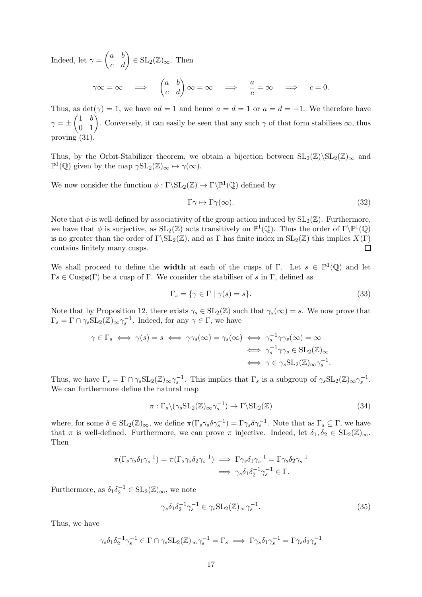Indeed, let  $\gamma = \begin{pmatrix} a & b \\ c & d \end{pmatrix} \in SL_2(\mathbb{Z})_{\infty}$ . Then

$$
\gamma \infty = \infty \quad \Longrightarrow \quad \begin{pmatrix} a & b \\ c & d \end{pmatrix} \infty = \infty \quad \Longrightarrow \quad \frac{a}{c} = \infty \quad \Longrightarrow \quad c = 0.
$$

Thus, as  $\det(\gamma) = 1$ , we have  $ad = 1$  and hence  $a = d = 1$  or  $a = d = -1$ . We therefore have  $\gamma = \pm \begin{pmatrix} 1 & b \\ 0 & 1 \end{pmatrix}$ . Conversely, it can easily be seen that any such  $\gamma$  of that form stabilises  $\infty$ , thus proving (31).

Thus, by the Orbit-Stabilizer theorem, we obtain a bijection between  $SL_2(\mathbb{Z})\backslash SL_2(\mathbb{Z})_{\infty}$  and  $\mathbb{P}^1(\mathbb{Q})$  given by the map  $\gamma SL_2(\mathbb{Z})_{\infty} \mapsto \gamma(\infty)$ .

We now consider the function  $\phi : \Gamma \backslash SL_2(\mathbb{Z}) \to \Gamma \backslash \mathbb{P}^1(\mathbb{Q})$  defined by

$$
\Gamma \gamma \mapsto \Gamma \gamma(\infty). \tag{32}
$$

Note that  $\phi$  is well-defined by associativity of the group action induced by  $SL_2(\mathbb{Z})$ . Furthermore, we have that  $\phi$  is surjective, as  $SL_2(\mathbb{Z})$  acts transitively on  $\mathbb{P}^1(\mathbb{Q})$ . Thus the order of  $\Gamma \backslash \mathbb{P}^1(\mathbb{Q})$ is no greater than the order of  $\Gamma \backslash SL_2(\mathbb{Z})$ , and as Γ has finite index in  $SL_2(\mathbb{Z})$  this implies  $X(\Gamma)$ contains finitely many cusps.  $\Box$ 

We shall proceed to define the **width** at each of the cusps of  $\Gamma$ . Let  $s \in \mathbb{P}^1(\mathbb{Q})$  and let  $\Gamma s \in \text{Cusps}(\Gamma)$  be a cusp of  $\Gamma$ . We consider the stabiliser of s in  $\Gamma$ , defined as

$$
\Gamma_s = \{ \gamma \in \Gamma \mid \gamma(s) = s \}. \tag{33}
$$

Note that by Proposition 12, there exists  $\gamma_s \in SL_2(\mathbb{Z})$  such that  $\gamma_s(\infty) = s$ . We now prove that  $\Gamma_s = \Gamma \cap \gamma_s \mathrm{SL}_2(\mathbb{Z})_\infty \gamma_s^{-1}$ . Indeed, for any  $\gamma \in \Gamma$ , we have

$$
\gamma \in \Gamma_s \iff \gamma(s) = s \iff \gamma \gamma_s(\infty) = \gamma_s(\infty) \iff \gamma_s^{-1} \gamma \gamma_s(\infty) = \infty
$$
  

$$
\iff \gamma_s^{-1} \gamma \gamma_s \in SL_2(\mathbb{Z})_{\infty}
$$
  

$$
\iff \gamma \in \gamma_s SL_2(\mathbb{Z})_{\infty} \gamma_s^{-1}.
$$

Thus, we have  $\Gamma_s = \Gamma \cap \gamma_s \mathrm{SL}_2(\mathbb{Z})_\infty \gamma_s^{-1}$ . This implies that  $\Gamma_s$  is a subgroup of  $\gamma_s \mathrm{SL}_2(\mathbb{Z})_\infty \gamma_s^{-1}$ . We can furthermore define the natural map

$$
\pi: \Gamma_s \setminus (\gamma_s \operatorname{SL}_2(\mathbb{Z})_\infty \gamma_s^{-1}) \to \Gamma \setminus \operatorname{SL}_2(\mathbb{Z})
$$
\n(34)

where, for some  $\delta \in SL_2(\mathbb{Z})_{\infty}$ , we define  $\pi(\Gamma_s \gamma_s \delta \gamma_s^{-1}) = \Gamma \gamma_s \delta \gamma_s^{-1}$ . Note that as  $\Gamma_s \subseteq \Gamma$ , we have that  $\pi$  is well-defined. Furthermore, we can prove  $\pi$  injective. Indeed, let  $\delta_1, \delta_2 \in SL_2(\mathbb{Z})_{\infty}$ . Then

$$
\pi(\Gamma_s \gamma_s \delta_1 \gamma_s^{-1}) = \pi(\Gamma_s \gamma_s \delta_2 \gamma_s^{-1}) \implies \Gamma \gamma_s \delta_1 \gamma_s^{-1} = \Gamma \gamma_s \delta_2 \gamma_s^{-1}
$$

$$
\implies \gamma_s \delta_1 \delta_2^{-1} \gamma_s^{-1} \in \Gamma.
$$

Furthermore, as  $\delta_1 \delta_2^{-1} \in SL_2(\mathbb{Z})_{\infty}$ , we note

$$
\gamma_s \delta_1 \delta_2^{-1} \gamma_s^{-1} \in \gamma_s \operatorname{SL}_2(\mathbb{Z})_\infty \gamma_s^{-1}.\tag{35}
$$

Thus, we have

$$
\gamma_s \delta_1 \delta_2^{-1} \gamma_s^{-1} \in \Gamma \cap \gamma_s \mathrm{SL}_2(\mathbb{Z})_\infty \gamma_s^{-1} = \Gamma_s \implies \Gamma \gamma_s \delta_1 \gamma_s^{-1} = \Gamma \gamma_s \delta_2 \gamma_s^{-1}
$$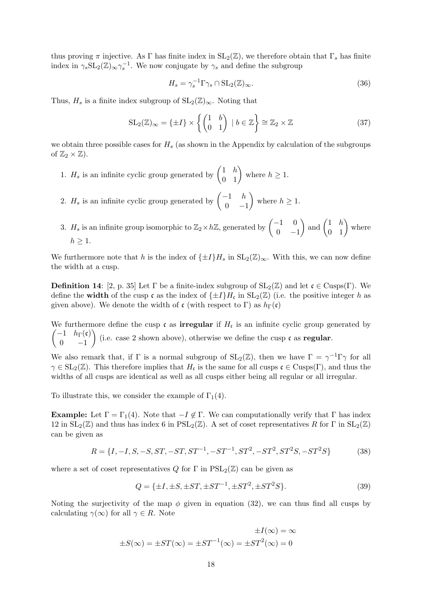thus proving  $\pi$  injective. As Γ has finite index in  $SL_2(\mathbb{Z})$ , we therefore obtain that  $\Gamma_s$  has finite index in  $\gamma_s \text{SL}_2(\mathbb{Z})_{\infty} \gamma_s^{-1}$ . We now conjugate by  $\gamma_s$  and define the subgroup

$$
H_s = \gamma_s^{-1} \Gamma \gamma_s \cap \text{SL}_2(\mathbb{Z})_\infty. \tag{36}
$$

Thus,  $H_s$  is a finite index subgroup of  $SL_2(\mathbb{Z})_{\infty}$ . Noting that

$$
SL_2(\mathbb{Z})_{\infty} = \{\pm I\} \times \left\{ \begin{pmatrix} 1 & b \\ 0 & 1 \end{pmatrix} \mid b \in \mathbb{Z} \right\} \cong \mathbb{Z}_2 \times \mathbb{Z}
$$
 (37)

we obtain three possible cases for  $H_s$  (as shown in the Appendix by calculation of the subgroups of  $\mathbb{Z}_2 \times \mathbb{Z}$ ).

1.  $H_s$  is an infinite cyclic group generated by  $\begin{pmatrix} 1 & h \\ 0 & 1 \end{pmatrix}$  where  $h \ge 1$ .

2.  $H_s$  is an infinite cyclic group generated by  $\begin{pmatrix} -1 & h \\ 0 & h \end{pmatrix}$  $0 -1$ where  $h \geq 1$ .

3.  $H_s$  is an infinite group isomorphic to  $\mathbb{Z}_2 \times h\mathbb{Z}$ , generated by  $\begin{pmatrix} -1 & 0 \\ 0 & 0 \end{pmatrix}$  $0 -1$  $\binom{}{}$  and  $\binom{1 \quad h}{0 \quad 1}$  where  $h \geq 1$ .

We furthermore note that h is the index of  $\{\pm I\}H_s$  in  $SL_2(\mathbb{Z})_{\infty}$ . With this, we can now define the width at a cusp.

**Definition 14**: [2, p. 35] Let  $\Gamma$  be a finite-index subgroup of  $SL_2(\mathbb{Z})$  and let  $\mathfrak{c} \in \text{Cusps}(\Gamma)$ . We define the **width** of the cusp c as the index of  $\{\pm I\}H_c$  in  $SL_2(\mathbb{Z})$  (i.e. the positive integer h as given above). We denote the width of c (with respect to Γ) as  $h_{\Gamma}(\mathfrak{c})$ 

We furthermore define the cusp c as **irregular** if  $H_c$ <br>  $\begin{pmatrix} -1 & h_{\Gamma}(\mathfrak{c}) \\ 0 & \text{if } \Omega \end{pmatrix}$  (i.e., asso 2 shown above) otherwise we We furthermore define the cusp c as **irregular** if  $H_c$  is an infinite cyclic group generated by  $0 \t -1$ (i.e. case 2 shown above), otherwise we define the cusp  $\mathfrak c$  as **regular**.

We also remark that, if  $\Gamma$  is a normal subgroup of  $SL_2(\mathbb{Z})$ , then we have  $\Gamma = \gamma^{-1} \Gamma \gamma$  for all  $\gamma \in SL_2(\mathbb{Z})$ . This therefore implies that  $H_{\mathfrak{c}}$  is the same for all cusps  $\mathfrak{c} \in \text{Cusps}(\Gamma)$ , and thus the widths of all cusps are identical as well as all cusps either being all regular or all irregular.

To illustrate this, we consider the example of  $\Gamma_1(4)$ .

**Example:** Let  $\Gamma = \Gamma_1(4)$ . Note that  $-I \notin \Gamma$ . We can computationally verify that  $\Gamma$  has index 12 in  $SL_2(\mathbb{Z})$  and thus has index 6 in  $PSL_2(\mathbb{Z})$ . A set of coset representatives R for  $\Gamma$  in  $SL_2(\mathbb{Z})$ can be given as

$$
R = \{I, -I, S, -S, ST, -ST, ST^{-1}, -ST^{-1}, ST^2, -ST^2, ST^2S, -ST^2S\}
$$
(38)

where a set of coset representatives Q for  $\Gamma$  in  $PSL_2(\mathbb{Z})$  can be given as

$$
Q = \{ \pm I, \pm S, \pm ST, \pm ST^{-1}, \pm ST^2, \pm ST^2S \}. \tag{39}
$$

Noting the surjectivity of the map  $\phi$  given in equation (32), we can thus find all cusps by calculating  $\gamma(\infty)$  for all  $\gamma \in R$ . Note

$$
\pm I(\infty) = \infty
$$
  

$$
\pm S(\infty) = \pm ST(\infty) = \pm ST^{-1}(\infty) = \pm ST^{2}(\infty) = 0
$$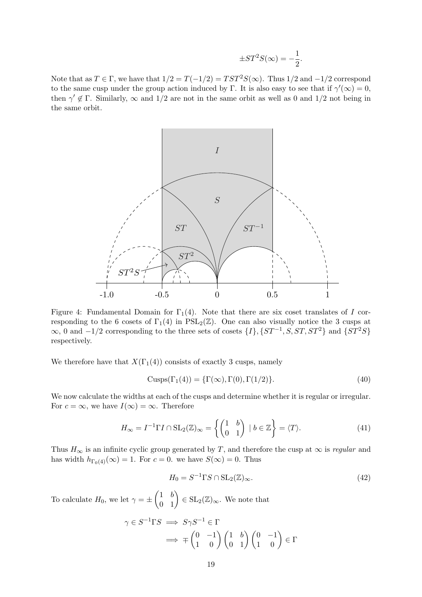$$
\pm ST^2S(\infty) = -\frac{1}{2}.
$$

Note that as  $T \in \Gamma$ , we have that  $1/2 = T(-1/2) = TST^2S(\infty)$ . Thus  $1/2$  and  $-1/2$  correspond to the same cusp under the group action induced by Γ. It is also easy to see that if  $\gamma'(\infty) = 0$ , then  $\gamma' \notin \Gamma$ . Similarly,  $\infty$  and  $1/2$  are not in the same orbit as well as 0 and  $1/2$  not being in the same orbit.



Figure 4: Fundamental Domain for  $\Gamma_1(4)$ . Note that there are six coset translates of I corresponding to the 6 cosets of  $\Gamma_1(4)$  in  $PSL_2(\mathbb{Z})$ . One can also visually notice the 3 cusps at  $\infty$ , 0 and  $-1/2$  corresponding to the three sets of cosets  $\{I\}$ ,  $\{ST^{-1}, S, ST, ST^2\}$  and  $\{ST^2S\}$ respectively.

We therefore have that  $X(\Gamma_1(4))$  consists of exactly 3 cusps, namely

$$
Cusps(\Gamma_1(4)) = {\Gamma(\infty), \Gamma(0), \Gamma(1/2)}.
$$
\n(40)

We now calculate the widths at each of the cusps and determine whether it is regular or irregular. For  $c = \infty$ , we have  $I(\infty) = \infty$ . Therefore

$$
H_{\infty} = I^{-1} \Gamma I \cap \mathrm{SL}_2(\mathbb{Z})_{\infty} = \left\{ \begin{pmatrix} 1 & b \\ 0 & 1 \end{pmatrix} \mid b \in \mathbb{Z} \right\} = \langle T \rangle.
$$
 (41)

Thus  $H_{\infty}$  is an infinite cyclic group generated by T, and therefore the cusp at  $\infty$  is *regular* and has width  $h_{\Gamma_0(4)}(\infty) = 1$ . For  $c = 0$ . we have  $S(\infty) = 0$ . Thus

$$
H_0 = S^{-1} \Gamma S \cap \text{SL}_2(\mathbb{Z})_\infty. \tag{42}
$$

To calculate  $H_0$ , we let  $\gamma = \pm \begin{pmatrix} 1 & b \\ 0 & 1 \end{pmatrix} \in SL_2(\mathbb{Z})_{\infty}$ . We note that

$$
\gamma \in S^{-1} \Gamma S \implies S \gamma S^{-1} \in \Gamma
$$

$$
\implies \mp \begin{pmatrix} 0 & -1 \\ 1 & 0 \end{pmatrix} \begin{pmatrix} 1 & b \\ 0 & 1 \end{pmatrix} \begin{pmatrix} 0 & -1 \\ 1 & 0 \end{pmatrix} \in \Gamma
$$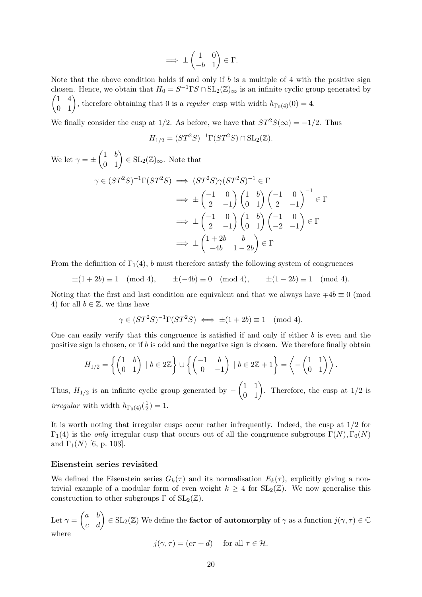$$
\implies \pm \begin{pmatrix} 1 & 0 \\ -b & 1 \end{pmatrix} \in \Gamma.
$$

Note that the above condition holds if and only if  $b$  is a multiple of 4 with the positive sign chosen. Hence, we obtain that  $H_0 = S^{-1} \Gamma S \cap SL_2(\mathbb{Z})_\infty$  is an infinite cyclic group generated by  $\begin{pmatrix} 1 & 4 \\ 0 & 1 \end{pmatrix}$ , therefore obtaining that 0 is a *regular* cusp with width  $h_{\Gamma_0(4)}(0) = 4$ .

We finally consider the cusp at 1/2. As before, we have that  $ST^2S(\infty) = -1/2$ . Thus

$$
H_{1/2} = (ST^2S)^{-1}\Gamma(ST^2S) \cap \mathrm{SL}_2(\mathbb{Z}).
$$

We let  $\gamma = \pm \begin{pmatrix} 1 & b \\ 0 & 1 \end{pmatrix} \in SL_2(\mathbb{Z})_{\infty}$ . Note that

$$
\gamma \in (ST^2S)^{-1}\Gamma(ST^2S) \implies (ST^2S)\gamma(ST^2S)^{-1} \in \Gamma
$$

$$
\implies \pm \begin{pmatrix} -1 & 0 \\ 2 & -1 \end{pmatrix} \begin{pmatrix} 1 & b \\ 0 & 1 \end{pmatrix} \begin{pmatrix} -1 & 0 \\ 2 & -1 \end{pmatrix}^{-1} \in \Gamma
$$

$$
\implies \pm \begin{pmatrix} -1 & 0 \\ 2 & -1 \end{pmatrix} \begin{pmatrix} 1 & b \\ 0 & 1 \end{pmatrix} \begin{pmatrix} -1 & 0 \\ -2 & -1 \end{pmatrix} \in \Gamma
$$

$$
\implies \pm \begin{pmatrix} 1+2b & b \\ -4b & 1-2b \end{pmatrix} \in \Gamma
$$

From the definition of  $\Gamma_1(4)$ , b must therefore satisfy the following system of congruences

$$
\pm(1+2b) \equiv 1 \pmod{4}, \qquad \pm(-4b) \equiv 0 \pmod{4}, \qquad \pm(1-2b) \equiv 1 \pmod{4}.
$$

Noting that the first and last condition are equivalent and that we always have  $\mp 4b \equiv 0 \pmod{1}$ 4) for all  $b \in \mathbb{Z}$ , we thus have

$$
\gamma \in (ST^2S)^{-1}\Gamma(ST^2S) \iff \pm(1+2b) \equiv 1 \pmod{4}.
$$

One can easily verify that this congruence is satisfied if and only if either b is even and the positive sign is chosen, or if  $b$  is odd and the negative sign is chosen. We therefore finally obtain

$$
H_{1/2} = \left\{ \begin{pmatrix} 1 & b \\ 0 & 1 \end{pmatrix} \mid b \in 2\mathbb{Z} \right\} \cup \left\{ \begin{pmatrix} -1 & b \\ 0 & -1 \end{pmatrix} \mid b \in 2\mathbb{Z} + 1 \right\} = \left\langle -\begin{pmatrix} 1 & 1 \\ 0 & 1 \end{pmatrix} \right\rangle.
$$

Thus,  $H_{1/2}$  is an infinite cyclic group generated by  $-\begin{pmatrix} 1 & 1 \\ 0 & 1 \end{pmatrix}$ . Therefore, the cusp at 1/2 is *irregular* with width  $h_{\Gamma_0(4)}(\frac{1}{2})$  $(\frac{1}{2})=1.$ 

It is worth noting that irregular cusps occur rather infrequently. Indeed, the cusp at 1/2 for  $\Gamma_1(4)$  is the *only* irregular cusp that occurs out of all the congruence subgroups  $\Gamma(N)$ ,  $\Gamma_0(N)$ and  $\Gamma_1(N)$  [6, p. 103].

## Eisenstein series revisited

We defined the Eisenstein series  $G_k(\tau)$  and its normalisation  $E_k(\tau)$ , explicitly giving a nontrivial example of a modular form of even weight  $k \geq 4$  for  $SL_2(\mathbb{Z})$ . We now generalise this construction to other subgroups  $\Gamma$  of  $SL_2(\mathbb{Z})$ .

Let  $\gamma=\begin{pmatrix} a&b\ c&d \end{pmatrix}\in\mathrm{SL}_2(\mathbb{Z})$  We define the **factor of automorphy** of  $\gamma$  as a function  $j(\gamma,\tau)\in\mathbb{C}$ where

$$
j(\gamma, \tau) = (c\tau + d) \quad \text{for all } \tau \in \mathcal{H}.
$$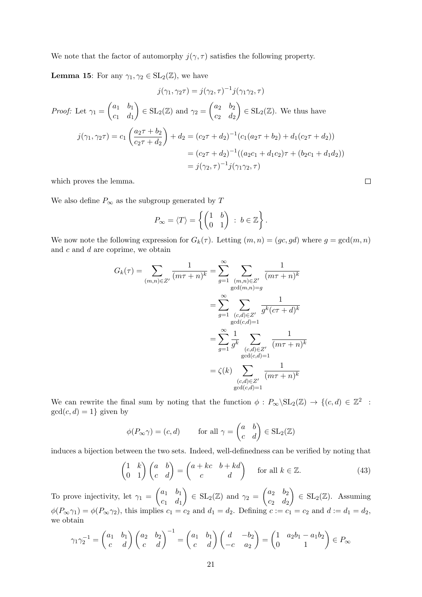We note that the factor of automorphy  $j(\gamma, \tau)$  satisfies the following property.

**Lemma 15:** For any  $\gamma_1, \gamma_2 \in SL_2(\mathbb{Z})$ , we have

$$
j(\gamma_1, \gamma_2 \tau) = j(\gamma_2, \tau)^{-1} j(\gamma_1 \gamma_2, \tau)
$$
  
\n*Proof:* Let  $\gamma_1 = \begin{pmatrix} a_1 & b_1 \\ c_1 & d_1 \end{pmatrix} \in SL_2(\mathbb{Z})$  and  $\gamma_2 = \begin{pmatrix} a_2 & b_2 \\ c_2 & d_2 \end{pmatrix} \in SL_2(\mathbb{Z})$ . We thus have  
\n
$$
j(\gamma_1, \gamma_2 \tau) = c_1 \left( \frac{a_2 \tau + b_2}{c_2 \tau + d_2} \right) + d_2 = (c_2 \tau + d_2)^{-1} (c_1(a_2 \tau + b_2) + d_1(c_2 \tau + d_2))
$$
\n
$$
= (c_2 \tau + d_2)^{-1} ((a_2 c_1 + d_1 c_2) \tau + (b_2 c_1 + d_1 d_2))
$$
\n
$$
= j(\gamma_2, \tau)^{-1} j(\gamma_1 \gamma_2, \tau)
$$

which proves the lemma.

We also define  $P_\infty$  as the subgroup generated by  $T$ 

$$
P_{\infty} = \langle T \rangle = \left\{ \begin{pmatrix} 1 & b \\ 0 & 1 \end{pmatrix} \, : \, b \in \mathbb{Z} \right\}.
$$

We now note the following expression for  $G_k(\tau)$ . Letting  $(m, n) = (gc, gd)$  where  $g = \gcd(m, n)$ and  $c$  and  $d$  are coprime, we obtain

$$
G_k(\tau) = \sum_{(m,n)\in Z'} \frac{1}{(m\tau+n)^k} = \sum_{g=1}^{\infty} \sum_{\substack{(m,n)\in Z'\\ \gcd(m,n)=g}} \frac{1}{(m\tau+n)^k}
$$

$$
= \sum_{g=1}^{\infty} \sum_{\substack{(c,d)\in Z'\\ \gcd(c,d)=1}} \frac{1}{g^k (c\tau+d)^k}
$$

$$
= \sum_{g=1}^{\infty} \frac{1}{g^k} \sum_{\substack{(c,d)\in Z'\\ \gcd(c,d)=1}} \frac{1}{(m\tau+n)^k}
$$

$$
= \zeta(k) \sum_{\substack{(c,d)\in Z'\\ \gcd(c,d)=1}} \frac{1}{(m\tau+n)^k}
$$

We can rewrite the final sum by noting that the function  $\phi : P_\infty \backslash \mathrm{SL}_2(\mathbb{Z}) \to \{ (c,d) \in \mathbb{Z}^2 \ :$  $gcd(c, d) = 1$ } given by

$$
\phi(P_{\infty}\gamma) = (c, d) \quad \text{for all } \gamma = \begin{pmatrix} a & b \\ c & d \end{pmatrix} \in SL_2(\mathbb{Z})
$$

induces a bijection between the two sets. Indeed, well-definedness can be verified by noting that

$$
\begin{pmatrix} 1 & k \\ 0 & 1 \end{pmatrix} \begin{pmatrix} a & b \\ c & d \end{pmatrix} = \begin{pmatrix} a + kc & b + kd \\ c & d \end{pmatrix} \quad \text{for all } k \in \mathbb{Z}.
$$
 (43)

To prove injectivity, let  $\gamma_1 = \begin{pmatrix} a_1 & b_1 \\ a_2 & d_2 \end{pmatrix}$  $c_1$   $d_1$  $\Big) \in SL_2(\mathbb{Z})$  and  $\gamma_2 = \begin{pmatrix} a_2 & b_2 \\ a_2 & d_2 \end{pmatrix}$  $c_2$   $d_2$  $\Big) \in SL_2(\mathbb{Z})$ . Assuming  $\phi(P_{\infty}\gamma_1) = \phi(P_{\infty}\gamma_2)$ , this implies  $c_1 = c_2$  and  $d_1 = d_2$ . Defining  $c := c_1 = c_2$  and  $d := d_1 = d_2$ , we obtain

$$
\gamma_1 \gamma_2^{-1} = \begin{pmatrix} a_1 & b_1 \\ c & d \end{pmatrix} \begin{pmatrix} a_2 & b_2 \\ c & d \end{pmatrix}^{-1} = \begin{pmatrix} a_1 & b_1 \\ c & d \end{pmatrix} \begin{pmatrix} d & -b_2 \\ -c & a_2 \end{pmatrix} = \begin{pmatrix} 1 & a_2b_1 - a_1b_2 \\ 0 & 1 \end{pmatrix} \in P_{\infty}
$$

 $\Box$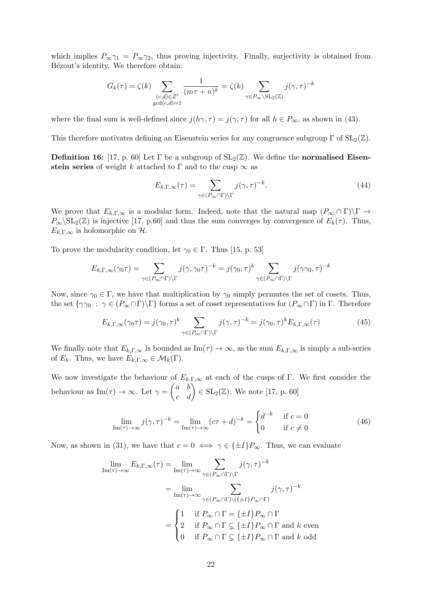which implies  $P_{\infty}\gamma_1 = P_{\infty}\gamma_2$ , thus proving injectivity. Finally, surjectivity is obtained from Bézout's identity. We therefore obtain:

$$
G_k(\tau) = \zeta(k) \sum_{\substack{(c,d) \in Z' \\ \gcd(c,d) = 1}} \frac{1}{(m\tau + n)^k} = \zeta(k) \sum_{\gamma \in P_{\infty} \setminus \mathrm{SL}_2(\mathbb{Z})} j(\gamma, \tau)^{-k}
$$

where the final sum is well-defined since  $j(h\gamma, \tau) = j(\gamma, \tau)$  for all  $h \in P_{\infty}$ , as shown in (43).

This therefore motivates defining an Eisenstein series for any congruence subgroup  $\Gamma$  of  $SL_2(\mathbb{Z})$ .

**Definition 16:** [17, p. 60] Let  $\Gamma$  be a subgroup of  $SL_2(\mathbb{Z})$ . We define the **normalised Eisen**stein series of weight k attached to Γ and to the cusp  $\infty$  as

$$
E_{k,\Gamma,\infty}(\tau) = \sum_{\gamma \in (P_{\infty} \cap \Gamma) \backslash \Gamma} j(\gamma,\tau)^{-k}.
$$
\n(44)

We prove that  $E_{k,\Gamma,\infty}$  is a modular form. Indeed, note that the natural map  $(P_{\infty} \cap \Gamma) \backslash \Gamma \to$  $P_\infty$ \SL<sub>2</sub>(Z) is injective [17, p.60] and thus the sum converges by convergence of  $E_k(\tau)$ . Thus,  $E_{k,\Gamma,\infty}$  is holomorphic on H.

To prove the modularity condition, let  $\gamma_0 \in \Gamma$ . Thus [15, p. 53]

$$
E_{k,\Gamma,\infty}(\gamma_0\tau) = \sum_{\gamma \in (P_{\infty} \cap \Gamma) \backslash \Gamma} j(\gamma,\gamma_0\tau)^{-k} = j(\gamma_0,\tau)^k \sum_{\gamma \in (P_{\infty} \cap \Gamma) \backslash \Gamma} j(\gamma\gamma_0,\tau)^{-k}
$$

Now, since  $\gamma_0 \in \Gamma$ , we have that multiplication by  $\gamma_0$  simply permutes the set of cosets. Thus, the set  $\{\gamma\gamma_0 : \gamma \in (P_\infty \cap \Gamma) \backslash \Gamma\}$  forms a set of coset representatives for  $(P_\infty \cap \Gamma)$  in  $\Gamma$ . Therefore

$$
E_{k,\Gamma,\infty}(\gamma_0\tau) = j(\gamma_0,\tau)^k \sum_{\gamma \in (P_{\infty} \cap \Gamma) \backslash \Gamma} j(\gamma,\tau)^{-k} = j(\gamma_0,\tau)^k E_{k,\Gamma,\infty}(\tau)
$$
(45)

We finally note that  $E_{k,\Gamma,\infty}$  is bounded as  $\text{Im}(\tau) \to \infty$ , as the sum  $E_{k,\Gamma,\infty}$  is simply a sub-series of  $E_k$ . Thus, we have  $E_{k,\Gamma,\infty} \in \mathcal{M}_k(\Gamma)$ .

We now investigate the behaviour of  $E_{k,\Gamma,\infty}$  at each of the cusps of Γ. We first consider the behaviour as  $\text{Im}(\tau) \to \infty$ . Let  $\gamma = \begin{pmatrix} a & b \\ c & d \end{pmatrix} \in \text{SL}_2(\mathbb{Z})$ . We note [17, p. 60]

$$
\lim_{\mathrm{Im}(\tau)\to\infty} j(\gamma,\tau)^{-k} = \lim_{\mathrm{Im}(\tau)\to\infty} (c\tau+d)^{-k} = \begin{cases} d^{-k} & \text{if } c=0\\ 0 & \text{if } c\neq 0 \end{cases} \tag{46}
$$

Now, as shown in (31), we have that  $c = 0 \iff \gamma \in \{\pm I\}P_{\infty}$ . Thus, we can evaluate

$$
\lim_{\text{Im}(\tau) \to \infty} E_{k,\Gamma,\infty}(\tau) = \lim_{\text{Im}(\tau) \to \infty} \sum_{\gamma \in (P_{\infty} \cap \Gamma) \backslash \Gamma} j(\gamma,\tau)^{-k}
$$
\n
$$
= \lim_{\text{Im}(\tau) \to \infty} \sum_{\gamma \in (P_{\infty} \cap \Gamma) \backslash (\{\pm I\}P_{\infty} \cap \Gamma)} j(\gamma,\tau)^{-k}
$$
\n
$$
= \begin{cases}\n1 & \text{if } P_{\infty} \cap \Gamma = \{\pm I\}P_{\infty} \cap \Gamma \\
2 & \text{if } P_{\infty} \cap \Gamma \subsetneq \{\pm I\}P_{\infty} \cap \Gamma \text{ and } k \text{ even} \\
0 & \text{if } P_{\infty} \cap \Gamma \subsetneq \{\pm I\}P_{\infty} \cap \Gamma \text{ and } k \text{ odd}\n\end{cases}
$$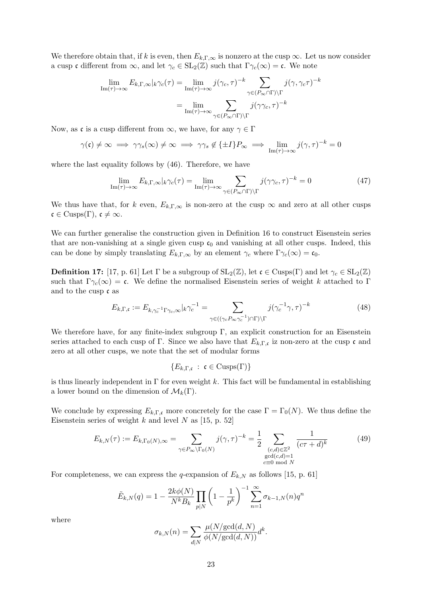We therefore obtain that, if k is even, then  $E_{k,\Gamma,\infty}$  is nonzero at the cusp  $\infty$ . Let us now consider a cusp c different from  $\infty$ , and let  $\gamma_c \in SL_2(\mathbb{Z})$  such that  $\Gamma \gamma_c(\infty) = \mathfrak{c}$ . We note

$$
\lim_{\mathrm{Im}(\tau) \to \infty} E_{k,\Gamma,\infty} |_{k} \gamma_c(\tau) = \lim_{\mathrm{Im}(\tau) \to \infty} j(\gamma_c, \tau)^{-k} \sum_{\gamma \in (P_{\infty} \cap \Gamma) \backslash \Gamma} j(\gamma, \gamma_c \tau)^{-k}
$$

$$
= \lim_{\mathrm{Im}(\tau) \to \infty} \sum_{\gamma \in (P_{\infty} \cap \Gamma) \backslash \Gamma} j(\gamma \gamma_c, \tau)^{-k}
$$

Now, as c is a cusp different from  $\infty$ , we have, for any  $\gamma \in \Gamma$ 

$$
\gamma(\mathfrak{c}) \neq \infty \implies \gamma \gamma_s(\infty) \neq \infty \implies \gamma \gamma_s \notin \{\pm I\} P_{\infty} \implies \lim_{\mathrm{Im}(\tau) \to \infty} j(\gamma, \tau)^{-k} = 0
$$

where the last equality follows by (46). Therefore, we have

$$
\lim_{\mathrm{Im}(\tau) \to \infty} E_{k,\Gamma,\infty} |_{k} \gamma_c(\tau) = \lim_{\mathrm{Im}(\tau) \to \infty} \sum_{\gamma \in (P_{\infty} \cap \Gamma) \backslash \Gamma} j(\gamma \gamma_c, \tau)^{-k} = 0 \tag{47}
$$

We thus have that, for k even,  $E_{k,\Gamma,\infty}$  is non-zero at the cusp  $\infty$  and zero at all other cusps  $\mathfrak{c} \in \text{Cusps}(\Gamma)$ ,  $\mathfrak{c} \neq \infty$ .

We can further generalise the construction given in Definition 16 to construct Eisenstein series that are non-vanishing at a single given cusp  $c_0$  and vanishing at all other cusps. Indeed, this can be done by simply translating  $E_{k,\Gamma,\infty}$  by an element  $\gamma_c$  where  $\Gamma\gamma_c(\infty) = \mathfrak{c}_0$ .

**Definition 17:** [17, p. 61] Let  $\Gamma$  be a subgroup of  $SL_2(\mathbb{Z})$ , let  $\mathfrak{c} \in \text{Cusps}(\Gamma)$  and let  $\gamma_c \in SL_2(\mathbb{Z})$ such that  $\Gamma_{\gamma_c}(\infty) = \mathfrak{c}$ . We define the normalised Eisenstein series of weight k attached to Γ and to the cusp c as

$$
E_{k,\Gamma,\mathfrak{c}} := E_{k,\gamma_c^{-1}\Gamma\gamma_c,\infty}|_k\gamma_c^{-1} = \sum_{\gamma \in ((\gamma_c P_{\infty}\gamma_c^{-1}) \cap \Gamma) \backslash \Gamma} j(\gamma_c^{-1}\gamma,\tau)^{-k}
$$
(48)

We therefore have, for any finite-index subgroup  $\Gamma$ , an explicit construction for an Eisenstein series attached to each cusp of Γ. Since we also have that  $E_{k,\Gamma,\mathfrak{c}}$  iz non-zero at the cusp  $\mathfrak{c}$  and zero at all other cusps, we note that the set of modular forms

$$
\{E_{k,\Gamma,\mathfrak{c}}\;:\;\mathfrak{c}\in\mathrm{Cusps}(\Gamma)\}
$$

is thus linearly independent in  $\Gamma$  for even weight k. This fact will be fundamental in establishing a lower bound on the dimension of  $\mathcal{M}_k(\Gamma)$ .

We conclude by expressing  $E_{k,\Gamma,\mathfrak{c}}$  more concretely for the case  $\Gamma = \Gamma_0(N)$ . We thus define the Eisenstein series of weight k and level N as  $[15, p. 52]$ 

$$
E_{k,N}(\tau) := E_{k,\Gamma_0(N),\infty} = \sum_{\gamma \in P_{\infty} \backslash \Gamma_0(N)} j(\gamma,\tau)^{-k} = \frac{1}{2} \sum_{\substack{(c,d) \in \mathbb{Z}^2 \ \gcd(c,d) = 1 \ c \equiv 0 \bmod N}} \frac{1}{(c\tau + d)^k}
$$
(49)

For completeness, we can express the q-expansion of  $E_{k,N}$  as follows [15, p. 61]

$$
\tilde{E}_{k,N}(q) = 1 - \frac{2k\phi(N)}{N^k B_k} \prod_{p|N} \left(1 - \frac{1}{p^k}\right)^{-1} \sum_{n=1}^{\infty} \sigma_{k-1,N}(n) q^n
$$

where

$$
\sigma_{k,N}(n) = \sum_{d|N} \frac{\mu(N/\text{gcd}(d,N))}{\phi(N/\text{gcd}(d,N))} d^k.
$$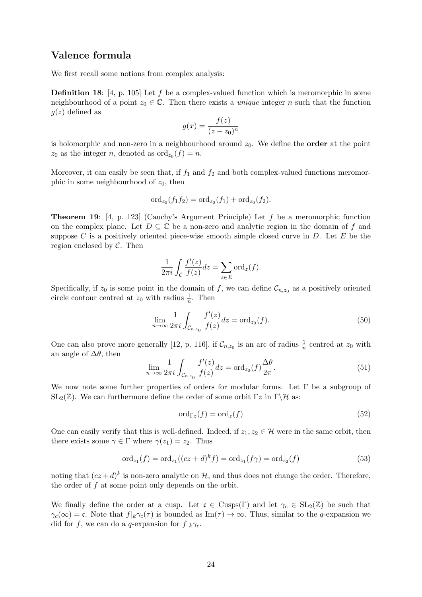# Valence formula

We first recall some notions from complex analysis:

**Definition 18:** [4, p. 105] Let f be a complex-valued function which is meromorphic in some neighbourhood of a point  $z_0 \in \mathbb{C}$ . Then there exists a *unique* integer *n* such that the function  $q(z)$  defined as

$$
g(x) = \frac{f(z)}{(z - z_0)^n}
$$

is holomorphic and non-zero in a neighbourhood around  $z_0$ . We define the **order** at the point  $z_0$  as the integer n, denoted as  $\operatorname{ord}_{z_0}(f) = n$ .

Moreover, it can easily be seen that, if  $f_1$  and  $f_2$  and both complex-valued functions meromorphic in some neighbourhood of  $z_0$ , then

$$
\mathrm{ord}_{z_0}(f_1f_2)=\mathrm{ord}_{z_0}(f_1)+\mathrm{ord}_{z_0}(f_2).
$$

**Theorem 19:** [4, p. 123] (Cauchy's Argument Principle) Let  $f$  be a meromorphic function on the complex plane. Let  $D \subseteq \mathbb{C}$  be a non-zero and analytic region in the domain of f and suppose C is a positively oriented piece-wise smooth simple closed curve in  $D$ . Let E be the region enclosed by  $C$ . Then

$$
\frac{1}{2\pi i} \int_{\mathcal{C}} \frac{f'(z)}{f(z)} dz = \sum_{z \in E} \text{ord}_{z}(f).
$$

Specifically, if  $z_0$  is some point in the domain of f, we can define  $\mathcal{C}_{n,z_0}$  as a positively oriented circle contour centred at  $z_0$  with radius  $\frac{1}{n}$ . Then

$$
\lim_{n \to \infty} \frac{1}{2\pi i} \int_{\mathcal{C}_{n,z_0}} \frac{f'(z)}{f(z)} dz = \text{ord}_{z_0}(f). \tag{50}
$$

One can also prove more generally [12, p. 116], if  $\mathcal{C}_{n,z_0}$  is an arc of radius  $\frac{1}{n}$  centred at  $z_0$  with an angle of  $\Delta\theta$ , then

$$
\lim_{n \to \infty} \frac{1}{2\pi i} \int_{\mathcal{C}_{n,z_0}} \frac{f'(z)}{f(z)} dz = \text{ord}_{z_0}(f) \frac{\Delta \theta}{2\pi}.
$$
\n(51)

We now note some further properties of orders for modular forms. Let  $\Gamma$  be a subgroup of  $SL_2(\mathbb{Z})$ . We can furthermore define the order of some orbit  $\Gamma z$  in  $\Gamma \backslash \mathcal{H}$  as:

$$
\operatorname{ord}_{\Gamma_z}(f) = \operatorname{ord}_z(f) \tag{52}
$$

One can easily verify that this is well-defined. Indeed, if  $z_1, z_2 \in \mathcal{H}$  were in the same orbit, then there exists some  $\gamma \in \Gamma$  where  $\gamma(z_1) = z_2$ . Thus

$$
\text{ord}_{z_1}(f) = \text{ord}_{z_1}((cz+d)^k f) = \text{ord}_{z_1}(f\gamma) = \text{ord}_{z_2}(f) \tag{53}
$$

noting that  $(cz+d)^k$  is non-zero analytic on H, and thus does not change the order. Therefore, the order of f at some point only depends on the orbit.

We finally define the order at a cusp. Let  $\mathfrak{c} \in \text{Cusps}(\Gamma)$  and let  $\gamma_c \in SL_2(\mathbb{Z})$  be such that  $\gamma_c(\infty) = \mathfrak{c}$ . Note that  $f|_k \gamma_c(\tau)$  is bounded as Im( $\tau$ )  $\rightarrow \infty$ . Thus, similar to the q-expansion we did for f, we can do a q-expansion for  $f|_k\gamma_c$ .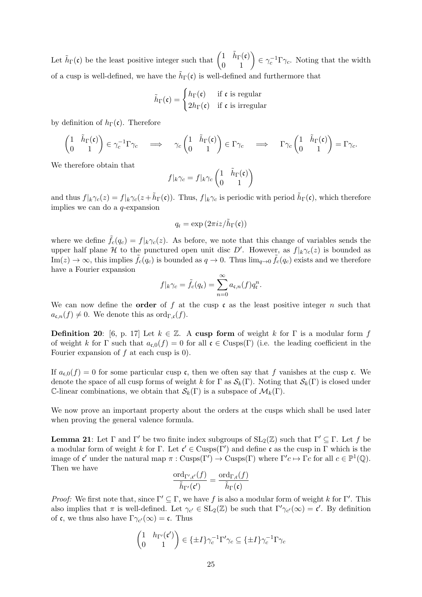Let  $\tilde{h}_{\Gamma}(\mathfrak{c})$  be the least positive integer such that  $\begin{pmatrix} 1 & \tilde{h}_{\Gamma}(\mathfrak{c}) \\ 0 & 1 \end{pmatrix} \in \gamma_c^{-1} \Gamma \gamma_c$ . Noting that the width of a cusp is well-defined, we have the  $\tilde{h}_{\Gamma}(\mathfrak{c})$  is well-defined and furthermore that

$$
\tilde{h}_{\Gamma}(\mathfrak{c}) = \begin{cases} h_{\Gamma}(\mathfrak{c}) & \text{if } \mathfrak{c} \text{ is regular} \\ 2h_{\Gamma}(\mathfrak{c}) & \text{if } \mathfrak{c} \text{ is irregular} \end{cases}
$$

by definition of  $h_{\Gamma}(\mathfrak{c})$ . Therefore

$$
\begin{pmatrix} 1 & \tilde{h}_{\Gamma}(\mathfrak{c}) \\ 0 & 1 \end{pmatrix} \in \gamma_c^{-1} \Gamma \gamma_c \quad \Longrightarrow \quad \gamma_c \begin{pmatrix} 1 & \tilde{h}_{\Gamma}(\mathfrak{c}) \\ 0 & 1 \end{pmatrix} \in \Gamma \gamma_c \quad \Longrightarrow \quad \Gamma \gamma_c \begin{pmatrix} 1 & \tilde{h}_{\Gamma}(\mathfrak{c}) \\ 0 & 1 \end{pmatrix} = \Gamma \gamma_c.
$$

We therefore obtain that

$$
f|_k\gamma_c = f|_k\gamma_c \begin{pmatrix} 1 & \tilde{h}_\Gamma(\mathfrak{c}) \\ 0 & 1 \end{pmatrix}
$$

and thus  $f|_k\gamma_c(z) = f|_k\gamma_c(z+\tilde{h}_{\Gamma}(\mathfrak{c}))$ . Thus,  $f|_k\gamma_c$  is periodic with period  $\tilde{h}_{\Gamma}(\mathfrak{c})$ , which therefore implies we can do a q-expansion

$$
q_{\mathfrak{c}} = \exp\left(2\pi i z/\tilde{h}_{\Gamma}(\mathfrak{c})\right)
$$

where we define  $\tilde{f}_c(q_c) = f|_k \gamma_c(z)$ . As before, we note that this change of variables sends the upper half plane H to the punctured open unit disc D'. However, as  $f|_{k}\gamma_c(z)$  is bounded as  $\text{Im}(z) \to \infty$ , this implies  $\tilde{f}_c(q_c)$  is bounded as  $q \to 0$ . Thus  $\lim_{q\to 0} \tilde{f}_c(q_c)$  exists and we therefore have a Fourier expansion

$$
f|_{k}\gamma_{c} = \tilde{f}_{c}(q_{c}) = \sum_{n=0}^{\infty} a_{c,n}(f)q_{c}^{n}.
$$

We can now define the **order** of f at the cusp c as the least positive integer n such that  $a_{\mathfrak{c},n}(f) \neq 0$ . We denote this as ord<sub>Γ,c</sub>(f).

**Definition 20:** [6, p. 17] Let  $k \in \mathbb{Z}$ . A cusp form of weight k for  $\Gamma$  is a modular form f of weight k for Γ such that  $a_{\epsilon,0}(f) = 0$  for all  $\mathfrak{c} \in \text{Cusps}(\Gamma)$  (i.e. the leading coefficient in the Fourier expansion of  $f$  at each cusp is 0).

If  $a_{\mathfrak{c},0}(f) = 0$  for some particular cusp c, then we often say that f vanishes at the cusp c. We denote the space of all cusp forms of weight k for  $\Gamma$  as  $\mathcal{S}_k(\Gamma)$ . Noting that  $\mathcal{S}_k(\Gamma)$  is closed under C-linear combinations, we obtain that  $\mathcal{S}_k(\Gamma)$  is a subspace of  $\mathcal{M}_k(\Gamma)$ .

We now prove an important property about the orders at the cusps which shall be used later when proving the general valence formula.

**Lemma 21:** Let Γ and Γ' be two finite index subgroups of  $SL_2(\mathbb{Z})$  such that  $\Gamma' \subseteq \Gamma$ . Let f be a modular form of weight k for  $\Gamma$ . Let  $\mathfrak{c}' \in \text{Cusps}(\Gamma')$  and define c as the cusp in  $\Gamma$  which is the image of  $\mathfrak{c}'$  under the natural map  $\pi : \text{Cusps}(\Gamma') \to \text{Cusps}(\Gamma)$  where  $\Gamma'c \mapsto \Gamma c$  for all  $c \in \mathbb{P}^1(\mathbb{Q})$ . Then we have

$$
\frac{\mathrm{ord}_{\Gamma',\mathfrak{c}'}(f)}{\tilde{h}_{\Gamma'}(\mathfrak{c}')}=\frac{\mathrm{ord}_{\Gamma,\mathfrak{c}}(f)}{\tilde{h}_{\Gamma}(\mathfrak{c})}
$$

*Proof:* We first note that, since  $\Gamma' \subseteq \Gamma$ , we have f is also a modular form of weight k for  $\Gamma'$ . This also implies that  $\pi$  is well-defined. Let  $\gamma_{c'} \in SL_2(\mathbb{Z})$  be such that  $\Gamma' \gamma_{c'}(\infty) = \mathfrak{c}'$ . By definition of **c**, we thus also have  $\Gamma \gamma_{c'}(\infty) = \mathfrak{c}$ . Thus

$$
\begin{pmatrix} 1 & h_{\Gamma'}(\mathfrak{c}') \\ 0 & 1 \end{pmatrix} \in \{\pm I\} \gamma_c^{-1} \Gamma' \gamma_c \subseteq \{\pm I\} \gamma_c^{-1} \Gamma \gamma_c
$$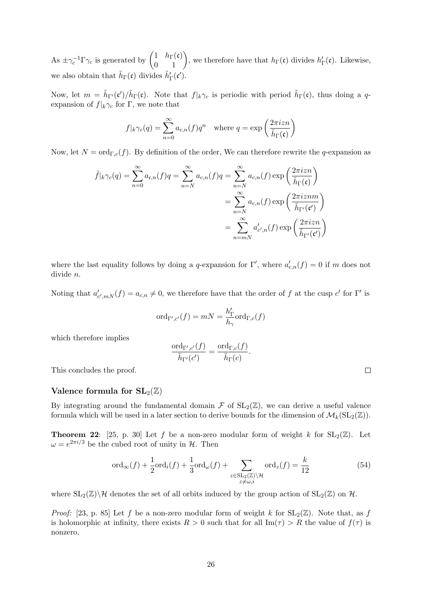As  $\pm \gamma_c^{-1} \Gamma \gamma_c$  is generated by  $\begin{pmatrix} 1 & h_{\Gamma}(\mathfrak{c}) \\ 0 & 1 \end{pmatrix}$ , we therefore have that  $h_{\Gamma}(\mathfrak{c})$  divides  $h'_{\Gamma}(\mathfrak{c})$ . Likewise, we also obtain that  $\tilde{h}_{\Gamma}(\mathfrak{c})$  divides  $\tilde{h}'_{\Gamma}(\mathfrak{c}')$ .

Now, let  $m = \tilde{h}_{\Gamma}(\mathfrak{c}')/\tilde{h}_{\Gamma}(\mathfrak{c})$ . Note that  $f|_k \gamma_c$  is periodic with period  $\tilde{h}_{\Gamma}(\mathfrak{c})$ , thus doing a qexpansion of  $f|_k \gamma_c$  for Γ, we note that

$$
f|_{k}\gamma_c(q) = \sum_{n=0}^{\infty} a_{c,n}(f)q^n \quad \text{where } q = \exp\left(\frac{2\pi i z n}{\tilde{h}_{\Gamma}(\mathfrak{c})}\right)
$$

Now, let  $N = \text{ord}_{\Gamma,c}(f)$ . By definition of the order, We can therefore rewrite the q-expansion as

$$
\tilde{f}|_{k}\gamma_{c}(q) = \sum_{n=0}^{\infty} a_{\mathfrak{c},n}(f)q = \sum_{n=N}^{\infty} a_{c,n}(f)q = \sum_{n=N}^{\infty} a_{c,n}(f) \exp\left(\frac{2\pi i z n}{\tilde{h}_{\Gamma}(\mathfrak{c})}\right)
$$

$$
= \sum_{n=N}^{\infty} a_{c,n}(f) \exp\left(\frac{2\pi i z n m}{\tilde{h}_{\Gamma'}(\mathfrak{c}')} \right)
$$

$$
= \sum_{n=N}^{\infty} a'_{c',n}(f) \exp\left(\frac{2\pi i z n}{\tilde{h}_{\Gamma'}(\mathfrak{c}')} \right)
$$

where the last equality follows by doing a q-expansion for  $\Gamma'$ , where  $a'_{c,n}(f) = 0$  if m does not divide n.

Noting that  $a'_{c',m}(\mathbf{f}) = a_{c,n} \neq 0$ , we therefore have that the order of f at the cusp c' for  $\Gamma'$  is

$$
\mathrm{ord}_{\Gamma',c'}(f)=mN=\frac{h_{\Gamma}'}{h_{\gamma}}\mathrm{ord}_{\Gamma,c}(f)
$$

which therefore implies

$$
\frac{\mathrm{ord}_{\Gamma',c'}(f)}{\tilde{h}_{\Gamma'}(c')}=\frac{\mathrm{ord}_{\Gamma,c}(f)}{\tilde{h}_{\Gamma}(c)}.
$$

This concludes the proof.

## Valence formula for  $SL_2(\mathbb{Z})$

By integrating around the fundamental domain  $\mathcal F$  of  $SL_2(\mathbb{Z})$ , we can derive a useful valence formula which will be used in a later section to derive bounds for the dimension of  $\mathcal{M}_k(SL_2(\mathbb{Z}))$ .

**Theorem 22:** [25, p. 30] Let f be a non-zero modular form of weight k for  $SL_2(\mathbb{Z})$ . Let  $\omega = e^{2\pi i/3}$  be the cubed root of unity in H. Then

$$
\operatorname{ord}_{\infty}(f) + \frac{1}{2}\operatorname{ord}_{i}(f) + \frac{1}{3}\operatorname{ord}_{\omega}(f) + \sum_{z \in SL_{2}(\mathbb{Z}) \backslash \mathcal{H} \atop z \neq \omega, i} \operatorname{ord}_{z}(f) = \frac{k}{12}
$$
(54)

where  $SL_2(\mathbb{Z})\backslash\mathcal{H}$  denotes the set of all orbits induced by the group action of  $SL_2(\mathbb{Z})$  on  $\mathcal{H}$ .

*Proof:* [23, p. 85] Let f be a non-zero modular form of weight k for  $SL_2(\mathbb{Z})$ . Note that, as f is holomorphic at infinity, there exists  $R > 0$  such that for all  $\text{Im}(\tau) > R$  the value of  $f(\tau)$  is nonzero.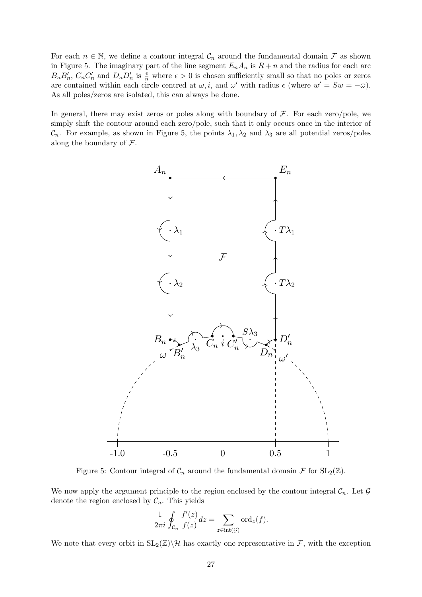For each  $n \in \mathbb{N}$ , we define a contour integral  $\mathcal{C}_n$  around the fundamental domain  $\mathcal F$  as shown in Figure 5. The imaginary part of the line segment  $E_n A_n$  is  $R + n$  and the radius for each arc  $B_n B'_n$ ,  $C_n C'_n$  and  $D_n D'_n$  is  $\frac{\epsilon}{n}$  where  $\epsilon > 0$  is chosen sufficiently small so that no poles or zeros are contained within each circle centred at  $\omega$ , *i*, and  $\omega'$  with radius  $\epsilon$  (where  $w' = Sw = -\bar{\omega}$ ). As all poles/zeros are isolated, this can always be done.

In general, there may exist zeros or poles along with boundary of  $\mathcal F$ . For each zero/pole, we simply shift the contour around each zero/pole, such that it only occurs once in the interior of  $\mathcal{C}_n$ . For example, as shown in Figure 5, the points  $\lambda_1, \lambda_2$  and  $\lambda_3$  are all potential zeros/poles along the boundary of  $\mathcal{F}$ .



Figure 5: Contour integral of  $\mathcal{C}_n$  around the fundamental domain  $\mathcal F$  for  $SL_2(\mathbb Z)$ .

We now apply the argument principle to the region enclosed by the contour integral  $\mathcal{C}_n$ . Let  $\mathcal G$ denote the region enclosed by  $C_n$ . This yields

$$
\frac{1}{2\pi i} \oint_{\mathcal{C}_n} \frac{f'(z)}{f(z)} dz = \sum_{z \in \text{int}(\mathcal{G})} \text{ord}_z(f).
$$

We note that every orbit in  $SL_2(\mathbb{Z})\backslash\mathcal{H}$  has exactly one representative in F, with the exception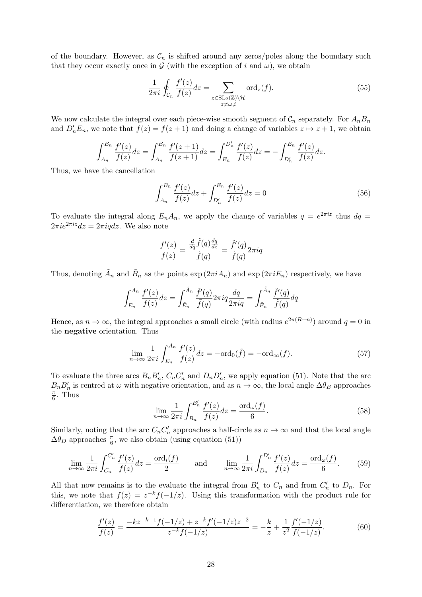of the boundary. However, as  $\mathcal{C}_n$  is shifted around any zeros/poles along the boundary such that they occur exactly once in  $G$  (with the exception of i and  $\omega$ ), we obtain

$$
\frac{1}{2\pi i} \oint_{\mathcal{C}_n} \frac{f'(z)}{f(z)} dz = \sum_{\substack{z \in \text{SL}_2(\mathbb{Z}) \backslash \mathcal{H} \\ z \neq \omega, i}} \text{ord}_z(f). \tag{55}
$$

We now calculate the integral over each piece-wise smooth segment of  $\mathcal{C}_n$  separately. For  $A_nB_n$ and  $D'_nE_n$ , we note that  $f(z) = f(z + 1)$  and doing a change of variables  $z \mapsto z + 1$ , we obtain

$$
\int_{A_n}^{B_n} \frac{f'(z)}{f(z)} dz = \int_{A_n}^{B_n} \frac{f'(z+1)}{f(z+1)} dz = \int_{E_n}^{D'_n} \frac{f'(z)}{f(z)} dz = -\int_{D'_n}^{E_n} \frac{f'(z)}{f(z)} dz.
$$

Thus, we have the cancellation

$$
\int_{A_n}^{B_n} \frac{f'(z)}{f(z)} dz + \int_{D'_n}^{E_n} \frac{f'(z)}{f(z)} dz = 0
$$
\n(56)

To evaluate the integral along  $E_n A_n$ , we apply the change of variables  $q = e^{2\pi i z}$  thus  $dq =$  $2\pi i e^{2\pi i z} dz = 2\pi i q dz$ . We also note

$$
\frac{f'(z)}{f(z)} = \frac{\frac{d}{dq}\tilde{f}(q)\frac{dq}{dz}}{\tilde{f}(q)} = \frac{\tilde{f}'(q)}{\tilde{f}(q)}2\pi i q
$$

Thus, denoting  $\tilde{A}_n$  and  $\tilde{B}_n$  as the points  $\exp(2\pi i A_n)$  and  $\exp(2\pi i E_n)$  respectively, we have

$$
\int_{E_n}^{A_n} \frac{f'(z)}{f(z)} dz = \int_{\tilde{E}_n}^{\tilde{A}_n} \frac{\tilde{f}'(q)}{\tilde{f}(q)} 2\pi i q \frac{dq}{2\pi i q} = \int_{\tilde{E}_n}^{\tilde{A}_n} \frac{\tilde{f}'(q)}{\tilde{f}(q)} dq
$$

Hence, as  $n \to \infty$ , the integral approaches a small circle (with radius  $e^{2\pi(R+n)}$ ) around  $q=0$  in the negative orientation. Thus

$$
\lim_{n \to \infty} \frac{1}{2\pi i} \int_{E_n}^{A_n} \frac{f'(z)}{f(z)} dz = -\text{ord}_0(\tilde{f}) = -\text{ord}_{\infty}(f). \tag{57}
$$

To evaluate the three arcs  $B_n B'_n$ ,  $C_n C'_n$  and  $D_n D'_n$ , we apply equation (51). Note that the arc  $B_n B'_n$  is centred at  $\omega$  with negative orientation, and as  $n \to \infty$ , the local angle  $\Delta \theta_B$  approaches π  $\frac{\pi}{6}$ . Thus

$$
\lim_{n \to \infty} \frac{1}{2\pi i} \int_{B_n}^{B'_n} \frac{f'(z)}{f(z)} dz = \frac{\text{ord}_{\omega}(f)}{6}.
$$
\n(58)

Similarly, noting that the arc  $C_n C'_n$  approaches a half-circle as  $n \to \infty$  and that the local angle  $\Delta\theta_D$  approaches  $\frac{\pi}{6}$ , we also obtain (using equation (51))

$$
\lim_{n \to \infty} \frac{1}{2\pi i} \int_{C_n}^{C'_n} \frac{f'(z)}{f(z)} dz = \frac{\text{ord}_i(f)}{2} \quad \text{and} \quad \lim_{n \to \infty} \frac{1}{2\pi i} \int_{D_n}^{D'_n} \frac{f'(z)}{f(z)} dz = \frac{\text{ord}_\omega(f)}{6}.
$$
 (59)

All that now remains is to the evaluate the integral from  $B'_n$  to  $C_n$  and from  $C'_n$  to  $D_n$ . For this, we note that  $f(z) = z^{-k} f(-1/z)$ . Using this transformation with the product rule for differentiation, we therefore obtain

$$
\frac{f'(z)}{f(z)} = \frac{-kz^{-k-1}f(-1/z) + z^{-k}f'(-1/z)z^{-2}}{z^{-k}f(-1/z)} = -\frac{k}{z} + \frac{1}{z^2}\frac{f'(-1/z)}{f(-1/z)}.
$$
(60)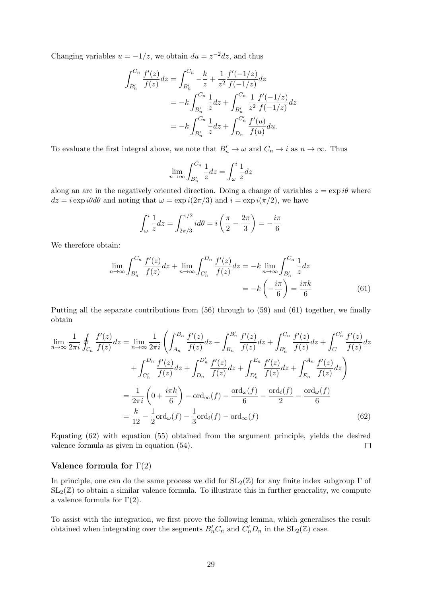Changing variables  $u = -1/z$ , we obtain  $du = z^{-2}dz$ , and thus

$$
\int_{B'_n}^{C_n} \frac{f'(z)}{f(z)} dz = \int_{B'_n}^{C_n} -\frac{k}{z} + \frac{1}{z^2} \frac{f'(-1/z)}{f(-1/z)} dz
$$
  
=  $-k \int_{B'_n}^{C_n} \frac{1}{z} dz + \int_{B'_n}^{C_n} \frac{1}{z^2} \frac{f'(-1/z)}{f(-1/z)} dz$   
=  $-k \int_{B'_n}^{C_n} \frac{1}{z} dz + \int_{D_n}^{C'_n} \frac{f'(u)}{f(u)} du.$ 

To evaluate the first integral above, we note that  $B'_n \to \omega$  and  $C_n \to i$  as  $n \to \infty$ . Thus

$$
\lim_{n \to \infty} \int_{B'_n}^{C_n} \frac{1}{z} dz = \int_{\omega}^{i} \frac{1}{z} dz
$$

along an arc in the negatively oriented direction. Doing a change of variables  $z = \exp i\theta$  where  $dz = i \exp i\theta d\theta$  and noting that  $\omega = \exp i(2\pi/3)$  and  $i = \exp i(\pi/2)$ , we have

$$
\int_{\omega}^{i} \frac{1}{z} dz = \int_{2\pi/3}^{\pi/2} i d\theta = i \left( \frac{\pi}{2} - \frac{2\pi}{3} \right) = -\frac{i\pi}{6}
$$

We therefore obtain:

$$
\lim_{n \to \infty} \int_{B'_n}^{C_n} \frac{f'(z)}{f(z)} dz + \lim_{n \to \infty} \int_{C'_n}^{D_n} \frac{f'(z)}{f(z)} dz = -k \lim_{n \to \infty} \int_{B'_n}^{C_n} \frac{1}{z} dz
$$

$$
= -k \left( -\frac{i\pi}{6} \right) = \frac{i\pi k}{6}
$$
(61)

Putting all the separate contributions from (56) through to (59) and (61) together, we finally obtain

$$
\lim_{n \to \infty} \frac{1}{2\pi i} \oint_{C_n} \frac{f'(z)}{f(z)} dz = \lim_{n \to \infty} \frac{1}{2\pi i} \left( \int_{A_n}^{B_n} \frac{f'(z)}{f(z)} dz + \int_{B_n}^{B'_n} \frac{f'(z)}{f(z)} dz + \int_{B'_n}^{C_n} \frac{f'(z)}{f(z)} dz + \int_{C'_n}^{D'_n} \frac{f'(z)}{f(z)} dz \right) + \int_{C'_n}^{D_n} \frac{f'(z)}{f(z)} dz + \int_{D_n}^{D'_n} \frac{f'(z)}{f(z)} dz + \int_{D'_n}^{E_n} \frac{f'(z)}{f(z)} dz + \int_{E_n}^{A_n} \frac{f'(z)}{f(z)} dz \right)
$$

$$
= \frac{1}{2\pi i} \left( 0 + \frac{i\pi k}{6} \right) - \text{ord}_{\infty}(f) - \frac{\text{ord}_{\omega}(f)}{6} - \frac{\text{ord}_{\omega}(f)}{2} - \frac{\text{ord}_{\omega}(f)}{6}
$$

$$
= \frac{k}{12} - \frac{1}{2} \text{ord}_{\omega}(f) - \frac{1}{3} \text{ord}_{i}(f) - \text{ord}_{\infty}(f) \tag{62}
$$

Equating (62) with equation (55) obtained from the argument principle, yields the desired valence formula as given in equation (54).  $\Box$ 

## Valence formula for  $\Gamma(2)$

In principle, one can do the same process we did for  $SL_2(\mathbb{Z})$  for any finite index subgroup  $\Gamma$  of  $SL_2(\mathbb{Z})$  to obtain a similar valence formula. To illustrate this in further generality, we compute a valence formula for  $Γ(2)$ .

To assist with the integration, we first prove the following lemma, which generalises the result obtained when integrating over the segments  $B'_nC_n$  and  $C'_nD_n$  in the  $SL_2(\mathbb{Z})$  case.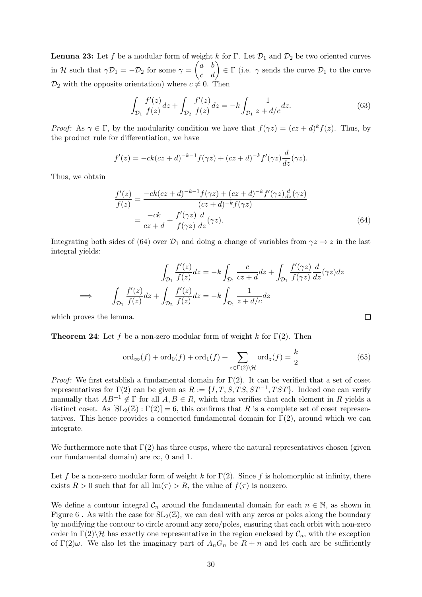**Lemma 23:** Let f be a modular form of weight k for Γ. Let  $\mathcal{D}_1$  and  $\mathcal{D}_2$  be two oriented curves in H such that  $\gamma \mathcal{D}_1 = -\mathcal{D}_2$  for some  $\gamma = \begin{pmatrix} a & b \\ c & d \end{pmatrix} \in \Gamma$  (i.e.  $\gamma$  sends the curve  $\mathcal{D}_1$  to the curve  $\mathcal{D}_2$  with the opposite orientation) where  $c \neq 0$ . Then

$$
\int_{\mathcal{D}_1} \frac{f'(z)}{f(z)} dz + \int_{\mathcal{D}_2} \frac{f'(z)}{f(z)} dz = -k \int_{\mathcal{D}_1} \frac{1}{z + d/c} dz.
$$
\n(63)

*Proof:* As  $\gamma \in \Gamma$ , by the modularity condition we have that  $f(\gamma z) = (cz + d)^k f(z)$ . Thus, by the product rule for differentiation, we have

$$
f'(z) = -ck(cz+d)^{-k-1}f(\gamma z) + (cz+d)^{-k}f'(\gamma z)\frac{d}{dz}(\gamma z).
$$

Thus, we obtain

$$
\frac{f'(z)}{f(z)} = \frac{-ck(cz+d)^{-k-1}f(\gamma z) + (cz+d)^{-k}f'(\gamma z)\frac{d}{dz}(\gamma z)}{(cz+d)^{-k}f(\gamma z)}
$$

$$
= \frac{-ck}{cz+d} + \frac{f'(\gamma z)}{f(\gamma z)}\frac{d}{dz}(\gamma z).
$$
(64)

Integrating both sides of (64) over  $\mathcal{D}_1$  and doing a change of variables from  $\gamma z \to z$  in the last integral yields:

$$
\int_{\mathcal{D}_1} \frac{f'(z)}{f(z)} dz = -k \int_{\mathcal{D}_1} \frac{c}{cz + d} dz + \int_{\mathcal{D}_1} \frac{f'(\gamma z)}{f(\gamma z)} \frac{d}{dz}(\gamma z) dz
$$
  
\n
$$
\implies \qquad \int_{\mathcal{D}_1} \frac{f'(z)}{f(z)} dz + \int_{\mathcal{D}_2} \frac{f'(z)}{f(z)} dz = -k \int_{\mathcal{D}_1} \frac{1}{z + d/c} dz
$$

which proves the lemma.

**Theorem 24:** Let f be a non-zero modular form of weight k for  $\Gamma(2)$ . Then

$$
\operatorname{ord}_{\infty}(f) + \operatorname{ord}_{0}(f) + \operatorname{ord}_{1}(f) + \sum_{z \in \Gamma(2) \backslash \mathcal{H}} \operatorname{ord}_{z}(f) = \frac{k}{2}
$$
(65)

 $\Box$ 

*Proof:* We first establish a fundamental domain for  $\Gamma(2)$ . It can be verified that a set of coset representatives for  $\Gamma(2)$  can be given as  $R := \{I, T, S, TS, ST^{-1}, TST\}$ . Indeed one can verify manually that  $AB^{-1} \notin \Gamma$  for all  $A, B \in R$ , which thus verifies that each element in R yields a distinct coset. As  $[\text{SL}_2(\mathbb{Z}) : \Gamma(2)] = 6$ , this confirms that R is a complete set of coset representatives. This hence provides a connected fundamental domain for  $\Gamma(2)$ , around which we can integrate.

We furthermore note that  $\Gamma(2)$  has three cusps, where the natural representatives chosen (given our fundamental domain) are  $\infty$ , 0 and 1.

Let f be a non-zero modular form of weight k for  $\Gamma(2)$ . Since f is holomorphic at infinity, there exists  $R > 0$  such that for all  $\text{Im}(\tau) > R$ , the value of  $f(\tau)$  is nonzero.

We define a contour integral  $\mathcal{C}_n$  around the fundamental domain for each  $n \in \mathbb{N}$ , as shown in Figure 6. As with the case for  $SL_2(\mathbb{Z})$ , we can deal with any zeros or poles along the boundary by modifying the contour to circle around any zero/poles, ensuring that each orbit with non-zero order in  $\Gamma(2)\backslash \mathcal{H}$  has exactly one representative in the region enclosed by  $\mathcal{C}_n$ , with the exception of  $\Gamma(2)\omega$ . We also let the imaginary part of  $A_nG_n$  be  $R+n$  and let each arc be sufficiently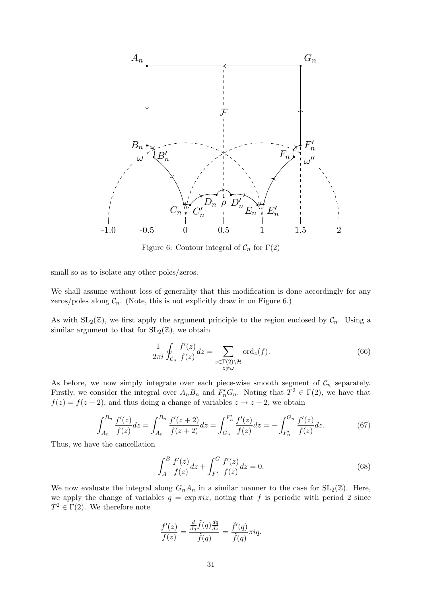

Figure 6: Contour integral of  $C_n$  for  $\Gamma(2)$ 

small so as to isolate any other poles/zeros.

We shall assume without loss of generality that this modification is done accordingly for any zeros/poles along  $C_n$ . (Note, this is not explicitly draw in on Figure 6.)

As with  $SL_2(\mathbb{Z})$ , we first apply the argument principle to the region enclosed by  $\mathcal{C}_n$ . Using a similar argument to that for  $SL_2(\mathbb{Z})$ , we obtain

$$
\frac{1}{2\pi i} \oint_{\mathcal{C}_n} \frac{f'(z)}{f(z)} dz = \sum_{\substack{z \in \Gamma(2) \backslash \mathcal{H} \\ z \neq \omega}} \text{ord}_z(f). \tag{66}
$$

As before, we now simply integrate over each piece-wise smooth segment of  $C_n$  separately. Firstly, we consider the integral over  $A_n B_n$  and  $F'_n G_n$ . Noting that  $T^2 \in \Gamma(2)$ , we have that  $f(z) = f(z + 2)$ , and thus doing a change of variables  $z \to z + 2$ , we obtain

$$
\int_{A_n}^{B_n} \frac{f'(z)}{f(z)} dz = \int_{A_n}^{B_n} \frac{f'(z+2)}{f(z+2)} dz = \int_{G_n}^{F'_n} \frac{f'(z)}{f(z)} dz = -\int_{F'_n}^{G_n} \frac{f'(z)}{f(z)} dz.
$$
 (67)

Thus, we have the cancellation

$$
\int_{A}^{B} \frac{f'(z)}{f(z)} dz + \int_{F'}^{G} \frac{f'(z)}{f(z)} dz = 0.
$$
\n(68)

We now evaluate the integral along  $G_nA_n$  in a similar manner to the case for  $SL_2(\mathbb{Z})$ . Here, we apply the change of variables  $q = \exp \pi i z$ , noting that f is periodic with period 2 since  $T^2 \in \Gamma(2)$ . We therefore note

$$
\frac{f'(z)}{f(z)} = \frac{\frac{d}{dq}\tilde{f}(q)\frac{dq}{dz}}{\tilde{f}(q)} = \frac{\tilde{f}'(q)}{\tilde{f}(q)}\pi i q.
$$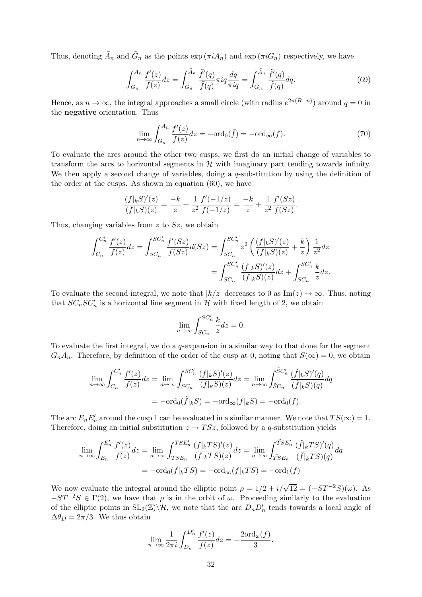Thus, denoting  $\tilde{A}_n$  and  $\tilde{G}_n$  as the points  $\exp(\pi i A_n)$  and  $\exp(\pi i G_n)$  respectively, we have

$$
\int_{G_n}^{A_n} \frac{f'(z)}{f(z)} dz = \int_{\tilde{G}_n}^{\tilde{A}_n} \frac{\tilde{f}'(q)}{\tilde{f}(q)} \pi i q \frac{dq}{\pi i q} = \int_{\tilde{G}_n}^{\tilde{A}_n} \frac{\tilde{f}'(q)}{\tilde{f}(q)} dq.
$$
(69)

Hence, as  $n \to \infty$ , the integral approaches a small circle (with radius  $e^{2\pi(R+n)}$ ) around  $q=0$  in the negative orientation. Thus

$$
\lim_{n \to \infty} \int_{G_n}^{A_n} \frac{f'(z)}{f(z)} dz = -\text{ord}_0(\tilde{f}) = -\text{ord}_{\infty}(f). \tag{70}
$$

To evaluate the arcs around the other two cusps, we first do an initial change of variables to transform the arcs to horizontal segments in  $\mathcal{H}$  with imaginary part tending towards infinity. We then apply a second change of variables, doing a  $q$ -substitution by using the definition of the order at the cusps. As shown in equation (60), we have

$$
\frac{(f|_{k}S)'(z)}{(f|_{k}S)(z)} = \frac{-k}{z} + \frac{1}{z^{2}} \frac{f'(-1/z)}{f(-1/z)} = \frac{-k}{z} + \frac{1}{z^{2}} \frac{f'(Sz)}{f(Sz)}.
$$

Thus, changing variables from  $z$  to  $Sz$ , we obtain

$$
\int_{C_n}^{C'_n} \frac{f'(z)}{f(z)} dz = \int_{SC_n}^{SC'_n} \frac{f'(Sz)}{f(Sz)} d(Sz) = \int_{SC_n}^{SC'_n} z^2 \left( \frac{(f|_k S)'(z)}{(f|_k S)(z)} + \frac{k}{z} \right) \frac{1}{z^2} dz
$$
  
= 
$$
\int_{SC_n}^{SC'_n} \frac{(f|_k S)'(z)}{(f|_k S)(z)} dz + \int_{SC_n}^{SC'_n} \frac{k}{z} dz.
$$

To evaluate the second integral, we note that  $|k/z|$  decreases to 0 as  $\text{Im}(z) \to \infty$ . Thus, noting that  $SC_nSC_n'$  is a horizontal line segment in H with fixed length of 2, we obtain

$$
\lim_{n \to \infty} \int_{SC_n}^{SC_n'} \frac{k}{z} dz = 0.
$$

To evaluate the first integral, we do a  $q$ -expansion in a similar way to that done for the segment  $G_nA_n$ . Therefore, by definition of the order of the cusp at 0, noting that  $S(\infty) = 0$ , we obtain

$$
\lim_{n \to \infty} \int_{C_n}^{C'_n} \frac{f'(z)}{f(z)} dz = \lim_{n \to \infty} \int_{SC_n}^{SC'_n} \frac{(f|_k S)'(z)}{(f|_k S)(z)} dz = \lim_{n \to \infty} \int_{\tilde{S}C_n}^{\tilde{S}C'_n} \frac{(\tilde{f}|_k S)'(q)}{(\tilde{f}|_k S)(q)} dq
$$
  
=  $-\text{ord}_0(\tilde{f}|_k S) = -\text{ord}_\infty(f|_k S) = -\text{ord}_0(f).$ 

The arc  $E_n E_n'$  around the cusp 1 can be evaluated in a similar manner. We note that  $TS(\infty) = 1$ . Therefore, doing an initial substitution  $z \mapsto TSz$ , followed by a q-substitution yields

$$
\lim_{n \to \infty} \int_{E_n}^{E'_n} \frac{f'(z)}{f(z)} dz = \lim_{n \to \infty} \int_{TSE_n}^{TSE'_n} \frac{(f|_kTS)'(z)}{(f|_kTS)(z)} dz = \lim_{n \to \infty} \int_{\tilde{T}SE_n}^{\tilde{T}SE'_n} \frac{(\tilde{f}|_kTS)'(q)}{(\tilde{f}|_kTS)(q)} dq
$$

$$
= -\text{ord}_0(\tilde{f}|_kTS) = -\text{ord}_\infty(f|_kTS) = -\text{ord}_1(f)
$$

We now evaluate the integral around the elliptic point  $\rho = 1/2 + i/\sqrt{12} = (-ST^{-2}S)(\omega)$ . As  $-ST^{-2}S \in \Gamma(2)$ , we have that  $\rho$  is in the orbit of  $\omega$ . Proceeding similarly to the evaluation of the elliptic points in  $SL_2(\mathbb{Z})\backslash\mathcal{H}$ , we note that the arc  $D_nD'_n$  tends towards a local angle of  $\Delta\theta_D = 2\pi/3$ . We thus obtain

$$
\lim_{n \to \infty} \frac{1}{2\pi i} \int_{D_n}^{D'_n} \frac{f'(z)}{f(z)} dz = -\frac{2\text{ord}_{\omega}(f)}{3}.
$$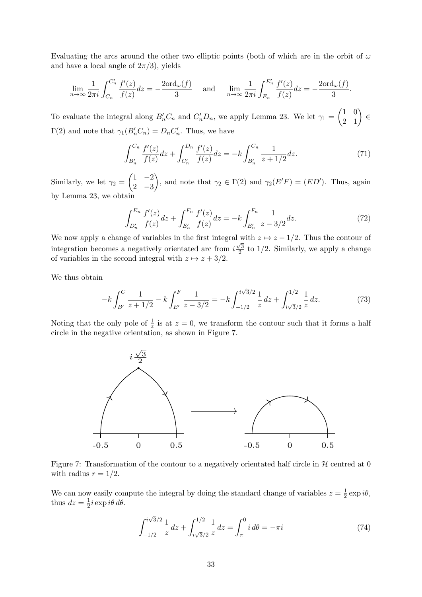Evaluating the arcs around the other two elliptic points (both of which are in the orbit of  $\omega$ and have a local angle of  $2\pi/3$ , yields

$$
\lim_{n \to \infty} \frac{1}{2\pi i} \int_{C_n}^{C'_n} \frac{f'(z)}{f(z)} dz = -\frac{2\text{ord}_{\omega}(f)}{3} \quad \text{and} \quad \lim_{n \to \infty} \frac{1}{2\pi i} \int_{E_n}^{E'_n} \frac{f'(z)}{f(z)} dz = -\frac{2\text{ord}_{\omega}(f)}{3}.
$$

To evaluate the integral along  $B'_nC_n$  and  $C'_nD_n$ , we apply Lemma 23. We let  $\gamma_1 = \begin{pmatrix} 1 & 0 \\ 2 & 1 \end{pmatrix} \in$  $\Gamma(2)$  and note that  $\gamma_1(B'_nC_n) = D_nC'_n$ . Thus, we have

$$
\int_{B'_n}^{C_n} \frac{f'(z)}{f(z)} dz + \int_{C'_n}^{D_n} \frac{f'(z)}{f(z)} dz = -k \int_{B'_n}^{C_n} \frac{1}{z + 1/2} dz.
$$
 (71)

Similarly, we let  $\gamma_2 = \begin{pmatrix} 1 & -2 \\ 2 & 2 \end{pmatrix}$ 2 −3 ), and note that  $\gamma_2 \in \Gamma(2)$  and  $\gamma_2(E'F) = (ED')$ . Thus, again by Lemma 23, we obtain

$$
\int_{D'_n}^{E_n} \frac{f'(z)}{f(z)} dz + \int_{E'_n}^{F_n} \frac{f'(z)}{f(z)} dz = -k \int_{E'_n}^{F_n} \frac{1}{z - 3/2} dz.
$$
 (72)

We now apply a change of variables in the first integral with  $z \mapsto z - 1/2$ . Thus the contour of integration becomes a negatively orientated arc from i  $\frac{1}{\sqrt{3}}$  $\frac{\sqrt{3}}{2}$  to 1/2. Similarly, we apply a change of variables in the second integral with  $z \mapsto z + 3/2$ .

We thus obtain

$$
-k\int_{B'}^{C} \frac{1}{z+1/2} - k\int_{E'}^{F} \frac{1}{z-3/2} = -k\int_{-1/2}^{i\sqrt{3}/2} \frac{1}{z} dz + \int_{i\sqrt{3}/2}^{1/2} \frac{1}{z} dz.
$$
 (73)

Noting that the only pole of  $\frac{1}{z}$  is at  $z = 0$ , we transform the contour such that it forms a half circle in the negative orientation, as shown in Figure 7.



Figure 7: Transformation of the contour to a negatively orientated half circle in  $H$  centred at 0 with radius  $r = 1/2$ .

We can now easily compute the integral by doing the standard change of variables  $z = \frac{1}{2}$  $rac{1}{2}$  exp  $i\theta$ , thus  $dz = \frac{1}{2}$  $\frac{1}{2}i \exp i\theta \, d\theta.$ 

$$
\int_{-1/2}^{i\sqrt{3}/2} \frac{1}{z} dz + \int_{i\sqrt{3}/2}^{1/2} \frac{1}{z} dz = \int_{\pi}^{0} i d\theta = -\pi i
$$
 (74)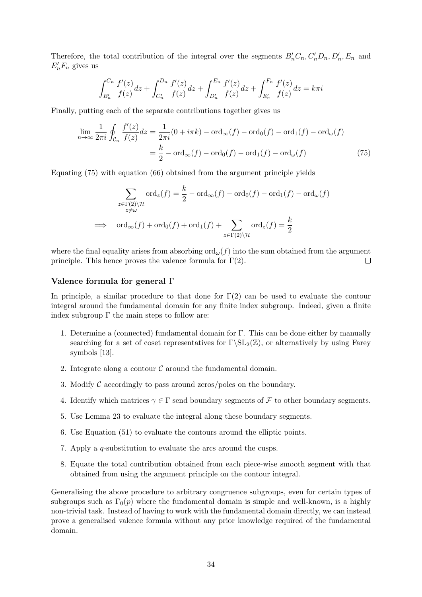Therefore, the total contribution of the integral over the segments  $B'_nC_n, C'_nD_n, D'_n, E_n$  and  $E'_n F_n$  gives us

$$
\int_{B'_n}^{C_n} \frac{f'(z)}{f(z)} dz + \int_{C'_n}^{D_n} \frac{f'(z)}{f(z)} dz + \int_{D'_n}^{E_n} \frac{f'(z)}{f(z)} dz + \int_{E'_n}^{F_n} \frac{f'(z)}{f(z)} dz = k\pi i
$$

Finally, putting each of the separate contributions together gives us

$$
\lim_{n \to \infty} \frac{1}{2\pi i} \oint_{\mathcal{C}_n} \frac{f'(z)}{f(z)} dz = \frac{1}{2\pi i} (0 + i\pi k) - \text{ord}_{\infty}(f) - \text{ord}_{0}(f) - \text{ord}_{1}(f) - \text{ord}_{\omega}(f)
$$

$$
= \frac{k}{2} - \text{ord}_{\infty}(f) - \text{ord}_{0}(f) - \text{ord}_{1}(f) - \text{ord}_{\omega}(f) \tag{75}
$$

Equating (75) with equation (66) obtained from the argument principle yields

$$
\sum_{\substack{z \in \Gamma(2) \setminus \mathcal{H} \\ z \neq \omega}} \text{ord}_z(f) = \frac{k}{2} - \text{ord}_{\infty}(f) - \text{ord}_0(f) - \text{ord}_1(f) - \text{ord}_{\omega}(f)
$$
  

$$
\implies \text{ord}_{\infty}(f) + \text{ord}_0(f) + \text{ord}_1(f) + \sum_{z \in \Gamma(2) \setminus \mathcal{H}} \text{ord}_z(f) = \frac{k}{2}
$$

where the final equality arises from absorbing  $\text{ord}_{\omega}(f)$  into the sum obtained from the argument principle. This hence proves the valence formula for  $\Gamma(2)$ .  $\Box$ 

## Valence formula for general Γ

In principle, a similar procedure to that done for  $\Gamma(2)$  can be used to evaluate the contour integral around the fundamental domain for any finite index subgroup. Indeed, given a finite index subgroup  $\Gamma$  the main steps to follow are:

- 1. Determine a (connected) fundamental domain for Γ. This can be done either by manually searching for a set of coset representatives for  $\Gamma\setminus SL_2(\mathbb{Z})$ , or alternatively by using Farey symbols [13].
- 2. Integrate along a contour  $\mathcal C$  around the fundamental domain.
- 3. Modify  $\mathcal C$  accordingly to pass around zeros/poles on the boundary.
- 4. Identify which matrices  $\gamma \in \Gamma$  send boundary segments of F to other boundary segments.
- 5. Use Lemma 23 to evaluate the integral along these boundary segments.
- 6. Use Equation (51) to evaluate the contours around the elliptic points.
- 7. Apply a q-substitution to evaluate the arcs around the cusps.
- 8. Equate the total contribution obtained from each piece-wise smooth segment with that obtained from using the argument principle on the contour integral.

Generalising the above procedure to arbitrary congruence subgroups, even for certain types of subgroups such as  $\Gamma_0(p)$  where the fundamental domain is simple and well-known, is a highly non-trivial task. Instead of having to work with the fundamental domain directly, we can instead prove a generalised valence formula without any prior knowledge required of the fundamental domain.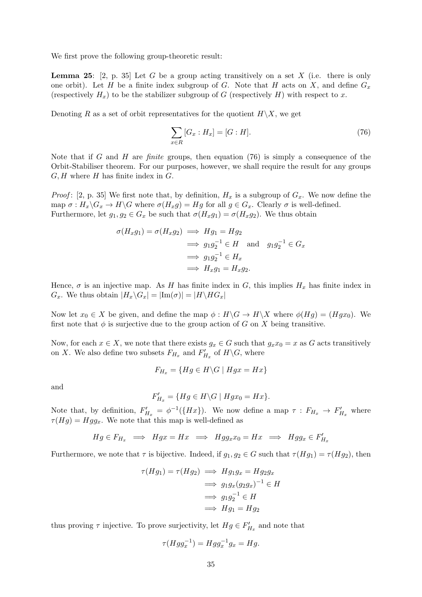We first prove the following group-theoretic result:

**Lemma 25:** [2, p. 35] Let G be a group acting transitively on a set X (i.e. there is only one orbit). Let H be a finite index subgroup of G. Note that H acts on X, and define  $G_x$ (respectively  $H_x$ ) to be the stabilizer subgroup of G (respectively H) with respect to x.

Denoting R as a set of orbit representatives for the quotient  $H\backslash X$ , we get

$$
\sum_{x \in R} [G_x : H_x] = [G : H]. \tag{76}
$$

Note that if G and H are finite groups, then equation  $(76)$  is simply a consequence of the Orbit-Stabiliser theorem. For our purposes, however, we shall require the result for any groups  $G, H$  where  $H$  has finite index in  $G$ .

*Proof*: [2, p. 35] We first note that, by definition,  $H_x$  is a subgroup of  $G_x$ . We now define the map  $\sigma : H_x \backslash G_x \to H \backslash G$  where  $\sigma(H_x g) = Hg$  for all  $g \in G_x$ . Clearly  $\sigma$  is well-defined. Furthermore, let  $g_1, g_2 \in G_x$  be such that  $\sigma(H_x g_1) = \sigma(H_x g_2)$ . We thus obtain

$$
\sigma(H_x g_1) = \sigma(H_x g_2) \implies Hg_1 = Hg_2
$$
  
\n
$$
\implies g_1 g_2^{-1} \in H \text{ and } g_1 g_2^{-1} \in G_x
$$
  
\n
$$
\implies g_1 g_2^{-1} \in H_x
$$
  
\n
$$
\implies H_x g_1 = H_x g_2.
$$

Hence,  $\sigma$  is an injective map. As H has finite index in G, this implies  $H_x$  has finite index in  $G_x$ . We thus obtain  $|H_x\backslash G_x| = |\text{Im}(\sigma)| = |H\backslash HG_x|$ 

Now let  $x_0 \in X$  be given, and define the map  $\phi : H \backslash G \to H \backslash X$  where  $\phi(Hg) = (Hgx_0)$ . We first note that  $\phi$  is surjective due to the group action of G on X being transitive.

Now, for each  $x \in X$ , we note that there exists  $g_x \in G$  such that  $g_x x_0 = x$  as G acts transitively on X. We also define two subsets  $F_{H_x}$  and  $F'_{H_x}$  of  $H \backslash G$ , where

$$
F_{H_x} = \{ Hg \in H \backslash G \mid Hgx = Hx \}
$$

and

$$
F'_{H_x} = \{ Hg \in H \backslash G \mid Hgx_0 = Hx \}.
$$

Note that, by definition,  $F'_{H_x} = \phi^{-1}(\lbrace Hx \rbrace)$ . We now define a map  $\tau : F_{H_x} \to F'_{H_x}$  where  $\tau(Hg) = Hgg_x$ . We note that this map is well-defined as

$$
Hg \in F_{H_x} \implies Hgx = Hx \implies Hgg_x x_0 = Hx \implies Hgg_x \in F'_{H_x}
$$

Furthermore, we note that  $\tau$  is bijective. Indeed, if  $g_1, g_2 \in G$  such that  $\tau(Hg_1) = \tau(Hg_2)$ , then

$$
\tau(Hg_1) = \tau(Hg_2) \implies Hg_1g_x = Hg_2g_x
$$
  
\n
$$
\implies g_1g_x(g_2g_x)^{-1} \in H
$$
  
\n
$$
\implies g_1g_2^{-1} \in H
$$
  
\n
$$
\implies Hg_1 = Hg_2
$$

thus proving  $\tau$  injective. To prove surjectivity, let  $Hg \in F'_{H_x}$  and note that

$$
\tau(Hgg_x^{-1}) = Hgg_x^{-1}g_x = Hg.
$$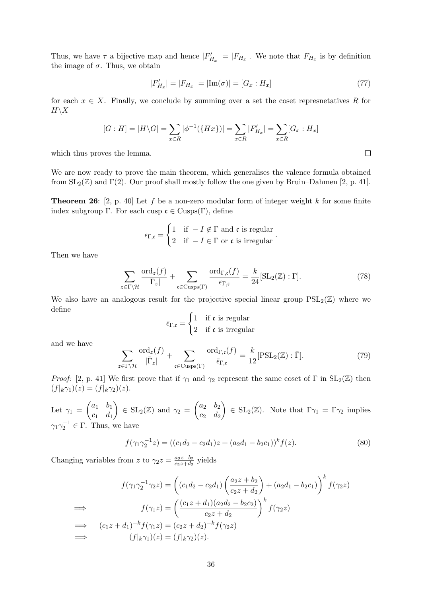Thus, we have  $\tau$  a bijective map and hence  $|F'_{H_x}| = |F_{H_x}|$ . We note that  $F_{H_x}$  is by definition the image of  $\sigma$ . Thus, we obtain

$$
|F'_{H_x}| = |F_{H_x}| = |\text{Im}(\sigma)| = [G_x : H_x]
$$
\n(77)

for each  $x \in X$ . Finally, we conclude by summing over a set the coset represnetatives R for  $H\backslash X$ 

$$
[G:H] = |H\backslash G| = \sum_{x \in R} |\phi^{-1}(\{Hx\})| = \sum_{x \in R} |F'_{H_x}| = \sum_{x \in R} [G_x : H_x]
$$

which thus proves the lemma.

We are now ready to prove the main theorem, which generalises the valence formula obtained from  $SL_2(\mathbb{Z})$  and  $\Gamma(2)$ . Our proof shall mostly follow the one given by Bruin–Dahmen [2, p. 41].

**Theorem 26:** [2, p. 40] Let f be a non-zero modular form of integer weight k for some finite index subgroup Γ. For each cusp  $\mathfrak{c} \in \text{Cusps}(\Gamma)$ , define

$$
\epsilon_{\Gamma,\mathfrak{c}} = \begin{cases} 1 & \text{if } -I \notin \Gamma \text{ and } \mathfrak{c} \text{ is regular} \\ 2 & \text{if } -I \in \Gamma \text{ or } \mathfrak{c} \text{ is irregular} \end{cases}
$$

Then we have

$$
\sum_{z \in \Gamma \backslash \mathcal{H}} \frac{\text{ord}_z(f)}{|\Gamma_z|} + \sum_{\mathfrak{c} \in \text{Cusps}(\Gamma)} \frac{\text{ord}_{\Gamma,\mathfrak{c}}(f)}{\epsilon_{\Gamma,\mathfrak{c}}} = \frac{k}{24} [\text{SL}_2(\mathbb{Z}) : \Gamma]. \tag{78}
$$

.

We also have an analogous result for the projective special linear group  $PSL_2(\mathbb{Z})$  where we define

$$
\bar{\epsilon}_{\Gamma,\mathfrak{c}} = \begin{cases} 1 & \text{if } \mathfrak{c} \text{ is regular} \\ 2 & \text{if } \mathfrak{c} \text{ is irregular} \end{cases}
$$

and we have

$$
\sum_{z \in \Gamma \backslash \mathcal{H}} \frac{\text{ord}_z(f)}{|\overline{\Gamma}_z|} + \sum_{\mathfrak{c} \in \text{Cusps}(\Gamma)} \frac{\text{ord}_{\Gamma,\mathfrak{c}}(f)}{\overline{\epsilon}_{\Gamma,\mathfrak{c}}} = \frac{k}{12} [\text{PSL}_2(\mathbb{Z}) : \overline{\Gamma}]. \tag{79}
$$

*Proof:* [2, p. 41] We first prove that if  $\gamma_1$  and  $\gamma_2$  represent the same coset of  $\Gamma$  in  $SL_2(\mathbb{Z})$  then  $(f|_{k}\gamma_1)(z) = (f|_{k}\gamma_2)(z).$ 

Let  $\gamma_1 = \begin{pmatrix} a_1 & b_1 \\ a_1 & d \end{pmatrix}$  $c_1$   $d_1$  $\Big) \in SL_2(\mathbb{Z})$  and  $\gamma_2 = \begin{pmatrix} a_2 & b_2 \\ a & d \end{pmatrix}$  $c_2$   $d_2$  $\Big\} \in SL_2(\mathbb{Z})$ . Note that  $\Gamma_{\gamma_1} = \Gamma_{\gamma_2}$  implies  $\gamma_1 \gamma_2^{-1} \in \Gamma$ . Thus, we have

$$
f(\gamma_1 \gamma_2^{-1} z) = ((c_1 d_2 - c_2 d_1) z + (a_2 d_1 - b_2 c_1))^k f(z).
$$
\n(80)

Changing variables from z to  $\gamma_2 z = \frac{az+b_2}{cz+d_2}$  $rac{a_2z+b_2}{c_2z+d_2}$  yields

$$
f(\gamma_1 \gamma_2^{-1} \gamma_2 z) = \left( (c_1 d_2 - c_2 d_1) \left( \frac{a_2 z + b_2}{c_2 z + d_2} \right) + (a_2 d_1 - b_2 c_1) \right)^k f(\gamma_2 z)
$$
  
\n
$$
\implies f(\gamma_1 z) = \left( \frac{(c_1 z + d_1)(a_2 d_2 - b_2 c_2)}{c_2 z + d_2} \right)^k f(\gamma_2 z)
$$
  
\n
$$
\implies (c_1 z + d_1)^{-k} f(\gamma_1 z) = (c_2 z + d_2)^{-k} f(\gamma_2 z)
$$
  
\n
$$
\implies (f|_k \gamma_1)(z) = (f|_k \gamma_2)(z).
$$

 $\Box$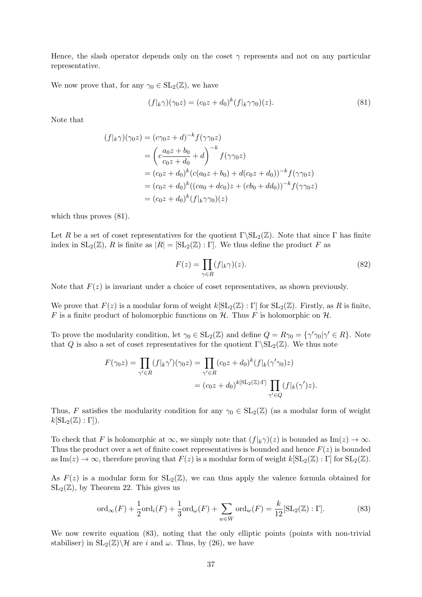Hence, the slash operator depends only on the coset  $\gamma$  represents and not on any particular representative.

We now prove that, for any  $\gamma_0 \in SL_2(\mathbb{Z})$ , we have

$$
(f|_{k}\gamma)(\gamma_0 z) = (c_0 z + d_0)^k (f|_{k}\gamma\gamma_0)(z). \tag{81}
$$

Note that

$$
(f|_{k}\gamma)(\gamma_{0}z) = (c\gamma_{0}z + d)^{-k} f(\gamma\gamma_{0}z)
$$
  
=  $\left(c\frac{a_{0}z + b_{0}}{c_{0}z + d_{0}} + d\right)^{-k} f(\gamma\gamma_{0}z)$   
=  $(c_{0}z + d_{0})^{k} (c(a_{0}z + b_{0}) + d(c_{0}z + d_{0}))^{-k} f(\gamma\gamma_{0}z)$   
=  $(c_{0}z + d_{0})^{k} ((ca_{0} + dc_{0})z + (cb_{0} + dd_{0}))^{-k} f(\gamma\gamma_{0}z)$   
=  $(c_{0}z + d_{0})^{k} (f|_{k}\gamma\gamma_{0})(z)$ 

which thus proves  $(81)$ .

Let R be a set of coset representatives for the quotient  $\Gamma \setminus SL_2(\mathbb{Z})$ . Note that since  $\Gamma$  has finite index in  $SL_2(\mathbb{Z})$ , R is finite as  $|R| = |SL_2(\mathbb{Z}) : \Gamma|$ . We thus define the product F as

$$
F(z) = \prod_{\gamma \in R} (f|_{k}\gamma)(z). \tag{82}
$$

Note that  $F(z)$  is invariant under a choice of coset representatives, as shown previously.

We prove that  $F(z)$  is a modular form of weight  $k[\text{SL}_2(\mathbb{Z}) : \Gamma]$  for  $\text{SL}_2(\mathbb{Z})$ . Firstly, as R is finite, F is a finite product of holomorphic functions on  $H$ . Thus F is holomorphic on  $H$ .

To prove the modularity condition, let  $\gamma_0 \in SL_2(\mathbb{Z})$  and define  $Q = R\gamma_0 = {\gamma'\gamma_0|\gamma' \in R}$ . Note that Q is also a set of coset representatives for the quotient  $\Gamma \backslash SL_2(\mathbb{Z})$ . We thus note

$$
F(\gamma_0 z) = \prod_{\gamma' \in R} (f|_k \gamma')(\gamma_0 z) = \prod_{\gamma' \in R} (c_0 z + d_0)^k (f|_k (\gamma' \gamma_0) z)
$$
  
=  $(c_0 z + d_0)^{k[\text{SL}_2(\mathbb{Z}):\Gamma]} \prod_{\gamma' \in Q} (f|_k (\gamma') z).$ 

Thus, F satisfies the modularity condition for any  $\gamma_0 \in SL_2(\mathbb{Z})$  (as a modular form of weight  $k[\operatorname{SL}_2(\mathbb{Z}):\Gamma]).$ 

To check that F is holomorphic at  $\infty$ , we simply note that  $(f|_k \gamma)(z)$  is bounded as Im $(z) \to \infty$ . Thus the product over a set of finite coset representatives is bounded and hence  $F(z)$  is bounded as  $\text{Im}(z) \to \infty$ , therefore proving that  $F(z)$  is a modular form of weight  $k[\text{SL}_2(\mathbb{Z}) : \Gamma]$  for  $\text{SL}_2(\mathbb{Z})$ .

As  $F(z)$  is a modular form for  $SL_2(\mathbb{Z})$ , we can thus apply the valence formula obtained for  $SL_2(\mathbb{Z})$ , by Theorem 22. This gives us

$$
\operatorname{ord}_{\infty}(F) + \frac{1}{2}\operatorname{ord}_{i}(F) + \frac{1}{3}\operatorname{ord}_{\omega}(F) + \sum_{w \in W} \operatorname{ord}_{w}(F) = \frac{k}{12} [\operatorname{SL}_{2}(\mathbb{Z}) : \Gamma]. \tag{83}
$$

We now rewrite equation (83), noting that the only elliptic points (points with non-trivial stabiliser) in  $SL_2(\mathbb{Z})\backslash\mathcal{H}$  are i and  $\omega$ . Thus, by (26), we have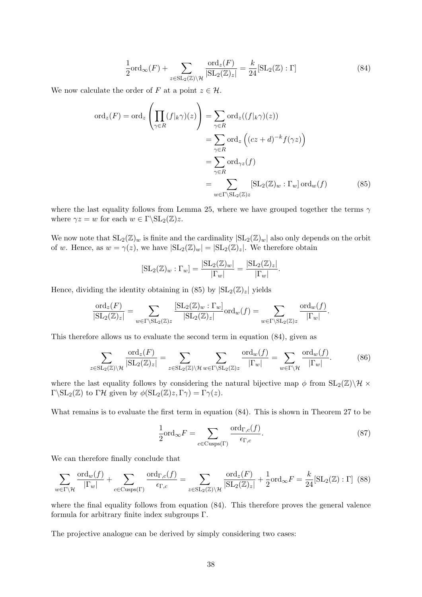$$
\frac{1}{2}\text{ord}_{\infty}(F) + \sum_{z \in \text{SL}_2(\mathbb{Z}) \backslash \mathcal{H}} \frac{\text{ord}_z(F)}{|\text{SL}_2(\mathbb{Z})_z|} = \frac{k}{24} [\text{SL}_2(\mathbb{Z}) : \Gamma] \tag{84}
$$

We now calculate the order of F at a point  $z \in \mathcal{H}$ .

$$
\begin{split} \text{ord}_{z}(F) &= \text{ord}_{z} \left( \prod_{\gamma \in R} (f|_{k}\gamma)(z) \right) = \sum_{\gamma \in R} \text{ord}_{z}((f|_{k}\gamma)(z)) \\ &= \sum_{\gamma \in R} \text{ord}_{z} \left( (cz+d)^{-k} f(\gamma z) \right) \\ &= \sum_{\gamma \in R} \text{ord}_{\gamma z}(f) \\ &= \sum_{w \in \Gamma \backslash \mathrm{SL}_{2}(\mathbb{Z})z} [\text{SL}_{2}(\mathbb{Z})_{w} : \Gamma_{w}] \text{ ord}_{w}(f) \end{split} \tag{85}
$$

where the last equality follows from Lemma 25, where we have grouped together the terms  $\gamma$ where  $\gamma z = w$  for each  $w \in \Gamma \backslash \mathrm{SL}_2(\mathbb{Z})z$ .

We now note that  $SL_2(\mathbb{Z})_w$  is finite and the cardinality  $|SL_2(\mathbb{Z})_w|$  also only depends on the orbit of w. Hence, as  $w = \gamma(z)$ , we have  $|SL_2(\mathbb{Z})_w| = |SL_2(\mathbb{Z})_z|$ . We therefore obtain

$$
[\operatorname{SL}_2(\mathbb{Z})_w : \Gamma_w] = \frac{|\operatorname{SL}_2(\mathbb{Z})_w|}{|\Gamma_w|} = \frac{|\operatorname{SL}_2(\mathbb{Z})_z|}{|\Gamma_w|}.
$$

Hence, dividing the identity obtaining in (85) by  $|SL_2(\mathbb{Z})_z|$  yields

$$
\frac{\mathrm{ord}_{z}(F)}{|\mathrm{SL}_{2}(\mathbb{Z})_{z}|}=\sum_{w\in \Gamma \backslash \mathrm{SL}_{2}(\mathbb{Z})z}\frac{[\mathrm{SL}_{2}(\mathbb{Z})_{w}:\Gamma_{w}]}{|\mathrm{SL}_{2}(\mathbb{Z})_{z}|}\mathrm{ord}_{w}(f)=\sum_{w\in \Gamma \backslash \mathrm{SL}_{2}(\mathbb{Z})z}\frac{\mathrm{ord}_{w}(f)}{|\Gamma_{w}|}.
$$

This therefore allows us to evaluate the second term in equation (84), given as

$$
\sum_{z \in \mathrm{SL}_2(\mathbb{Z}) \backslash \mathcal{H}} \frac{\mathrm{ord}_z(F)}{|\mathrm{SL}_2(\mathbb{Z})_z|} = \sum_{z \in \mathrm{SL}_2(\mathbb{Z}) \backslash \mathcal{H}} \sum_{w \in \Gamma \backslash \mathrm{SL}_2(\mathbb{Z})_z} \frac{\mathrm{ord}_w(f)}{|\Gamma_w|} = \sum_{w \in \Gamma \backslash \mathcal{H}} \frac{\mathrm{ord}_w(f)}{|\Gamma_w|}.
$$
(86)

where the last equality follows by considering the natural bijective map  $\phi$  from  $SL_2(\mathbb{Z})\backslash\mathcal{H}\times$  $\Gamma\backslash \mathrm{SL}_2(\mathbb{Z})$  to  $\Gamma\mathcal{H}$  given by  $\phi(\mathrm{SL}_2(\mathbb{Z})z,\Gamma\gamma)=\Gamma\gamma(z)$ .

What remains is to evaluate the first term in equation (84). This is shown in Theorem 27 to be

$$
\frac{1}{2} \text{ord}_{\infty} F = \sum_{c \in \text{Cusps}(\Gamma)} \frac{\text{ord}_{\Gamma,c}(f)}{\epsilon_{\Gamma,c}}.
$$
\n(87)

We can therefore finally conclude that

$$
\sum_{w \in \Gamma \backslash \mathcal{H}} \frac{\text{ord}_w(f)}{|\Gamma_w|} + \sum_{c \in \text{Cusps}(\Gamma)} \frac{\text{ord}_{\Gamma,c}(f)}{\epsilon_{\Gamma,c}} = \sum_{z \in \text{SL}_2(\mathbb{Z}) \backslash \mathcal{H}} \frac{\text{ord}_z(F)}{|\text{SL}_2(\mathbb{Z})_z|} + \frac{1}{2} \text{ord}_{\infty} F = \frac{k}{24} [\text{SL}_2(\mathbb{Z}) : \Gamma] \tag{88}
$$

where the final equality follows from equation (84). This therefore proves the general valence formula for arbitrary finite index subgroups Γ.

The projective analogue can be derived by simply considering two cases: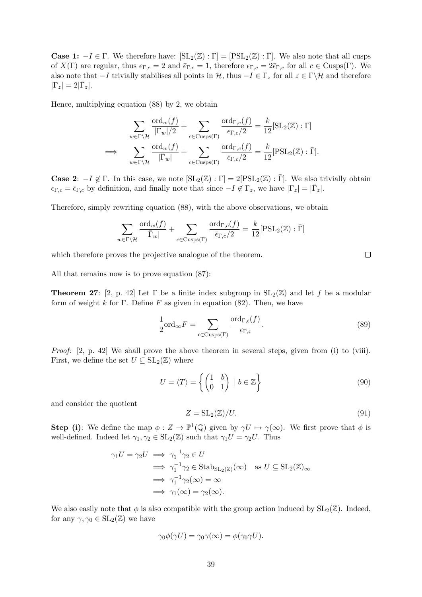**Case 1:**  $-I \in \Gamma$ . We therefore have:  $[\text{SL}_2(\mathbb{Z}) : \Gamma] = [\text{PSL}_2(\mathbb{Z}) : \overline{\Gamma}]$ . We also note that all cusps of  $X(\Gamma)$  are regular, thus  $\epsilon_{\Gamma,c} = 2$  and  $\bar{\epsilon}_{\Gamma,c} = 1$ , therefore  $\epsilon_{\Gamma,c} = 2\bar{\epsilon}_{\Gamma,c}$  for all  $c \in \text{Cusp}( \Gamma)$ . We also note that  $-I$  trivially stabilises all points in  $H$ , thus  $-I \in \Gamma_z$  for all  $z \in \Gamma \backslash H$  and therefore  $|\Gamma_z|=2|\bar{\Gamma}_z|.$ 

Hence, multiplying equation (88) by 2, we obtain

$$
\sum_{w \in \Gamma \backslash \mathcal{H}} \frac{\text{ord}_{w}(f)}{|\Gamma_{w}|/2} + \sum_{c \in \text{Cusps}(\Gamma)} \frac{\text{ord}_{\Gamma,c}(f)}{\epsilon_{\Gamma,c}/2} = \frac{k}{12} [\text{SL}_{2}(\mathbb{Z}) : \Gamma]
$$
  
\n
$$
\implies \sum_{w \in \Gamma \backslash \mathcal{H}} \frac{\text{ord}_{w}(f)}{|\overline{\Gamma}_{w}|} + \sum_{c \in \text{Cusps}(\Gamma)} \frac{\text{ord}_{\Gamma,c}(f)}{\overline{\epsilon}_{\Gamma,c}/2} = \frac{k}{12} [\text{PSL}_{2}(\mathbb{Z}) : \overline{\Gamma}].
$$

**Case 2:**  $-I \notin \Gamma$ . In this case, we note  $[\text{SL}_2(\mathbb{Z}) : \Gamma] = 2[\text{PSL}_2(\mathbb{Z}) : \overline{\Gamma}]$ . We also trivially obtain  $\epsilon_{\Gamma,c} = \bar{\epsilon}_{\Gamma,c}$  by definition, and finally note that since  $-I \notin \Gamma_z$ , we have  $|\Gamma_z| = |\bar{\Gamma}_z|$ .

Therefore, simply rewriting equation (88), with the above observations, we obtain

$$
\sum_{w \in \Gamma \backslash \mathcal{H}} \frac{\text{ord}_{w}(f)}{|\bar{\Gamma}_{w}|} + \sum_{c \in \text{Cusps}(\Gamma)} \frac{\text{ord}_{\Gamma,c}(f)}{\bar{\epsilon}_{\Gamma,c}/2} = \frac{k}{12} [\text{PSL}_{2}(\mathbb{Z}) : \bar{\Gamma}]
$$

which therefore proves the projective analogue of the theorem.

All that remains now is to prove equation (87):

**Theorem 27:** [2, p. 42] Let  $\Gamma$  be a finite index subgroup in  $SL_2(\mathbb{Z})$  and let f be a modular form of weight k for Γ. Define F as given in equation  $(82)$ . Then, we have

$$
\frac{1}{2} \text{ord}_{\infty} F = \sum_{\mathfrak{c} \in \text{Cusps}(\Gamma)} \frac{\text{ord}_{\Gamma,\mathfrak{c}}(f)}{\epsilon_{\Gamma,\mathfrak{c}}}.
$$
 (89)

Proof: [2, p. 42] We shall prove the above theorem in several steps, given from (i) to (viii). First, we define the set  $U \subseteq SL_2(\mathbb{Z})$  where

$$
U = \langle T \rangle = \left\{ \begin{pmatrix} 1 & b \\ 0 & 1 \end{pmatrix} \mid b \in \mathbb{Z} \right\}
$$
 (90)

and consider the quotient

$$
Z = SL_2(\mathbb{Z})/U.
$$
\n(91)

**Step (i)**: We define the map  $\phi: Z \to \mathbb{P}^1(\mathbb{Q})$  given by  $\gamma U \mapsto \gamma(\infty)$ . We first prove that  $\phi$  is well-defined. Indeed let  $\gamma_1, \gamma_2 \in SL_2(\mathbb{Z})$  such that  $\gamma_1 U = \gamma_2 U$ . Thus

$$
\gamma_1 U = \gamma_2 U \implies \gamma_1^{-1} \gamma_2 \in U
$$
  
\n
$$
\implies \gamma_1^{-1} \gamma_2 \in \text{Stab}_{\text{SL}_2(\mathbb{Z})}(\infty) \text{ as } U \subseteq \text{SL}_2(\mathbb{Z})_\infty
$$
  
\n
$$
\implies \gamma_1^{-1} \gamma_2(\infty) = \infty
$$
  
\n
$$
\implies \gamma_1(\infty) = \gamma_2(\infty).
$$

We also easily note that  $\phi$  is also compatible with the group action induced by  $SL_2(\mathbb{Z})$ . Indeed, for any  $\gamma, \gamma_0 \in SL_2(\mathbb{Z})$  we have

$$
\gamma_0 \phi(\gamma U) = \gamma_0 \gamma(\infty) = \phi(\gamma_0 \gamma U).
$$

 $\Box$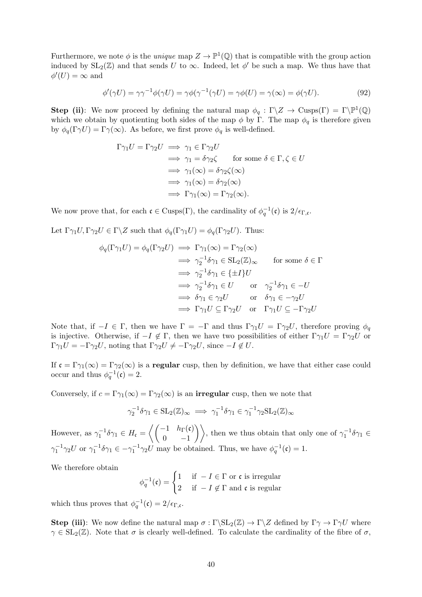Furthermore, we note  $\phi$  is the *unique* map  $Z \to \mathbb{P}^1(\mathbb{Q})$  that is compatible with the group action induced by  $SL_2(\mathbb{Z})$  and that sends U to  $\infty$ . Indeed, let  $\phi'$  be such a map. We thus have that  $\phi'(U) = \infty$  and

$$
\phi'(\gamma U) = \gamma \gamma^{-1} \phi(\gamma U) = \gamma \phi(\gamma^{-1}(\gamma U) = \gamma \phi(U) = \gamma(\infty) = \phi(\gamma U). \tag{92}
$$

**Step (ii)**: We now proceed by defining the natural map  $\phi_q : \Gamma \backslash Z \to \text{Cusps}(\Gamma) = \Gamma \backslash \mathbb{P}^1(\mathbb{Q})$ which we obtain by quotienting both sides of the map  $\phi$  by Γ. The map  $\phi_q$  is therefore given by  $\phi_q(\Gamma \gamma U) = \Gamma \gamma(\infty)$ . As before, we first prove  $\phi_q$  is well-defined.

$$
\Gamma \gamma_1 U = \Gamma \gamma_2 U \implies \gamma_1 \in \Gamma \gamma_2 U
$$
  
\n
$$
\implies \gamma_1 = \delta \gamma_2 \zeta \qquad \text{for some } \delta \in \Gamma, \zeta \in U
$$
  
\n
$$
\implies \gamma_1(\infty) = \delta \gamma_2 \zeta(\infty)
$$
  
\n
$$
\implies \gamma_1(\infty) = \delta \gamma_2(\infty)
$$
  
\n
$$
\implies \Gamma \gamma_1(\infty) = \Gamma \gamma_2(\infty).
$$

We now prove that, for each  $\mathfrak{c} \in \text{Cusps}(\Gamma)$ , the cardinality of  $\phi_q^{-1}(\mathfrak{c})$  is  $2/\epsilon_{\Gamma,\mathfrak{c}}$ .

Let  $\Gamma \gamma_1 U, \Gamma \gamma_2 U \in \Gamma \backslash Z$  such that  $\phi_q(\Gamma \gamma_1 U) = \phi_q(\Gamma \gamma_2 U)$ . Thus:

$$
\phi_q(\Gamma \gamma_1 U) = \phi_q(\Gamma \gamma_2 U) \implies \Gamma \gamma_1(\infty) = \Gamma \gamma_2(\infty)
$$
  
\n
$$
\implies \gamma_2^{-1} \delta \gamma_1 \in SL_2(\mathbb{Z})_{\infty} \qquad \text{for some } \delta \in \Gamma
$$
  
\n
$$
\implies \gamma_2^{-1} \delta \gamma_1 \in \{\pm I\} U
$$
  
\n
$$
\implies \gamma_2^{-1} \delta \gamma_1 \in U \qquad \text{or} \quad \gamma_2^{-1} \delta \gamma_1 \in -U
$$
  
\n
$$
\implies \delta \gamma_1 \in \gamma_2 U \qquad \text{or} \quad \delta \gamma_1 \in -\gamma_2 U
$$
  
\n
$$
\implies \Gamma \gamma_1 U \subseteq \Gamma \gamma_2 U \qquad \text{or} \quad \Gamma \gamma_1 U \subseteq -\Gamma \gamma_2 U
$$

Note that, if  $-I \in \Gamma$ , then we have  $\Gamma = -\Gamma$  and thus  $\Gamma \gamma_1 U = \Gamma \gamma_2 U$ , therefore proving  $\phi_q$ is injective. Otherwise, if  $-I \notin \Gamma$ , then we have two possibilities of either  $\Gamma \gamma_1 U = \Gamma \gamma_2 U$  or  $\Gamma \gamma_1 U = -\Gamma \gamma_2 U$ , noting that  $\Gamma \gamma_2 U \neq -\Gamma \gamma_2 U$ , since  $-I \notin U$ .

If  $\mathfrak{c} = \Gamma \gamma_1(\infty) = \Gamma \gamma_2(\infty)$  is a **regular** cusp, then by definition, we have that either case could occur and thus  $\phi_q^{-1}(\mathfrak{c}) = 2$ .

Conversely, if  $c = \Gamma \gamma_1(\infty) = \Gamma \gamma_2(\infty)$  is an **irregular** cusp, then we note that

$$
\gamma_2^{-1}\delta\gamma_1 \in SL_2(\mathbb{Z})_{\infty} \implies \gamma_1^{-1}\delta\gamma_1 \in \gamma_1^{-1}\gamma_2SL_2(\mathbb{Z})_{\infty}
$$

However, as  $\gamma_1^{-1} \delta \gamma_1 \in H_{\mathfrak{c}} = \left\langle \begin{pmatrix} -1 & h_{\Gamma}(\mathfrak{c}) \\ 0 & -1 \end{pmatrix} \right\rangle$  $\begin{pmatrix} -1 & h_{\Gamma}(\mathfrak{c}) \\ 0 & -1 \end{pmatrix}$ , then we thus obtain that only one of  $\gamma_1^{-1} \delta \gamma_1 \in$  $\gamma_1^{-1}\gamma_2 U$  or  $\gamma_1^{-1}\delta\gamma_1 \in -\gamma_1^{-1}\gamma_2 U$  may be obtained. Thus, we have  $\phi_q^{-1}(\mathfrak{c}) = 1$ .

We therefore obtain

$$
\phi_q^{-1}(\mathfrak{c}) = \begin{cases} 1 & \text{if } -I \in \Gamma \text{ or } \mathfrak{c} \text{ is irregular} \\ 2 & \text{if } -I \notin \Gamma \text{ and } \mathfrak{c} \text{ is regular} \end{cases}
$$

which thus proves that  $\phi_q^{-1}(\mathfrak{c}) = 2/\epsilon_{\Gamma,\mathfrak{c}}$ .

**Step (iii):** We now define the natural map  $\sigma : \Gamma \backslash SL_2(\mathbb{Z}) \to \Gamma \backslash Z$  defined by  $\Gamma \gamma \to \Gamma \gamma U$  where  $\gamma \in SL_2(\mathbb{Z})$ . Note that  $\sigma$  is clearly well-defined. To calculate the cardinality of the fibre of  $\sigma$ ,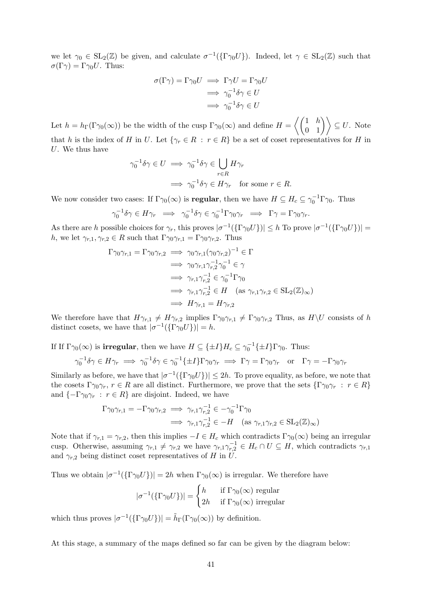we let  $\gamma_0 \in SL_2(\mathbb{Z})$  be given, and calculate  $\sigma^{-1}(\{\Gamma \gamma_0 U\})$ . Indeed, let  $\gamma \in SL_2(\mathbb{Z})$  such that  $\sigma(\Gamma \gamma) = \Gamma \gamma_0 U$ . Thus:

$$
\sigma(\Gamma \gamma) = \Gamma \gamma_0 U \implies \Gamma \gamma U = \Gamma \gamma_0 U
$$

$$
\implies \gamma_0^{-1} \delta \gamma \in U
$$

$$
\implies \gamma_0^{-1} \delta \gamma \in U
$$

Let  $h = h_{\Gamma}(\Gamma \gamma_0(\infty))$  be the width of the cusp  $\Gamma \gamma_0(\infty)$  and define  $H = \left\langle \begin{pmatrix} 1 & h \\ 0 & 1 \end{pmatrix} \right\rangle \subseteq U$ . Note that h is the index of H in U. Let  $\{\gamma_r \in R : r \in R\}$  be a set of coset representatives for H in U. We thus have

$$
\gamma_0^{-1}\delta\gamma \in U \implies \gamma_0^{-1}\delta\gamma \in \bigcup_{r \in R} H\gamma_r
$$

$$
\implies \gamma_0^{-1}\delta\gamma \in H\gamma_r \quad \text{for some } r \in R.
$$

We now consider two cases: If  $\Gamma\gamma_0(\infty)$  is **regular**, then we have  $H \subseteq H_c \subseteq \gamma_0^{-1} \Gamma \gamma_0$ . Thus

$$
\gamma_0^{-1}\delta\gamma \in H\gamma_r \implies \gamma_0^{-1}\delta\gamma \in \gamma_0^{-1}\Gamma\gamma_0\gamma_r \implies \Gamma\gamma = \Gamma\gamma_0\gamma_r.
$$

As there are h possible choices for  $\gamma_r$ , this proves  $|\sigma^{-1}(\{\Gamma \gamma_0 U\})| \leq h$  To prove  $|\sigma^{-1}(\{\Gamma \gamma_0 U\})|$ h, we let  $\gamma_{r,1}, \gamma_{r,2} \in R$  such that  $\Gamma \gamma_0 \gamma_{r,1} = \Gamma \gamma_0 \gamma_{r,2}$ . Thus

$$
\Gamma \gamma_0 \gamma_{r,1} = \Gamma \gamma_0 \gamma_{r,2} \implies \gamma_0 \gamma_{r,1} (\gamma_0 \gamma_{r,2})^{-1} \in \Gamma
$$
  
\n
$$
\implies \gamma_0 \gamma_{r,1} \gamma_{r,2}^{-1} \gamma_0^{-1} \in \gamma
$$
  
\n
$$
\implies \gamma_{r,1} \gamma_{r,2}^{-1} \in \gamma_0^{-1} \Gamma \gamma_0
$$
  
\n
$$
\implies \gamma_{r,1} \gamma_{r,2}^{-1} \in H \quad (\text{as } \gamma_{r,1} \gamma_{r,2} \in \text{SL}_2(\mathbb{Z})_{\infty})
$$
  
\n
$$
\implies H \gamma_{r,1} = H \gamma_{r,2}
$$

We therefore have that  $H\gamma_{r,1} \neq H\gamma_{r,2}$  implies  $\Gamma\gamma_0\gamma_{r,1} \neq \Gamma\gamma_0\gamma_{r,2}$  Thus, as  $H\setminus U$  consists of h distinct cosets, we have that  $|\sigma^{-1}(\{\Gamma \gamma_0 U\})| = h$ .

If If  $\Gamma\gamma_0(\infty)$  is **irregular**, then we have  $H \subseteq {\{\pm I\}}H_c \subseteq \gamma_0^{-1}{\{\pm I\}}\Gamma\gamma_0$ . Thus:

$$
\gamma_0^{-1}\delta\gamma \in H\gamma_r \implies \gamma_0^{-1}\delta\gamma \in \gamma_0^{-1}\{\pm I\}\Gamma\gamma_0\gamma_r \implies \Gamma\gamma = \Gamma\gamma_0\gamma_r \quad \text{or} \quad \Gamma\gamma = -\Gamma\gamma_0\gamma_r
$$

Similarly as before, we have that  $|\sigma^{-1}(\{\Gamma \gamma_0 U\})| \leq 2h$ . To prove equality, as before, we note that the cosets  $\Gamma \gamma_0 \gamma_r$ ,  $r \in R$  are all distinct. Furthermore, we prove that the sets  $\{\Gamma \gamma_0 \gamma_r : r \in R\}$ and  $\{-\Gamma\gamma_0\gamma_r : r \in R\}$  are disjoint. Indeed, we have

$$
\Gamma \gamma_0 \gamma_{r,1} = -\Gamma \gamma_0 \gamma_{r,2} \implies \gamma_{r,1} \gamma_{r,2}^{-1} \in -\gamma_0^{-1} \Gamma \gamma_0
$$
  

$$
\implies \gamma_{r,1} \gamma_{r,2}^{-1} \in -H \quad (\text{as } \gamma_{r,1} \gamma_{r,2} \in \text{SL}_2(\mathbb{Z})_{\infty})
$$

Note that if  $\gamma_{r,1} = \gamma_{r,2}$ , then this implies  $-I \in H_c$  which contradicts  $\Gamma \gamma_0(\infty)$  being an irregular cusp. Otherwise, assuming  $\gamma_{r,1} \neq \gamma_{r,2}$  we have  $\gamma_{r,1} \gamma_{r,2}^{-1} \in H_c \cap U \subseteq H$ , which contradicts  $\gamma_{r,1}$ and  $\gamma_{r,2}$  being distinct coset representatives of H in U.

Thus we obtain  $|\sigma^{-1}(\{\Gamma \gamma_0 U\})| = 2h$  when  $\Gamma \gamma_0(\infty)$  is irregular. We therefore have

$$
|\sigma^{-1}(\{\Gamma\gamma_0 U\})| = \begin{cases} h & \text{if } \Gamma\gamma_0(\infty) \text{ regular} \\ 2h & \text{if } \Gamma\gamma_0(\infty) \text{ irregular} \end{cases}
$$

which thus proves  $|\sigma^{-1}(\{\Gamma \gamma_0 U\})| = \tilde{h}_{\Gamma}(\Gamma \gamma_0(\infty))$  by definition.

At this stage, a summary of the maps defined so far can be given by the diagram below: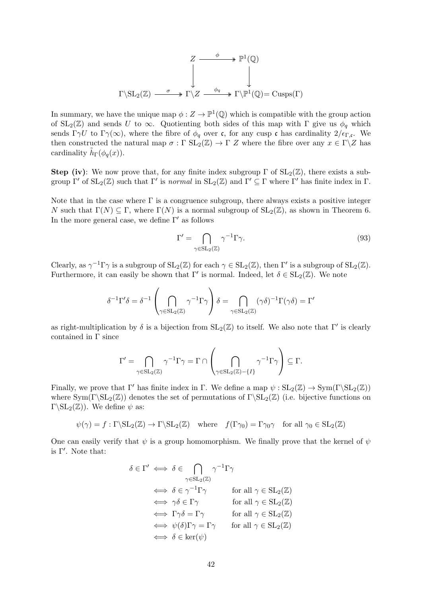$$
Z \xrightarrow{\phi} \mathbb{P}^1(\mathbb{Q})
$$
  

$$
\downarrow \qquad \qquad \downarrow
$$
  

$$
\Gamma \setminus SL_2(\mathbb{Z}) \xrightarrow{\sigma} \Gamma \setminus Z \xrightarrow{\phi_q} \Gamma \setminus \mathbb{P}^1(\mathbb{Q}) = \text{Cusps}(\Gamma)
$$

In summary, we have the unique map  $\phi: Z \to \mathbb{P}^1(\mathbb{Q})$  which is compatible with the group action of  $SL_2(\mathbb{Z})$  and sends U to  $\infty$ . Quotienting both sides of this map with  $\Gamma$  give us  $\phi_q$  which sends  $\Gamma \gamma U$  to  $\Gamma \gamma(\infty)$ , where the fibre of  $\phi_q$  over c, for any cusp c has cardinality  $2/\epsilon_{\Gamma,\mathfrak{c}}$ . We then constructed the natural map  $\sigma : \Gamma \operatorname{SL}_2(\mathbb{Z}) \to \Gamma \operatorname{Z}$  where the fibre over any  $x \in \Gamma \backslash \mathbb{Z}$  has cardinality  $\tilde{h}_{\Gamma}(\phi_q(x))$ .

**Step (iv):** We now prove that, for any finite index subgroup  $\Gamma$  of  $SL_2(\mathbb{Z})$ , there exists a subgroup  $\Gamma'$  of  $SL_2(\mathbb{Z})$  such that  $\Gamma'$  is normal in  $SL_2(\mathbb{Z})$  and  $\Gamma' \subseteq \Gamma$  where  $\Gamma'$  has finite index in  $\Gamma$ .

Note that in the case where  $\Gamma$  is a congruence subgroup, there always exists a positive integer N such that  $\Gamma(N) \subseteq \Gamma$ , where  $\Gamma(N)$  is a normal subgroup of  $SL_2(\mathbb{Z})$ , as shown in Theorem 6. In the more general case, we define  $\Gamma'$  as follows

$$
\Gamma' = \bigcap_{\gamma \in SL_2(\mathbb{Z})} \gamma^{-1} \Gamma \gamma.
$$
\n(93)

Clearly, as  $\gamma^{-1}\Gamma\gamma$  is a subgroup of  $SL_2(\mathbb{Z})$  for each  $\gamma \in SL_2(\mathbb{Z})$ , then  $\Gamma'$  is a subgroup of  $SL_2(\mathbb{Z})$ . Furthermore, it can easily be shown that  $\Gamma'$  is normal. Indeed, let  $\delta \in SL_2(\mathbb{Z})$ . We note

$$
\delta^{-1}\Gamma'\delta = \delta^{-1}\left(\bigcap_{\gamma \in SL_2(\mathbb{Z})} \gamma^{-1}\Gamma\gamma\right)\delta = \bigcap_{\gamma \in SL_2(\mathbb{Z})} (\gamma\delta)^{-1}\Gamma(\gamma\delta) = \Gamma'
$$

as right-multiplication by  $\delta$  is a bijection from  $SL_2(\mathbb{Z})$  to itself. We also note that  $\Gamma'$  is clearly contained in Γ since

$$
\Gamma' = \bigcap_{\gamma \in \mathrm{SL}_2(\mathbb{Z})} \gamma^{-1} \Gamma \gamma = \Gamma \cap \left( \bigcap_{\gamma \in \mathrm{SL}_2(\mathbb{Z}) - \{ I \}} \gamma^{-1} \Gamma \gamma \right) \subseteq \Gamma.
$$

Finally, we prove that Γ' has finite index in Γ. We define a map  $\psi : SL_2(\mathbb{Z}) \to Sym(\Gamma \backslash SL_2(\mathbb{Z}))$ where  $\text{Sym}(\Gamma\backslash\text{SL}_2(\mathbb{Z}))$  denotes the set of permutations of  $\Gamma\backslash\text{SL}_2(\mathbb{Z})$  (i.e. bijective functions on  $\Gamma\backslash SL_2(\mathbb{Z})$ . We define  $\psi$  as:

$$
\psi(\gamma) = f : \Gamma \backslash \mathrm{SL}_2(\mathbb{Z}) \to \Gamma \backslash \mathrm{SL}_2(\mathbb{Z}) \quad \text{where} \quad f(\Gamma \gamma_0) = \Gamma \gamma_0 \gamma \quad \text{for all } \gamma_0 \in \mathrm{SL}_2(\mathbb{Z})
$$

One can easily verify that  $\psi$  is a group homomorphism. We finally prove that the kernel of  $\psi$ is  $\Gamma'$ . Note that:

$$
\delta \in \Gamma' \iff \delta \in \bigcap_{\gamma \in SL_2(\mathbb{Z})} \gamma^{-1} \Gamma \gamma
$$
  
\n
$$
\iff \delta \in \gamma^{-1} \Gamma \gamma \qquad \text{for all } \gamma \in SL_2(\mathbb{Z})
$$
  
\n
$$
\iff \gamma \delta \in \Gamma \gamma \qquad \text{for all } \gamma \in SL_2(\mathbb{Z})
$$
  
\n
$$
\iff \Gamma \gamma \delta = \Gamma \gamma \qquad \text{for all } \gamma \in SL_2(\mathbb{Z})
$$
  
\n
$$
\iff \psi(\delta) \Gamma \gamma = \Gamma \gamma \qquad \text{for all } \gamma \in SL_2(\mathbb{Z})
$$
  
\n
$$
\iff \delta \in \text{ker}(\psi)
$$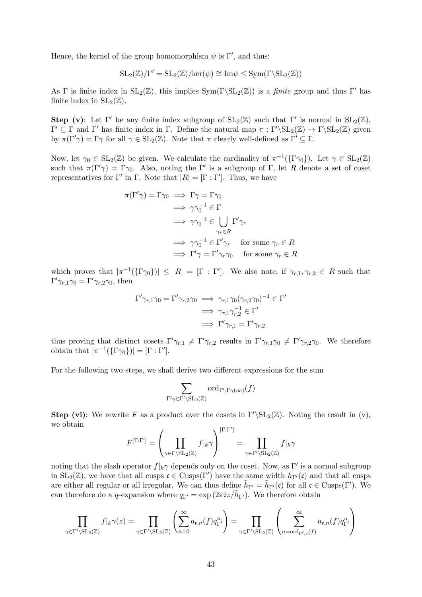Hence, the kernel of the group homomorphism  $\psi$  is  $\Gamma'$ , and thus:

$$
SL_2(\mathbb{Z})/\Gamma' = SL_2(\mathbb{Z})/ker(\psi) \cong Im \psi \leq Sym(\Gamma \backslash SL_2(\mathbb{Z}))
$$

As Γ is finite index in  $SL_2(\mathbb{Z})$ , this implies  $Sym(\Gamma \backslash SL_2(\mathbb{Z}))$  is a *finite* group and thus Γ' has finite index in  $SL_2(\mathbb{Z})$ .

**Step (v)**: Let  $\Gamma'$  be any finite index subgroup of  $SL_2(\mathbb{Z})$  such that  $\Gamma'$  is normal in  $SL_2(\mathbb{Z})$ ,  $Γ' ⊆ Γ$  and Γ' has finite index in Γ. Define the natural map  $π : Γ'\S L_2(\mathbb{Z}) \to Γ\SI_2(\mathbb{Z})$  given by  $\pi(\Gamma' \gamma) = \Gamma \gamma$  for all  $\gamma \in SL_2(\mathbb{Z})$ . Note that  $\pi$  clearly well-defined as  $\Gamma' \subseteq \Gamma$ .

Now, let  $\gamma_0 \in SL_2(\mathbb{Z})$  be given. We calculate the cardinality of  $\pi^{-1}(\{\Gamma\gamma_0\})$ . Let  $\gamma \in SL_2(\mathbb{Z})$ such that  $\pi(\Gamma') = \Gamma_{\gamma_0}$ . Also, noting the  $\Gamma'$  is a subgroup of  $\Gamma$ , let R denote a set of coset representatives for Γ' in Γ. Note that  $|R| = [\Gamma : \Gamma']$ . Thus, we have

$$
\pi(\Gamma'\gamma) = \Gamma \gamma_0 \implies \Gamma \gamma = \Gamma \gamma_0
$$
  
\n
$$
\implies \gamma \gamma_0^{-1} \in \Gamma
$$
  
\n
$$
\implies \gamma \gamma_0^{-1} \in \bigcup_{\gamma_r \in R} \Gamma' \gamma_r
$$
  
\n
$$
\implies \gamma \gamma_0^{-1} \in \Gamma' \gamma_r \quad \text{for some } \gamma_r \in R
$$
  
\n
$$
\implies \Gamma' \gamma = \Gamma' \gamma_r \gamma_0 \quad \text{for some } \gamma_r \in R
$$

which proves that  $|\pi^{-1}(\{\Gamma \gamma_0\})| \leq |R| = [\Gamma : \Gamma']$ . We also note, if  $\gamma_{r,1}, \gamma_{r,2} \in R$  such that  $\Gamma' \gamma_{r,1} \gamma_0 = \Gamma' \gamma_{r,2} \gamma_0$ , then

$$
\Gamma' \gamma_{r,1} \gamma_0 = \Gamma' \gamma_{r,2} \gamma_0 \implies \gamma_{r,1} \gamma_0 (\gamma_{r,2} \gamma_0)^{-1} \in \Gamma'
$$
  
\n
$$
\implies \gamma_{r,1} \gamma_{r,2}^{-1} \in \Gamma'
$$
  
\n
$$
\implies \Gamma' \gamma_{r,1} = \Gamma' \gamma_{r,2}
$$

thus proving that distinct cosets  $\Gamma'\gamma_{r,1} \neq \Gamma'\gamma_{r,2}$  results in  $\Gamma'\gamma_{r,1}\gamma_0 \neq \Gamma'\gamma_{r,2}\gamma_0$ . We therefore obtain that  $|\pi^{-1}(\{\Gamma \gamma_0\})| = [\Gamma : \Gamma']$ .

For the following two steps, we shall derive two different expressions for the sum

$$
\sum_{\Gamma'\gamma\in\Gamma'\backslash\mathrm{SL}_2(\mathbb{Z})}\mathrm{ord}_{\Gamma',\Gamma\gamma(\infty)}(f)
$$

**Step (vi):** We rewrite F as a product over the cosets in  $\Gamma' \setminus SL_2(\mathbb{Z})$ . Noting the result in (v), we obtain

$$
F^{[\Gamma:\Gamma']} = \left(\prod_{\gamma \in \Gamma \backslash \mathrm{SL}_2(\mathbb{Z})} f|_{k}\gamma \right)^{[\Gamma:\Gamma']} = \prod_{\gamma \in \Gamma' \backslash \mathrm{SL}_2(\mathbb{Z})} f|_{k}\gamma
$$

noting that the slash operator  $f|_k \gamma$  depends only on the coset. Now, as Γ' is a normal subgroup in  $SL_2(\mathbb{Z})$ , we have that all cusps  $\mathfrak{c} \in \text{Cusps}(\Gamma')$  have the same width  $h_{\Gamma'}(\mathfrak{c})$  and that all cusps are either all regular or all irregular. We can thus define  $\tilde{h}_{\Gamma'} = \tilde{h}_{\Gamma'}(\mathfrak{c})$  for all  $\mathfrak{c} \in \text{Cusps}(\Gamma')$ . We can therefore do a q-expansion where  $q_{\Gamma'} = \exp(2\pi i z/\tilde{h}_{\Gamma'})$ . We therefore obtain

$$
\prod_{\gamma \in \Gamma' \backslash \mathrm{SL}_2(\mathbb{Z})} f|_k \gamma(z) = \prod_{\gamma \in \Gamma' \backslash \mathrm{SL}_2(\mathbb{Z})} \left( \sum_{n=0}^{\infty} a_{\mathfrak{c},n}(f) q_{\Gamma'}^n \right) = \prod_{\gamma \in \Gamma' \backslash \mathrm{SL}_2(\mathbb{Z})} \left( \sum_{n=\text{ord}_{\Gamma',c}(f)}^{\infty} a_{\mathfrak{c},n}(f) q_{\Gamma'}^n \right)
$$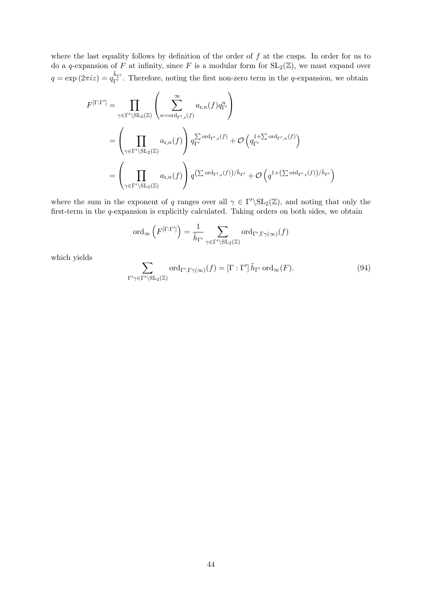where the last equality follows by definition of the order of  $f$  at the cusps. In order for us to do a q-expansion of F at infinity, since F is a modular form for  $SL_2(\mathbb{Z})$ , we must expand over  $q = \exp(2\pi i z) = q_{\Gamma'}^{\tilde{h}_{\Gamma'}}$ . Therefore, noting the first non-zero term in the q-expansion, we obtain

$$
F^{[\Gamma:\Gamma']} = \prod_{\gamma \in \Gamma' \backslash \mathrm{SL}_2(\mathbb{Z})} \left( \sum_{n = \operatorname{ord}_{\Gamma',\mathfrak{c}}(f)}^{\infty} a_{\mathfrak{c},n}(f) q_{\Gamma'}^n \right)
$$
  
\n
$$
= \left( \prod_{\gamma \in \Gamma' \backslash \mathrm{SL}_2(\mathbb{Z})} a_{\mathfrak{c},n}(f) \right) q_{\Gamma'}^{\sum \operatorname{ord}_{\Gamma',\mathfrak{c}}(f)} + \mathcal{O} \left( q_{\Gamma'}^{1 + \sum \operatorname{ord}_{\Gamma',n}(f)} \right)
$$
  
\n
$$
= \left( \prod_{\gamma \in \Gamma' \backslash \mathrm{SL}_2(\mathbb{Z})} a_{\mathfrak{c},n}(f) \right) q^{(\sum \operatorname{ord}_{\Gamma',\mathfrak{c}}(f))/\tilde{h}_{\Gamma'}} + \mathcal{O} \left( q^{1 + (\sum \operatorname{ord}_{\Gamma',\mathfrak{c}}(f))/\tilde{h}_{\Gamma'}} \right)
$$

where the sum in the exponent of q ranges over all  $\gamma \in \Gamma' \backslash SL_2(\mathbb{Z})$ , and noting that only the first-term in the q-expansion is explicitly calculated. Taking orders on both sides, we obtain

$$
\operatorname{ord}_{\infty}\left(F^{[\Gamma:\Gamma']}\right) = \frac{1}{\tilde{h}_{\Gamma'}} \sum_{\gamma \in \Gamma' \backslash \operatorname{SL}_2(\mathbb{Z})} \operatorname{ord}_{\Gamma',\Gamma \gamma(\infty)}(f)
$$

which yields

$$
\sum_{\Gamma'\gamma\in\Gamma'\backslash\mathrm{SL}_2(\mathbb{Z})}\mathrm{ord}_{\Gamma',\Gamma\gamma(\infty)}(f)=[\Gamma:\Gamma']\,\tilde{h}_{\Gamma'}\,\mathrm{ord}_{\infty}(F). \tag{94}
$$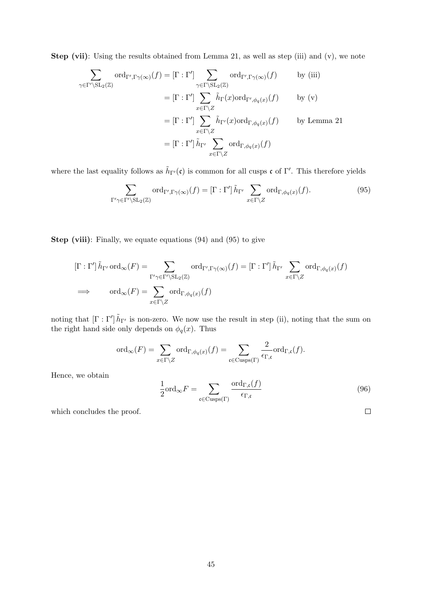Step (vii): Using the results obtained from Lemma 21, as well as step (iii) and (v), we note

$$
\sum_{\gamma \in \Gamma' \setminus SL_2(\mathbb{Z})} \text{ord}_{\Gamma', \Gamma \gamma(\infty)}(f) = [\Gamma : \Gamma'] \sum_{\gamma \in \Gamma \setminus SL_2(\mathbb{Z})} \text{ord}_{\Gamma', \Gamma \gamma(\infty)}(f) \qquad \text{by (iii)}
$$
\n
$$
= [\Gamma : \Gamma'] \sum_{x \in \Gamma \setminus Z} \tilde{h}_{\Gamma}(x) \text{ord}_{\Gamma', \phi_q(x)}(f) \qquad \text{by (v)}
$$
\n
$$
= [\Gamma : \Gamma'] \sum_{x \in \Gamma \setminus Z} \tilde{h}_{\Gamma'}(x) \text{ord}_{\Gamma, \phi_q(x)}(f) \qquad \text{by Lemma 21}
$$
\n
$$
= [\Gamma : \Gamma'] \tilde{h}_{\Gamma'} \sum_{x \in \Gamma \setminus Z} \text{ord}_{\Gamma, \phi_q(x)}(f)
$$

where the last equality follows as  $\tilde{h}_{\Gamma'}(\mathfrak{c})$  is common for all cusps  $\mathfrak{c}$  of  $\Gamma'$ . This therefore yields

$$
\sum_{\Gamma'\gamma\in\Gamma'\backslash\mathrm{SL}_2(\mathbb{Z})}\mathrm{ord}_{\Gamma',\Gamma\gamma(\infty)}(f)=[\Gamma:\Gamma']\,\tilde{h}_{\Gamma'}\sum_{x\in\Gamma\backslash Z}\mathrm{ord}_{\Gamma,\phi_q(x)}(f). \tag{95}
$$

Step (viii): Finally, we equate equations (94) and (95) to give

$$
\begin{aligned} [\Gamma : \Gamma'] \,\tilde{h}_{\Gamma'} \operatorname{ord}_{\infty}(F) &= \sum_{\Gamma' \gamma \in \Gamma' \backslash \mathrm{SL}_2(\mathbb{Z})} \operatorname{ord}_{\Gamma', \Gamma \gamma(\infty)}(f) = [\Gamma : \Gamma'] \,\tilde{h}_{\Gamma'} \,\sum_{x \in \Gamma \backslash Z} \operatorname{ord}_{\Gamma, \phi_q(x)}(f) \\ &\implies \qquad \operatorname{ord}_{\infty}(F) = \sum_{x \in \Gamma \backslash Z} \operatorname{ord}_{\Gamma, \phi_q(x)}(f) \end{aligned}
$$

noting that  $[\Gamma : \Gamma']$   $\tilde{h}_{\Gamma'}$  is non-zero. We now use the result in step (ii), noting that the sum on the right hand side only depends on  $\phi_q(x)$ . Thus

$$
\mathrm{ord}_{\infty}(F)=\sum_{x\in \Gamma\backslash Z}\mathrm{ord}_{\Gamma,\phi_q(x)}(f)=\sum_{\mathfrak{c}\in \mathrm{Cusps}(\Gamma)}\frac{2}{\epsilon_{\Gamma,\mathfrak{c}}}\mathrm{ord}_{\Gamma,\mathfrak{c}}(f).
$$

Hence, we obtain

$$
\frac{1}{2} \text{ord}_{\infty} F = \sum_{\mathfrak{c} \in \text{Cusps}(\Gamma)} \frac{\text{ord}_{\Gamma,\mathfrak{c}}(f)}{\epsilon_{\Gamma,\mathfrak{c}}} \tag{96}
$$

 $\Box$ 

which concludes the proof.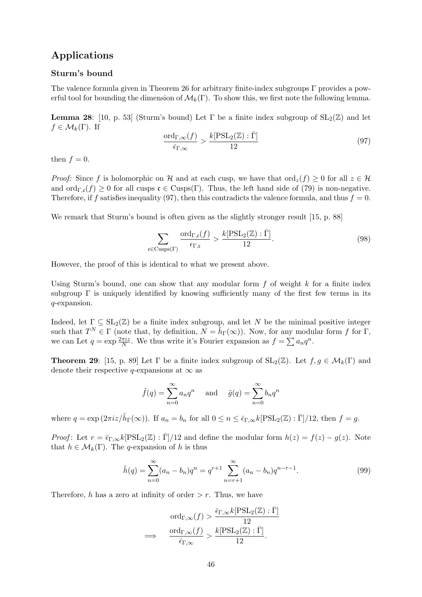# Applications

## Sturm's bound

The valence formula given in Theorem 26 for arbitrary finite-index subgroups Γ provides a powerful tool for bounding the dimension of  $\mathcal{M}_k(\Gamma)$ . To show this, we first note the following lemma.

Lemma 28: [10, p. 53] (Sturm's bound) Let  $\Gamma$  be a finite index subgroup of  $SL_2(\mathbb{Z})$  and let  $f \in \mathcal{M}_k(\Gamma)$ . If

$$
\frac{\text{ord}_{\Gamma,\infty}(f)}{\bar{\epsilon}_{\Gamma,\infty}} > \frac{k[\text{PSL}_2(\mathbb{Z}) : \bar{\Gamma}]}{12}
$$
\n(97)

then  $f = 0$ .

*Proof:* Since f is holomorphic on H and at each cusp, we have that  $\text{ord}_z(f) \geq 0$  for all  $z \in \mathcal{H}$ and ord<sub>Γ,c</sub>(f)  $\geq$  0 for all cusps  $\mathfrak{c} \in \text{Cusps}(\Gamma)$ . Thus, the left hand side of (79) is non-negative. Therefore, if f satisfies inequality (97), then this contradicts the valence formula, and thus  $f = 0$ .

We remark that Sturm's bound is often given as the slightly stronger result [15, p. 88]

$$
\sum_{\mathfrak{c} \in \text{Cusps}(\Gamma)} \frac{\text{ord}_{\Gamma,\mathfrak{c}}(f)}{\epsilon_{\Gamma,\mathfrak{c}}} > \frac{k[\text{PSL}_2(\mathbb{Z}) : \bar{\Gamma}]}{12}.
$$
 (98)

However, the proof of this is identical to what we present above.

Using Sturm's bound, one can show that any modular form  $f$  of weight  $k$  for a finite index subgroup  $\Gamma$  is uniquely identified by knowing sufficiently many of the first few terms in its q-expansion.

Indeed, let  $\Gamma \subseteq SL_2(\mathbb{Z})$  be a finite index subgroup, and let N be the minimal positive integer such that  $T^N \in \Gamma$  (note that, by definition,  $N = \tilde{h}_{\Gamma}(\infty)$ ). Now, for any modular form f for  $\Gamma$ , we can Let  $q = \exp \frac{2\pi i z}{N}$ . We thus write it's Fourier expansion as  $f = \sum a_n q^n$ .

**Theorem 29:** [15, p. 89] Let  $\Gamma$  be a finite index subgroup of  $SL_2(\mathbb{Z})$ . Let  $f, g \in \mathcal{M}_k(\Gamma)$  and denote their respective q-expansions at  $\infty$  as

$$
\tilde{f}(q) = \sum_{n=0}^{\infty} a_n q^n
$$
 and  $\tilde{g}(q) = \sum_{n=0}^{\infty} b_n q^n$ 

where  $q = \exp(2\pi i z/\tilde{h}_{\Gamma}(\infty))$ . If  $a_n = b_n$  for all  $0 \le n \le \bar{\epsilon}_{\Gamma,\infty} k[\text{PSL}_2(\mathbb{Z}) : \bar{\Gamma}]/12$ , then  $f = g$ .

Proof: Let  $r = \bar{\epsilon}_{\Gamma,\infty} k[\text{PSL}_2(\mathbb{Z}) : \bar{\Gamma}]/12$  and define the modular form  $h(z) = f(z) - g(z)$ . Note that  $h \in \mathcal{M}_k(\Gamma)$ . The q-expansion of h is thus

$$
\tilde{h}(q) = \sum_{n=0}^{\infty} (a_n - b_n) q^n = q^{r+1} \sum_{n=r+1}^{\infty} (a_n - b_n) q^{n-r-1}.
$$
\n(99)

Therefore, h has a zero at infinity of order  $>r$ . Thus, we have

$$
\text{ord}_{\Gamma,\infty}(f) > \frac{\bar{\epsilon}_{\Gamma,\infty} k[\text{PSL}_2(\mathbb{Z}) : \bar{\Gamma}]}{12}
$$

$$
\implies \frac{\text{ord}_{\Gamma,\infty}(f)}{\bar{\epsilon}_{\Gamma,\infty}} > \frac{k[\text{PSL}_2(\mathbb{Z}) : \bar{\Gamma}]}{12}.
$$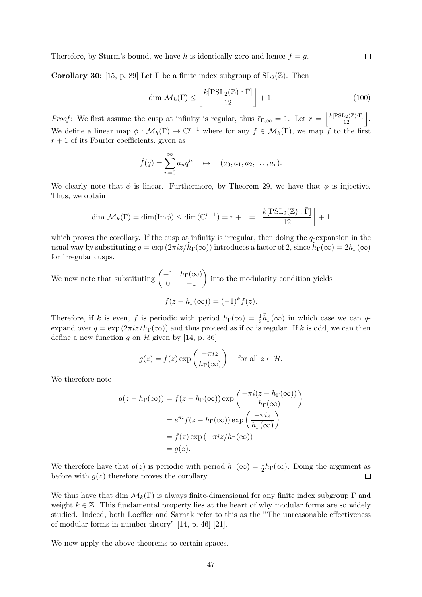Therefore, by Sturm's bound, we have h is identically zero and hence  $f = g$ .

Corollary 30: [15, p. 89] Let  $\Gamma$  be a finite index subgroup of  $SL_2(\mathbb{Z})$ . Then

$$
\dim \mathcal{M}_k(\Gamma) \le \left\lfloor \frac{k[\mathrm{PSL}_2(\mathbb{Z}) : \bar{\Gamma}]}{12} \right\rfloor + 1. \tag{100}
$$

*Proof*: We first assume the cusp at infinity is regular, thus  $\bar{\epsilon}_{\Gamma,\infty} = 1$ . Let  $r = \left| \frac{k[\text{PSL}_2(\mathbb{Z}):\Gamma]}{12} \right|$ . We define a linear map  $\phi : \mathcal{M}_k(\Gamma) \to \mathbb{C}^{r+1}$  where for any  $f \in \mathcal{M}_k(\Gamma)$ , we map f to the first  $r + 1$  of its Fourier coefficients, given as

$$
\tilde{f}(q) = \sum_{n=0}^{\infty} a_n q^n \quad \mapsto \quad (a_0, a_1, a_2, \dots, a_r).
$$

We clearly note that  $\phi$  is linear. Furthermore, by Theorem 29, we have that  $\phi$  is injective. Thus, we obtain

$$
\dim \mathcal{M}_k(\Gamma) = \dim(\mathrm{Im}\phi) \le \dim(\mathbb{C}^{r+1}) = r+1 = \left\lfloor \frac{k[\mathrm{PSL}_2(\mathbb{Z}) : \bar{\Gamma}]}{12} \right\rfloor + 1
$$

which proves the corollary. If the cusp at infinity is irregular, then doing the  $q$ -expansion in the usual way by substituting  $q = \exp(2\pi i z/\tilde{h}_{\Gamma}(\infty))$  introduces a factor of 2, since  $\tilde{h}_{\Gamma}(\infty) = 2h_{\Gamma}(\infty)$ for irregular cusps.

We now note that substituting  $\begin{pmatrix} -1 & h_{\Gamma}(\infty) \\ 0 & 1 \end{pmatrix}$  $0 \t -1$ ) into the modularity condition yields

$$
f(z - h_{\Gamma}(\infty)) = (-1)^k f(z).
$$

Therefore, if k is even, f is periodic with period  $h_{\Gamma}(\infty) = \frac{1}{2} \tilde{h}_{\Gamma}(\infty)$  in which case we can qexpand over  $q = \exp(2\pi i z/h_\Gamma(\infty))$  and thus proceed as if  $\infty$  is regular. If k is odd, we can then define a new function q on  $\mathcal H$  given by [14, p. 36]

$$
g(z) = f(z) \exp\left(\frac{-\pi i z}{h_{\Gamma}(\infty)}\right)
$$
 for all  $z \in \mathcal{H}$ .

We therefore note

$$
g(z - h_{\Gamma}(\infty)) = f(z - h_{\Gamma}(\infty)) \exp\left(\frac{-\pi i(z - h_{\Gamma}(\infty))}{h_{\Gamma}(\infty)}\right)
$$

$$
= e^{\pi i} f(z - h_{\Gamma}(\infty)) \exp\left(\frac{-\pi i z}{h_{\Gamma}(\infty)}\right)
$$

$$
= f(z) \exp(-\pi i z/h_{\Gamma}(\infty))
$$

$$
= g(z).
$$

We therefore have that  $g(z)$  is periodic with period  $h_{\Gamma}(\infty) = \frac{1}{2}\tilde{h}_{\Gamma}(\infty)$ . Doing the argument as before with  $g(z)$  therefore proves the corollary.  $\Box$ 

We thus have that dim  $\mathcal{M}_k(\Gamma)$  is always finite-dimensional for any finite index subgroup  $\Gamma$  and weight  $k \in \mathbb{Z}$ . This fundamental property lies at the heart of why modular forms are so widely studied. Indeed, both Loeffler and Sarnak refer to this as the "The unreasonable effectiveness of modular forms in number theory" [14, p. 46] [21].

We now apply the above theorems to certain spaces.

 $\Box$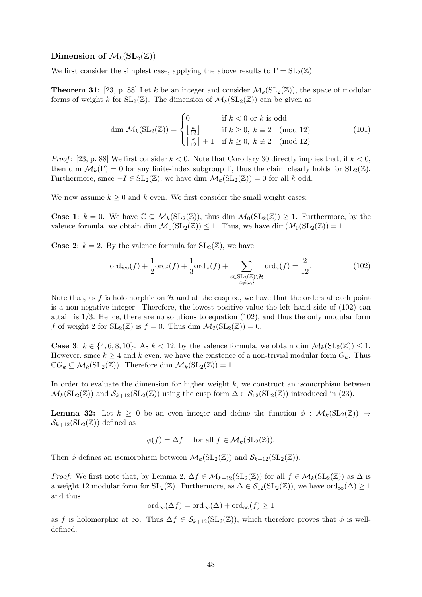## Dimension of  $\mathcal{M}_k(SL_2(\mathbb{Z}))$

We first consider the simplest case, applying the above results to  $\Gamma = SL_2(\mathbb{Z})$ .

**Theorem 31:** [23, p. 88] Let k be an integer and consider  $\mathcal{M}_k(SL_2(\mathbb{Z}))$ , the space of modular forms of weight k for  $SL_2(\mathbb{Z})$ . The dimension of  $\mathcal{M}_k(SL_2(\mathbb{Z}))$  can be given as

$$
\dim \mathcal{M}_k(\mathrm{SL}_2(\mathbb{Z})) = \begin{cases} 0 & \text{if } k < 0 \text{ or } k \text{ is odd} \\ \left\lfloor \frac{k}{12} \right\rfloor & \text{if } k \ge 0, \ k \equiv 2 \pmod{12} \\ \left\lfloor \frac{k}{12} \right\rfloor + 1 & \text{if } k \ge 0, \ k \not\equiv 2 \pmod{12} \end{cases} \tag{101}
$$

*Proof*: [23, p. 88] We first consider  $k < 0$ . Note that Corollary 30 directly implies that, if  $k < 0$ , then dim  $\mathcal{M}_k(\Gamma) = 0$  for any finite-index subgroup  $\Gamma$ , thus the claim clearly holds for  $SL_2(\mathbb{Z})$ . Furthermore, since  $-I \in SL_2(\mathbb{Z})$ , we have dim  $\mathcal{M}_k(SL_2(\mathbb{Z})) = 0$  for all k odd.

We now assume  $k \geq 0$  and k even. We first consider the small weight cases:

**Case 1:**  $k = 0$ . We have  $\mathbb{C} \subseteq \mathcal{M}_k(SL_2(\mathbb{Z}))$ , thus dim  $\mathcal{M}_0(SL_2(\mathbb{Z})) \geq 1$ . Furthermore, by the valence formula, we obtain dim  $\mathcal{M}_0(SL_2(\mathbb{Z})) \leq 1$ . Thus, we have  $\dim(M_0(SL_2(\mathbb{Z})) = 1$ .

**Case 2:**  $k = 2$ . By the valence formula for  $SL_2(\mathbb{Z})$ , we have

$$
\operatorname{ord}_{i\infty}(f) + \frac{1}{2}\operatorname{ord}_i(f) + \frac{1}{3}\operatorname{ord}_{\omega}(f) + \sum_{\substack{z \in \operatorname{SL}_2(\mathbb{Z}) \backslash \mathcal{H} \\ z \neq \omega, i}} \operatorname{ord}_z(f) = \frac{2}{12}.
$$
\n(102)

Note that, as f is holomorphic on H and at the cusp  $\infty$ , we have that the orders at each point is a non-negative integer. Therefore, the lowest positive value the left hand side of (102) can attain is 1/3. Hence, there are no solutions to equation (102), and thus the only modular form f of weight 2 for  $SL_2(\mathbb{Z})$  is  $f = 0$ . Thus dim  $\mathcal{M}_2(SL_2(\mathbb{Z})) = 0$ .

**Case 3:**  $k \in \{4, 6, 8, 10\}$ . As  $k < 12$ , by the valence formula, we obtain dim  $\mathcal{M}_k(SL_2(\mathbb{Z})) \leq 1$ . However, since  $k \geq 4$  and k even, we have the existence of a non-trivial modular form  $G_k$ . Thus  $\mathbb{C}G_k \subseteq \mathcal{M}_k(\mathrm{SL}_2(\mathbb{Z}))$ . Therefore dim  $\mathcal{M}_k(\mathrm{SL}_2(\mathbb{Z})) = 1$ .

In order to evaluate the dimension for higher weight  $k$ , we construct an isomorphism between  $\mathcal{M}_k(\mathrm{SL}_2(\mathbb{Z}))$  and  $\mathcal{S}_{k+12}(\mathrm{SL}_2(\mathbb{Z}))$  using the cusp form  $\Delta \in \mathcal{S}_{12}(\mathrm{SL}_2(\mathbb{Z}))$  introduced in (23).

**Lemma 32:** Let  $k \geq 0$  be an even integer and define the function  $\phi : \mathcal{M}_k(SL_2(\mathbb{Z})) \rightarrow$  $\mathcal{S}_{k+12}(\mathrm{SL}_2(\mathbb{Z}))$  defined as

$$
\phi(f) = \Delta f \quad \text{ for all } f \in \mathcal{M}_k(\text{SL}_2(\mathbb{Z})).
$$

Then  $\phi$  defines an isomorphism between  $\mathcal{M}_k(SL_2(\mathbb{Z}))$  and  $\mathcal{S}_{k+12}(SL_2(\mathbb{Z}))$ .

*Proof:* We first note that, by Lemma 2,  $\Delta f \in \mathcal{M}_{k+12}(\text{SL}_2(\mathbb{Z}))$  for all  $f \in \mathcal{M}_k(\text{SL}_2(\mathbb{Z}))$  as  $\Delta$  is a weight 12 modular form for  $SL_2(\mathbb{Z})$ . Furthermore, as  $\Delta \in \mathcal{S}_{12}(SL_2(\mathbb{Z}))$ , we have  $\text{ord}_{\infty}(\Delta) \geq 1$ and thus

$$
\text{ord}_{\infty}(\Delta f) = \text{ord}_{\infty}(\Delta) + \text{ord}_{\infty}(f) \ge 1
$$

as f is holomorphic at  $\infty$ . Thus  $\Delta f \in \mathcal{S}_{k+12}(\mathrm{SL}_2(\mathbb{Z}))$ , which therefore proves that  $\phi$  is welldefined.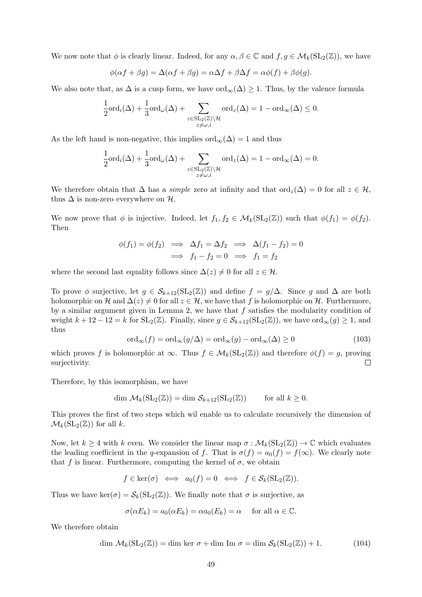We now note that  $\phi$  is clearly linear. Indeed, for any  $\alpha, \beta \in \mathbb{C}$  and  $f, g \in \mathcal{M}_k(SL_2(\mathbb{Z}))$ , we have

$$
\phi(\alpha f + \beta g) = \Delta(\alpha f + \beta g) = \alpha \Delta f + \beta \Delta f = \alpha \phi(f) + \beta \phi(g).
$$

We also note that, as  $\Delta$  is a cusp form, we have  $\text{ord}_{\infty}(\Delta) \geq 1$ . Thus, by the valence formula

$$
\frac{1}{2} \text{ord}_{i}(\Delta) + \frac{1}{3} \text{ord}_{\omega}(\Delta) + \sum_{\substack{z \in SL_2(\mathbb{Z}) \backslash \mathcal{H} \\ z \neq \omega, i}} \text{ord}_{z}(\Delta) = 1 - \text{ord}_{\infty}(\Delta) \leq 0.
$$

As the left hand is non-negative, this implies  $\text{ord}_{\infty}(\Delta) = 1$  and thus

$$
\frac{1}{2} \text{ord}_i(\Delta) + \frac{1}{3} \text{ord}_{\omega}(\Delta) + \sum_{\substack{z \in \text{SL}_2(\mathbb{Z}) \backslash \mathcal{H} \\ z \neq \omega, i}} \text{ord}_z(\Delta) = 1 - \text{ord}_{\infty}(\Delta) = 0.
$$

We therefore obtain that  $\Delta$  has a *simple* zero at infinity and that ord<sub>z</sub>( $\Delta$ ) = 0 for all  $z \in \mathcal{H}$ , thus  $\Delta$  is non-zero everywhere on  $\mathcal{H}$ .

We now prove that  $\phi$  is injective. Indeed, let  $f_1, f_2 \in \mathcal{M}_k(SL_2(\mathbb{Z}))$  such that  $\phi(f_1) = \phi(f_2)$ . Then

$$
\begin{array}{rcl}\n\phi(f_1) = \phi(f_2) & \implies \Delta f_1 = \Delta f_2 & \implies \Delta(f_1 - f_2) = 0 \\
\implies f_1 - f_2 = 0 & \implies f_1 = f_2\n\end{array}
$$

where the second last equality follows since  $\Delta(z) \neq 0$  for all  $z \in \mathcal{H}$ .

To prove  $\phi$  surjective, let  $g \in S_{k+12}(\mathrm{SL}_2(\mathbb{Z}))$  and define  $f = g/\Delta$ . Since g and  $\Delta$  are both holomorphic on H and  $\Delta(z) \neq 0$  for all  $z \in \mathcal{H}$ , we have that f is holomorphic on H. Furthermore, by a similar argument given in Lemma 2, we have that  $f$  satisfies the modularity condition of weight  $k + 12 - 12 = k$  for  $SL_2(\mathbb{Z})$ . Finally, since  $g \in \mathcal{S}_{k+12}(SL_2(\mathbb{Z}))$ , we have  $\text{ord}_{\infty}(g) \geq 1$ , and thus

$$
\text{ord}_{\infty}(f) = \text{ord}_{\infty}(g/\Delta) = \text{ord}_{\infty}(g) - \text{ord}_{\infty}(\Delta) \ge 0
$$
\n(103)

which proves f is holomorphic at  $\infty$ . Thus  $f \in \mathcal{M}_k(SL_2(\mathbb{Z}))$  and therefore  $\phi(f) = g$ , proving surjectivity.  $\Box$ 

Therefore, by this isomorphism, we have

$$
\dim \mathcal{M}_k(\mathrm{SL}_2(\mathbb{Z})) = \dim \mathcal{S}_{k+12}(\mathrm{SL}_2(\mathbb{Z})) \quad \text{for all } k \geq 0.
$$

This proves the first of two steps which wil enable us to calculate recursively the dimension of  $\mathcal{M}_k(SL_2(\mathbb{Z}))$  for all k.

Now, let  $k \geq 4$  with k even. We consider the linear map  $\sigma : \mathcal{M}_k(SL_2(\mathbb{Z})) \to \mathbb{C}$  which evaluates the leading coefficient in the q-expansion of f. That is  $\sigma(f) = a_0(f) = f(\infty)$ . We clearly note that f is linear. Furthermore, computing the kernel of  $\sigma$ , we obtain

$$
f \in \ker(\sigma) \iff a_0(f) = 0 \iff f \in \mathcal{S}_k(\mathrm{SL}_2(\mathbb{Z})).
$$

Thus we have ker( $\sigma$ ) =  $\mathcal{S}_k(SL_2(\mathbb{Z}))$ . We finally note that  $\sigma$  is surjective, as

$$
\sigma(\alpha E_k) = a_0(\alpha E_k) = \alpha a_0(E_k) = \alpha \quad \text{for all } \alpha \in \mathbb{C}.
$$

We therefore obtain

$$
\dim \mathcal{M}_k(\mathrm{SL}_2(\mathbb{Z})) = \dim \ker \sigma + \dim \mathrm{Im} \sigma = \dim \mathcal{S}_k(\mathrm{SL}_2(\mathbb{Z})) + 1. \tag{104}
$$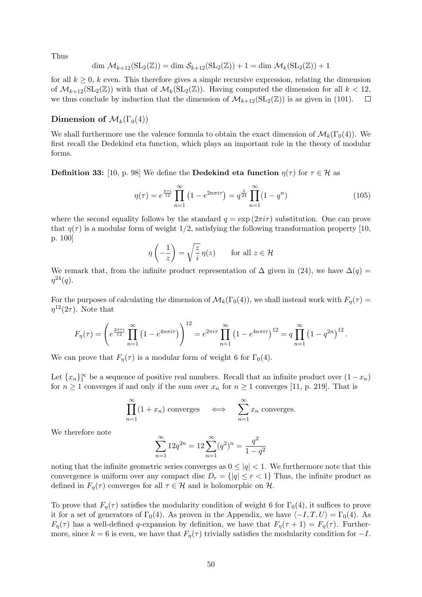Thus

$$
\dim \mathcal{M}_{k+12}(\mathrm{SL}_2(\mathbb{Z})) = \dim \mathcal{S}_{k+12}(\mathrm{SL}_2(\mathbb{Z})) + 1 = \dim \mathcal{M}_k(\mathrm{SL}_2(\mathbb{Z})) + 1
$$

for all  $k \geq 0$ , k even. This therefore gives a simple recursive expression, relating the dimension of  $\mathcal{M}_{k+12}(\mathrm{SL}_2(\mathbb{Z}))$  with that of  $\mathcal{M}_k(\mathrm{SL}_2(\mathbb{Z}))$ . Having computed the dimension for all  $k < 12$ , we thus conclude by induction that the dimension of  $\mathcal{M}_{k+12}(SL_2(\mathbb{Z}))$  is as given in (101).  $\Box$ 

## Dimension of  $\mathcal{M}_k(\Gamma_0(4))$

We shall furthermore use the valence formula to obtain the exact dimension of  $\mathcal{M}_k(\Gamma_0(4))$ . We first recall the Dedekind eta function, which plays an important role in the theory of modular forms.

**Definition 33:** [10, p. 98] We define the **Dedekind eta function**  $\eta(\tau)$  for  $\tau \in \mathcal{H}$  as

$$
\eta(\tau) = e^{\frac{\pi \tau i}{12}} \prod_{n=1}^{\infty} \left( 1 - e^{2n\pi i \tau} \right) = q^{\frac{1}{24}} \prod_{n=1}^{\infty} (1 - q^n) \tag{105}
$$

where the second equality follows by the standard  $q = \exp(2\pi i \tau)$  substitution. One can prove that  $\eta(\tau)$  is a modular form of weight 1/2, satisfying the following transformation property [10, p. 100]

$$
\eta\left(-\frac{1}{z}\right) = \sqrt{\frac{z}{i}} \eta(z) \quad \text{for all } z \in \mathcal{H}
$$

We remark that, from the infinite product representation of  $\Delta$  given in (24), we have  $\Delta(q)$  =  $\eta^{24}(q)$ .

For the purposes of calculating the dimension of  $\mathcal{M}_k(\Gamma_0(4))$ , we shall instead work with  $F_n(\tau)$  =  $\eta^{12}(2\tau)$ . Note that

$$
F_{\eta}(\tau) = \left(e^{\frac{2\pi\tau i}{12}}\prod_{n=1}^{\infty} \left(1 - e^{4n\pi i\tau}\right)\right)^{12} = e^{2\pi i\tau}\prod_{n=1}^{\infty} \left(1 - e^{4n\pi i\tau}\right)^{12} = q\prod_{n=1}^{\infty} \left(1 - q^{2n}\right)^{12}.
$$

We can prove that  $F_{\eta}(\tau)$  is a modular form of weight 6 for  $\Gamma_0(4)$ .

Let  ${x_n}_1^{\infty}$  be a sequence of positive real numbers. Recall that an infinite product over  $(1-x_n)$ for  $n \geq 1$  converges if and only if the sum over  $x_n$  for  $n \geq 1$  converges [11, p. 219]. That is

$$
\prod_{n=1}^{\infty} (1 + x_n) \text{ converges} \quad \Longleftrightarrow \quad \sum_{n=1}^{\infty} x_n \text{ converges.}
$$

We therefore note

$$
\sum_{n=1}^{\infty} 12q^{2n} = 12 \sum_{n=1}^{\infty} (q^2)^n = \frac{q^2}{1 - q^2}
$$

noting that the infinite geometric series converges as  $0 \leq |q| < 1$ . We furthermore note that this convergence is uniform over any compact disc  $D_r = \{ |q| \leq r < 1 \}$  Thus, the infinite product as defined in  $F_{\eta}(\tau)$  converges for all  $\tau \in \mathcal{H}$  and is holomorphic on  $\mathcal{H}$ .

To prove that  $F_{\eta}(\tau)$  satisfies the modularity condition of weight 6 for  $\Gamma_0(4)$ , it suffices to prove it for a set of generators of  $\Gamma_0(4)$ . As proven in the Appendix, we have  $\langle -I, T, U \rangle = \Gamma_0(4)$ . As  $F_{\eta}(\tau)$  has a well-defined q-expansion by definition, we have that  $F_{\eta}(\tau + 1) = F_{\eta}(\tau)$ . Furthermore, since  $k = 6$  is even, we have that  $F_{\eta}(\tau)$  trivially satisfies the modularity condition for  $-I$ .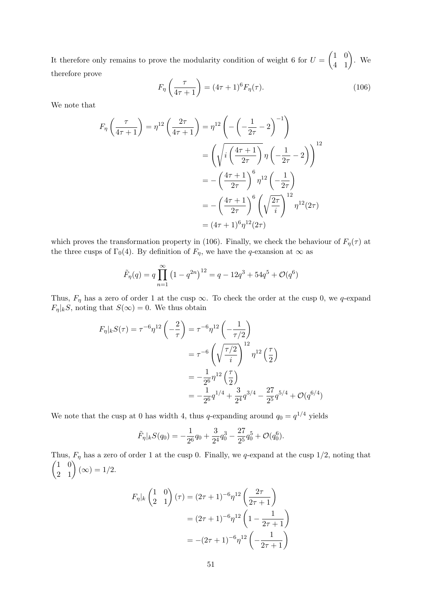It therefore only remains to prove the modularity condition of weight 6 for  $U = \begin{pmatrix} 1 & 0 \\ 4 & 1 \end{pmatrix}$ . We therefore prove

$$
F_{\eta}\left(\frac{\tau}{4\tau+1}\right) = (4\tau+1)^{6}F_{\eta}(\tau). \tag{106}
$$

We note that

$$
F_{\eta}\left(\frac{\tau}{4\tau+1}\right) = \eta^{12}\left(\frac{2\tau}{4\tau+1}\right) = \eta^{12}\left(-\left(-\frac{1}{2\tau}-2\right)^{-1}\right)
$$

$$
= \left(\sqrt{i\left(\frac{4\tau+1}{2\tau}\right)}\eta\left(-\frac{1}{2\tau}-2\right)\right)^{12}
$$

$$
= -\left(\frac{4\tau+1}{2\tau}\right)^{6}\eta^{12}\left(-\frac{1}{2\tau}\right)
$$

$$
= -\left(\frac{4\tau+1}{2\tau}\right)^{6}\left(\sqrt{\frac{2\tau}{i}}\right)^{12}\eta^{12}(2\tau)
$$

$$
= (4\tau+1)^{6}\eta^{12}(2\tau)
$$

which proves the transformation property in (106). Finally, we check the behaviour of  $F_{\eta}(\tau)$  at the three cusps of  $\Gamma_0(4)$ . By definition of  $F_\eta$ , we have the q-exansion at  $\infty$  as

$$
\tilde{F}_{\eta}(q) = q \prod_{n=1}^{\infty} (1 - q^{2n})^{12} = q - 12q^3 + 54q^5 + \mathcal{O}(q^6)
$$

Thus,  $F_{\eta}$  has a zero of order 1 at the cusp  $\infty$ . To check the order at the cusp 0, we q-expand  $F_{\eta}|_{k}S$ , noting that  $S(\infty) = 0$ . We thus obtain

$$
F_{\eta}|_{k}S(\tau) = \tau^{-6}\eta^{12}\left(-\frac{2}{\tau}\right) = \tau^{-6}\eta^{12}\left(-\frac{1}{\tau/2}\right)
$$

$$
= \tau^{-6}\left(\sqrt{\frac{\tau/2}{i}}\right)^{12}\eta^{12}\left(\frac{\tau}{2}\right)
$$

$$
= -\frac{1}{2^6}\eta^{12}\left(\frac{\tau}{2}\right)
$$

$$
= -\frac{1}{2^6}q^{1/4} + \frac{3}{2^4}q^{3/4} - \frac{27}{2^5}q^{5/4} + \mathcal{O}(q^{6/4})
$$

We note that the cusp at 0 has width 4, thus q-expanding around  $q_0 = q^{1/4}$  yields

$$
\tilde{F}_{\eta}|_{k}S(q_0) = -\frac{1}{2^6}q_0 + \frac{3}{2^4}q_0^3 - \frac{27}{2^5}q_0^5 + \mathcal{O}(q_0^6).
$$

Thus,  $F_{\eta}$  has a zero of order 1 at the cusp 0. Finally, we q-expand at the cusp 1/2, noting that  $\begin{pmatrix} 1 & 0 \\ 2 & 1 \end{pmatrix} (\infty) = 1/2.$ 

$$
F_{\eta}|_{k} \begin{pmatrix} 1 & 0 \ 2 & 1 \end{pmatrix} (\tau) = (2\tau + 1)^{-6} \eta^{12} \left( \frac{2\tau}{2\tau + 1} \right)
$$

$$
= (2\tau + 1)^{-6} \eta^{12} \left( 1 - \frac{1}{2\tau + 1} \right)
$$

$$
= -(2\tau + 1)^{-6} \eta^{12} \left( -\frac{1}{2\tau + 1} \right)
$$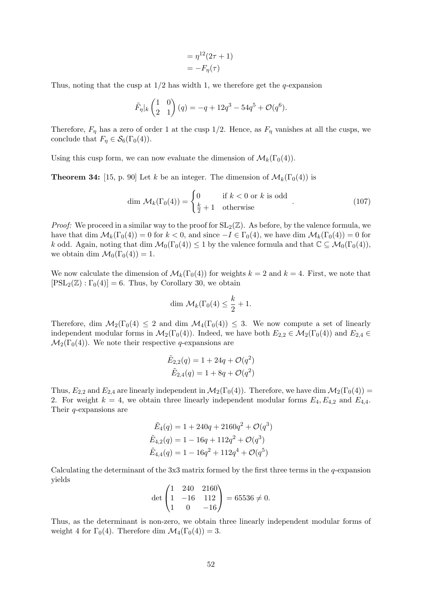$$
= \eta^{12}(2\tau + 1)
$$

$$
= -F_{\eta}(\tau)
$$

Thus, noting that the cusp at  $1/2$  has width 1, we therefore get the q-expansion

$$
\tilde{F}_{\eta}|_k \begin{pmatrix} 1 & 0 \\ 2 & 1 \end{pmatrix} (q) = -q + 12q^3 - 54q^5 + \mathcal{O}(q^6).
$$

Therefore,  $F_{\eta}$  has a zero of order 1 at the cusp 1/2. Hence, as  $F_{\eta}$  vanishes at all the cusps, we conclude that  $F_{\eta} \in \mathcal{S}_6(\Gamma_0(4)).$ 

Using this cusp form, we can now evaluate the dimension of  $\mathcal{M}_k(\Gamma_0(4))$ .

**Theorem 34:** [15, p. 90] Let k be an integer. The dimension of  $\mathcal{M}_k(\Gamma_0(4))$  is

$$
\dim \mathcal{M}_k(\Gamma_0(4)) = \begin{cases} 0 & \text{if } k < 0 \text{ or } k \text{ is odd} \\ \frac{k}{2} + 1 & \text{otherwise} \end{cases} .
$$
 (107)

*Proof:* We proceed in a similar way to the proof for  $SL_2(\mathbb{Z})$ . As before, by the valence formula, we have that dim  $\mathcal{M}_k(\Gamma_0(4)) = 0$  for  $k < 0$ , and since  $-I \in \Gamma_0(4)$ , we have dim  $\mathcal{M}_k(\Gamma_0(4)) = 0$  for k odd. Again, noting that dim  $\mathcal{M}_0(\Gamma_0(4)) \leq 1$  by the valence formula and that  $\mathbb{C} \subseteq \mathcal{M}_0(\Gamma_0(4))$ , we obtain dim  $\mathcal{M}_0(\Gamma_0(4)) = 1$ .

We now calculate the dimension of  $\mathcal{M}_k(\Gamma_0(4))$  for weights  $k = 2$  and  $k = 4$ . First, we note that  $[PSL_2(\mathbb{Z}) : \Gamma_0(4)] = 6$ . Thus, by Corollary 30, we obtain

$$
\dim \mathcal{M}_k(\Gamma_0(4) \leq \frac{k}{2} + 1.
$$

Therefore, dim  $\mathcal{M}_2(\Gamma_0(4) \leq 2$  and dim  $\mathcal{M}_4(\Gamma_0(4)) \leq 3$ . We now compute a set of linearly independent modular forms in  $\mathcal{M}_2(\Gamma_0(4))$ . Indeed, we have both  $E_{2,2} \in \mathcal{M}_2(\Gamma_0(4))$  and  $E_{2,4} \in$  $\mathcal{M}_2(\Gamma_0(4))$ . We note their respective q-expansions are

$$
\tilde{E}_{2,2}(q) = 1 + 24q + \mathcal{O}(q^2)
$$
  

$$
\tilde{E}_{2,4}(q) = 1 + 8q + \mathcal{O}(q^2)
$$

Thus,  $E_{2,2}$  and  $E_{2,4}$  are linearly independent in  $\mathcal{M}_2(\Gamma_0(4))$ . Therefore, we have dim  $\mathcal{M}_2(\Gamma_0(4))$  = 2. For weight  $k = 4$ , we obtain three linearly independent modular forms  $E_4, E_{4,2}$  and  $E_{4,4}$ . Their q-expansions are

$$
\tilde{E}_4(q) = 1 + 240q + 2160q^2 + \mathcal{O}(q^3)
$$
  
\n
$$
\tilde{E}_{4,2}(q) = 1 - 16q + 112q^2 + \mathcal{O}(q^3)
$$
  
\n
$$
\tilde{E}_{4,4}(q) = 1 - 16q^2 + 112q^4 + \mathcal{O}(q^5)
$$

Calculating the determinant of the  $3x3$  matrix formed by the first three terms in the q-expansion yields

$$
\det\begin{pmatrix} 1 & 240 & 2160 \\ 1 & -16 & 112 \\ 1 & 0 & -16 \end{pmatrix} = 65536 \neq 0.
$$

Thus, as the determinant is non-zero, we obtain three linearly independent modular forms of weight 4 for  $\Gamma_0(4)$ . Therefore dim  $\mathcal{M}_4(\Gamma_0(4)) = 3$ .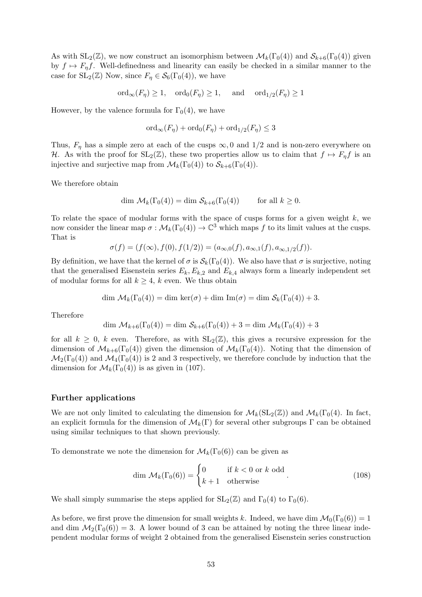As with  $SL_2(\mathbb{Z})$ , we now construct an isomorphism between  $\mathcal{M}_k(\Gamma_0(4))$  and  $\mathcal{S}_{k+6}(\Gamma_0(4))$  given by  $f \mapsto F_{\eta}f$ . Well-definedness and linearity can easily be checked in a similar manner to the case for  $SL_2(\mathbb{Z})$  Now, since  $F_\eta \in \mathcal{S}_6(\Gamma_0(4))$ , we have

$$
\text{ord}_{\infty}(F_{\eta}) \ge 1, \quad \text{ord}_{0}(F_{\eta}) \ge 1, \quad \text{ and } \quad \text{ord}_{1/2}(F_{\eta}) \ge 1
$$

However, by the valence formula for  $\Gamma_0(4)$ , we have

$$
\text{ord}_{\infty}(F_{\eta}) + \text{ord}_{0}(F_{\eta}) + \text{ord}_{1/2}(F_{\eta}) \leq 3
$$

Thus,  $F_{\eta}$  has a simple zero at each of the cusps  $\infty$ , 0 and 1/2 and is non-zero everywhere on H. As with the proof for  $SL_2(\mathbb{Z})$ , these two properties allow us to claim that  $f \mapsto F_\eta f$  is an injective and surjective map from  $\mathcal{M}_k(\Gamma_0(4))$  to  $\mathcal{S}_{k+6}(\Gamma_0(4))$ .

We therefore obtain

$$
\dim \mathcal{M}_k(\Gamma_0(4)) = \dim \mathcal{S}_{k+6}(\Gamma_0(4)) \qquad \text{for all } k \ge 0.
$$

To relate the space of modular forms with the space of cusps forms for a given weight  $k$ , we now consider the linear map  $\sigma : \mathcal{M}_k(\Gamma_0(4)) \to \mathbb{C}^3$  which maps f to its limit values at the cusps. That is

$$
\sigma(f) = (f(\infty), f(0), f(1/2)) = (a_{\infty,0}(f), a_{\infty,1}(f), a_{\infty,1/2}(f)).
$$

By definition, we have that the kernel of  $\sigma$  is  $\mathcal{S}_k(\Gamma_0(4))$ . We also have that  $\sigma$  is surjective, noting that the generalised Eisenstein series  $E_k, E_{k,2}$  and  $E_{k,4}$  always form a linearly independent set of modular forms for all  $k \geq 4$ , k even. We thus obtain

$$
\dim \mathcal{M}_k(\Gamma_0(4)) = \dim \ker(\sigma) + \dim \operatorname{Im}(\sigma) = \dim \mathcal{S}_k(\Gamma_0(4)) + 3.
$$

Therefore

$$
\dim \mathcal{M}_{k+6}(\Gamma_0(4)) = \dim \mathcal{S}_{k+6}(\Gamma_0(4)) + 3 = \dim \mathcal{M}_k(\Gamma_0(4)) + 3
$$

for all  $k \geq 0$ , k even. Therefore, as with  $SL_2(\mathbb{Z})$ , this gives a recursive expression for the dimension of  $\mathcal{M}_{k+6}(\Gamma_0(4))$  given the dimension of  $\mathcal{M}_k(\Gamma_0(4))$ . Noting that the dimension of  $\mathcal{M}_2(\Gamma_0(4))$  and  $\mathcal{M}_4(\Gamma_0(4))$  is 2 and 3 respectively, we therefore conclude by induction that the dimension for  $\mathcal{M}_k(\Gamma_0(4))$  is as given in (107).

## Further applications

We are not only limited to calculating the dimension for  $\mathcal{M}_k(SL_2(\mathbb{Z}))$  and  $\mathcal{M}_k(\Gamma_0(4)$ . In fact, an explicit formula for the dimension of  $\mathcal{M}_k(\Gamma)$  for several other subgroups  $\Gamma$  can be obtained using similar techniques to that shown previously.

To demonstrate we note the dimension for  $\mathcal{M}_k(\Gamma_0(6))$  can be given as

$$
\dim \mathcal{M}_k(\Gamma_0(6)) = \begin{cases} 0 & \text{if } k < 0 \text{ or } k \text{ odd} \\ k+1 & \text{otherwise} \end{cases}.
$$
 (108)

We shall simply summarise the steps applied for  $SL_2(\mathbb{Z})$  and  $\Gamma_0(4)$  to  $\Gamma_0(6)$ .

As before, we first prove the dimension for small weights k. Indeed, we have dim  $\mathcal{M}_0(\Gamma_0(6)) = 1$ and dim  $\mathcal{M}_2(\Gamma_0(6)) = 3$ . A lower bound of 3 can be attained by noting the three linear independent modular forms of weight 2 obtained from the generalised Eisenstein series construction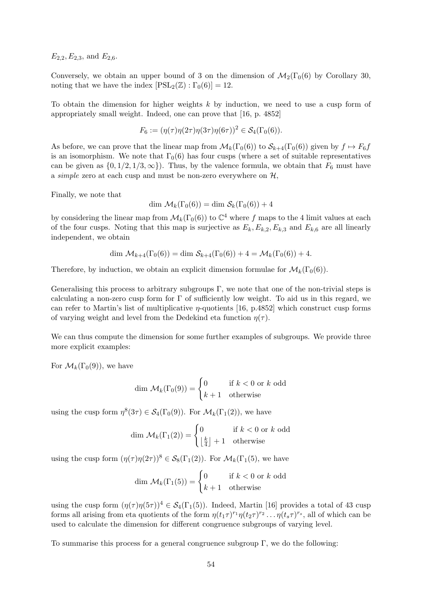$E_{2,2}, E_{2,3}$ , and  $E_{2,6}$ .

Conversely, we obtain an upper bound of 3 on the dimension of  $\mathcal{M}_2(\Gamma_0(6)$  by Corollary 30, noting that we have the index  $[PSL_2(\mathbb{Z}) : \Gamma_0(6)] = 12$ .

To obtain the dimension for higher weights  $k$  by induction, we need to use a cusp form of appropriately small weight. Indeed, one can prove that [16, p. 4852]

$$
F_6 := (\eta(\tau)\eta(2\tau)\eta(3\tau)\eta(6\tau))^2 \in \mathcal{S}_4(\Gamma_0(6)).
$$

As before, we can prove that the linear map from  $\mathcal{M}_k(\Gamma_0(6))$  to  $\mathcal{S}_{k+4}(\Gamma_0(6))$  given by  $f \mapsto F_6f$ is an isomorphism. We note that  $\Gamma_0(6)$  has four cusps (where a set of suitable representatives can be given as  $\{0, 1/2, 1/3, \infty\}$ . Thus, by the valence formula, we obtain that  $F_6$  must have a *simple* zero at each cusp and must be non-zero everywhere on  $H$ ,

Finally, we note that

$$
\dim \mathcal{M}_k(\Gamma_0(6)) = \dim \mathcal{S}_k(\Gamma_0(6)) + 4
$$

by considering the linear map from  $\mathcal{M}_k(\Gamma_0(6))$  to  $\mathbb{C}^4$  where f maps to the 4 limit values at each of the four cusps. Noting that this map is surjective as  $E_k, E_{k,2}, E_{k,3}$  and  $E_{k,6}$  are all linearly independent, we obtain

$$
\dim \mathcal{M}_{k+4}(\Gamma_0(6)) = \dim \mathcal{S}_{k+4}(\Gamma_0(6)) + 4 = \mathcal{M}_k(\Gamma_0(6)) + 4.
$$

Therefore, by induction, we obtain an explicit dimension formulae for  $\mathcal{M}_k(\Gamma_0(6))$ .

Generalising this process to arbitrary subgroups  $\Gamma$ , we note that one of the non-trivial steps is calculating a non-zero cusp form for  $\Gamma$  of sufficiently low weight. To aid us in this regard, we can refer to Martin's list of multiplicative *n*-quotients [16, p.4852] which construct cusp forms of varying weight and level from the Dedekind eta function  $\eta(\tau)$ .

We can thus compute the dimension for some further examples of subgroups. We provide three more explicit examples:

For  $\mathcal{M}_k(\Gamma_0(9))$ , we have

$$
\dim \mathcal{M}_k(\Gamma_0(9)) = \begin{cases} 0 & \text{if } k < 0 \text{ or } k \text{ odd} \\ k+1 & \text{otherwise} \end{cases}
$$

using the cusp form  $\eta^8(3\tau) \in \mathcal{S}_4(\Gamma_0(9))$ . For  $\mathcal{M}_k(\Gamma_1(2))$ , we have

$$
\dim \mathcal{M}_k(\Gamma_1(2)) = \begin{cases} 0 & \text{if } k < 0 \text{ or } k \text{ odd} \\ \lfloor \frac{k}{4} \rfloor + 1 & \text{otherwise} \end{cases}
$$

using the cusp form  $(\eta(\tau) \eta(2\tau))^8 \in S_8(\Gamma_1(2))$ . For  $\mathcal{M}_k(\Gamma_1(5))$ , we have

$$
\dim \mathcal{M}_k(\Gamma_1(5)) = \begin{cases} 0 & \text{if } k < 0 \text{ or } k \text{ odd} \\ k+1 & \text{otherwise} \end{cases}
$$

using the cusp form  $(\eta(\tau) \eta(5\tau))^4 \in \mathcal{S}_4(\Gamma_1(5))$ . Indeed, Martin [16] provides a total of 43 cusp forms all arising from eta quotients of the form  $\eta(t_1\tau)^{r_1}\eta(t_2\tau)^{r_2}\dots \eta(t_s\tau)^{r_s}$ , all of which can be used to calculate the dimension for different congruence subgroups of varying level.

To summarise this process for a general congruence subgroup  $\Gamma$ , we do the following: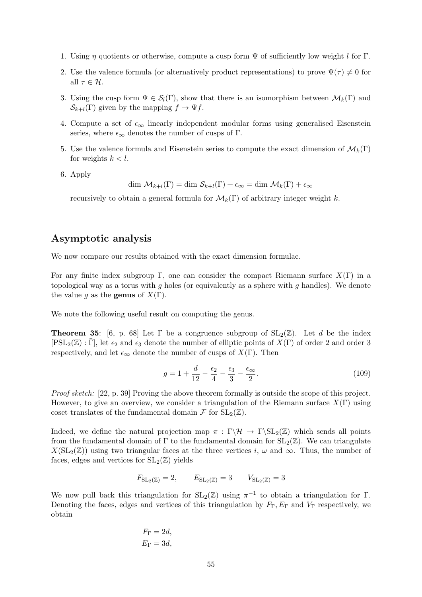- 1. Using  $\eta$  quotients or otherwise, compute a cusp form  $\Psi$  of sufficiently low weight l for Γ.
- 2. Use the valence formula (or alternatively product representations) to prove  $\Psi(\tau) \neq 0$  for all  $\tau \in \mathcal{H}$ .
- 3. Using the cusp form  $\Psi \in \mathcal{S}_l(\Gamma)$ , show that there is an isomorphism between  $\mathcal{M}_k(\Gamma)$  and  $\mathcal{S}_{k+l}(\Gamma)$  given by the mapping  $f \mapsto \Psi f$ .
- 4. Compute a set of  $\epsilon_{\infty}$  linearly independent modular forms using generalised Eisenstein series, where  $\epsilon_{\infty}$  denotes the number of cusps of Γ.
- 5. Use the valence formula and Eisenstein series to compute the exact dimension of  $\mathcal{M}_k(\Gamma)$ for weights  $k < l$ .
- 6. Apply

dim  $\mathcal{M}_{k+l}(\Gamma) = \dim \mathcal{S}_{k+l}(\Gamma) + \epsilon_{\infty} = \dim \mathcal{M}_k(\Gamma) + \epsilon_{\infty}$ 

recursively to obtain a general formula for  $\mathcal{M}_k(\Gamma)$  of arbitrary integer weight k.

# Asymptotic analysis

We now compare our results obtained with the exact dimension formulae.

For any finite index subgroup Γ, one can consider the compact Riemann surface  $X(\Gamma)$  in a topological way as a torus with  $g$  holes (or equivalently as a sphere with  $g$  handles). We denote the value q as the **genus** of  $X(\Gamma)$ .

We note the following useful result on computing the genus.

**Theorem 35:** [6, p. 68] Let  $\Gamma$  be a congruence subgroup of  $SL_2(\mathbb{Z})$ . Let d be the index  $[PSL_2(\mathbb{Z}) : \Gamma]$ , let  $\epsilon_2$  and  $\epsilon_3$  denote the number of elliptic points of  $X(\Gamma)$  of order 2 and order 3 respectively, and let  $\epsilon_{\infty}$  denote the number of cusps of  $X(\Gamma)$ . Then

$$
g = 1 + \frac{d}{12} - \frac{\epsilon_2}{4} - \frac{\epsilon_3}{3} - \frac{\epsilon_\infty}{2}.\tag{109}
$$

Proof sketch: [22, p. 39] Proving the above theorem formally is outside the scope of this project. However, to give an overview, we consider a triangulation of the Riemann surface  $X(\Gamma)$  using coset translates of the fundamental domain  $\mathcal F$  for  $SL_2(\mathbb Z)$ .

Indeed, we define the natural projection map  $\pi : \Gamma \backslash \mathcal{H} \to \Gamma \backslash SL_2(\mathbb{Z})$  which sends all points from the fundamental domain of Γ to the fundamental domain for  $SL_2(\mathbb{Z})$ . We can triangulate  $X(\mathrm{SL}_2(\mathbb{Z}))$  using two triangular faces at the three vertices i,  $\omega$  and  $\infty$ . Thus, the number of faces, edges and vertices for  $SL_2(\mathbb{Z})$  yields

$$
F_{\mathrm{SL}_2(\mathbb{Z})} = 2, \qquad E_{\mathrm{SL}_2(\mathbb{Z})} = 3 \qquad V_{\mathrm{SL}_2(\mathbb{Z})} = 3
$$

We now pull back this triangulation for  $SL_2(\mathbb{Z})$  using  $\pi^{-1}$  to obtain a triangulation for  $\Gamma$ . Denoting the faces, edges and vertices of this triangulation by  $F_{\Gamma}$ ,  $E_{\Gamma}$  and  $V_{\Gamma}$  respectively, we obtain

$$
F_{\Gamma} = 2d,
$$
  

$$
E_{\Gamma} = 3d,
$$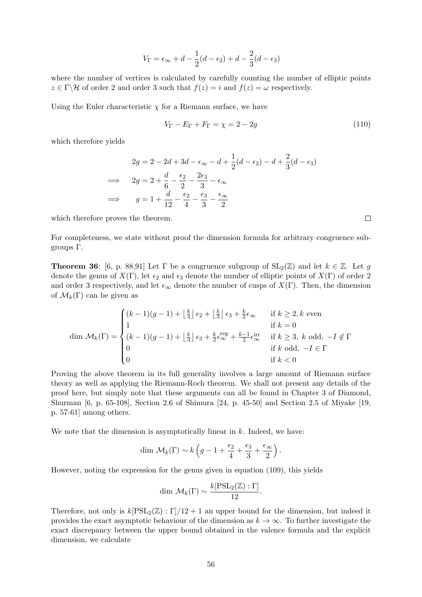$$
V_{\Gamma} = \epsilon_{\infty} + d - \frac{1}{2}(d - \epsilon_2) + d - \frac{2}{3}(d - \epsilon_3)
$$

where the number of vertices is calculated by carefully counting the number of elliptic points  $z \in \Gamma \backslash \mathcal{H}$  of order 2 and order 3 such that  $f(z) = i$  and  $f(z) = \omega$  respectively.

Using the Euler characteristic  $\chi$  for a Riemann surface, we have

$$
V_{\Gamma} - E_{\Gamma} + F_{\Gamma} = \chi = 2 - 2g \tag{110}
$$

which therefore yields

$$
2g = 2 - 2d + 3d - \epsilon_{\infty} - d + \frac{1}{2}(d - \epsilon_{2}) - d + \frac{2}{3}(d - \epsilon_{3})
$$
  
\n
$$
\implies 2g = 2 + \frac{d}{6} - \frac{\epsilon_{2}}{2} - \frac{2\epsilon_{3}}{3} - \epsilon_{\infty}
$$
  
\n
$$
\implies g = 1 + \frac{d}{12} - \frac{\epsilon_{2}}{4} - \frac{\epsilon_{3}}{3} - \frac{\epsilon_{\infty}}{2}
$$

which therefore proves the theorem.

For completeness, we state without proof the dimension formula for arbitrary congruence subgroups Γ.

**Theorem 36:** [6, p. 88,91] Let  $\Gamma$  be a congruence subgroup of  $SL_2(\mathbb{Z})$  and let  $k \in \mathbb{Z}$ . Let g denote the genus of  $X(\Gamma)$ , let  $\epsilon_2$  and  $\epsilon_3$  denote the number of elliptic points of  $X(\Gamma)$  of order 2 and order 3 respectively, and let  $\epsilon_{\infty}$  denote the number of cusps of  $X(\Gamma)$ . Then, the dimension of  $\mathcal{M}_k(\Gamma)$  can be given as

$$
\dim \mathcal{M}_k(\Gamma) = \begin{cases} (k-1)(g-1) + \left\lfloor \frac{k}{4} \right\rfloor \epsilon_2 + \left\lfloor \frac{k}{3} \right\rfloor \epsilon_3 + \frac{k}{2} \epsilon_\infty & \text{if } k \ge 2, k \text{ even} \\ 1 & \text{if } k = 0 \\ (k-1)(g-1) + \left\lfloor \frac{k}{3} \right\rfloor \epsilon_3 + \frac{k}{2} \epsilon_\infty^{\text{reg}} + \frac{k-1}{2} \epsilon_\infty^{\text{irr}} & \text{if } k \ge 3, k \text{ odd}, -I \notin \Gamma \\ 0 & \text{if } k \text{ odd}, -I \in \Gamma \\ 0 & \text{if } k < 0 \end{cases}
$$

Proving the above theorem in its full generality involves a large amount of Riemann surface theory as well as applying the Riemann-Roch theorem. We shall not present any details of the proof here, but simply note that these arguments can all be found in Chapter 3 of Diamond, Shurman [6, p. 65-108], Section 2.6 of Shimura [24, p. 45-50] and Section 2.5 of Miyake [19, p. 57-61] among others.

We note that the dimension is asymptotically linear in  $k$ . Indeed, we have:

$$
\dim \mathcal{M}_k(\Gamma) \sim k \left( g - 1 + \frac{\epsilon_2}{4} + \frac{\epsilon_3}{3} + \frac{\epsilon_\infty}{2} \right).
$$

However, noting the expression for the genus given in equation (109), this yields

$$
\dim \mathcal{M}_k(\Gamma) \sim \frac{k[\mathrm{PSL}_2(\mathbb{Z}) : \Gamma]}{12}.
$$

Therefore, not only is  $k[PSL_2(\mathbb{Z}) : \Gamma]/12 + 1$  an upper bound for the dimension, but indeed it provides the exact asymptotic behaviour of the dimension as  $k \to \infty$ . To further investigate the exact discrepancy between the upper bound obtained in the valence formula and the explicit dimension, we calculate

 $\Box$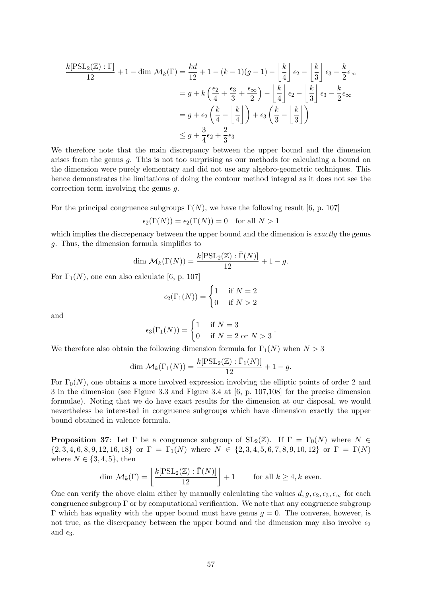$$
\frac{k[\text{PSL}_2(\mathbb{Z}) : \Gamma]}{12} + 1 - \dim \mathcal{M}_k(\Gamma) = \frac{kd}{12} + 1 - (k - 1)(g - 1) - \left\lfloor \frac{k}{4} \right\rfloor \epsilon_2 - \left\lfloor \frac{k}{3} \right\rfloor \epsilon_3 - \frac{k}{2} \epsilon_\infty
$$

$$
= g + k \left( \frac{\epsilon_2}{4} + \frac{\epsilon_3}{3} + \frac{\epsilon_\infty}{2} \right) - \left\lfloor \frac{k}{4} \right\rfloor \epsilon_2 - \left\lfloor \frac{k}{3} \right\rfloor \epsilon_3 - \frac{k}{2} \epsilon_\infty
$$

$$
= g + \epsilon_2 \left( \frac{k}{4} - \left\lfloor \frac{k}{4} \right\rfloor \right) + \epsilon_3 \left( \frac{k}{3} - \left\lfloor \frac{k}{3} \right\rfloor \right)
$$

$$
\leq g + \frac{3}{4} \epsilon_2 + \frac{2}{3} \epsilon_3
$$

We therefore note that the main discrepancy between the upper bound and the dimension arises from the genus g. This is not too surprising as our methods for calculating a bound on the dimension were purely elementary and did not use any algebro-geometric techniques. This hence demonstrates the limitations of doing the contour method integral as it does not see the correction term involving the genus g.

For the principal congruence subgroups  $\Gamma(N)$ , we have the following result [6, p. 107]

$$
\epsilon_2(\Gamma(N)) = \epsilon_2(\Gamma(N)) = 0 \quad \text{for all } N > 1
$$

which implies the discrepenacy between the upper bound and the dimension is exactly the genus g. Thus, the dimension formula simplifies to

$$
\dim \mathcal{M}_{k}(\Gamma(N)) = \frac{k[\mathrm{PSL}_2(\mathbb{Z}) : \bar{\Gamma}(N)]}{12} + 1 - g.
$$

For  $\Gamma_1(N)$ , one can also calculate [6, p. 107]

$$
\epsilon_2(\Gamma_1(N)) = \begin{cases} 1 & \text{if } N = 2 \\ 0 & \text{if } N > 2 \end{cases}
$$

and

$$
\epsilon_3(\Gamma_1(N)) = \begin{cases} 1 & \text{if } N = 3 \\ 0 & \text{if } N = 2 \text{ or } N > 3 \end{cases}.
$$

We therefore also obtain the following dimension formula for  $\Gamma_1(N)$  when  $N > 3$ 

$$
\dim \mathcal{M}_k(\Gamma_1(N)) = \frac{k[\mathrm{PSL}_2(\mathbb{Z}) : \bar{\Gamma}_1(N)]}{12} + 1 - g.
$$

For  $\Gamma_0(N)$ , one obtains a more involved expression involving the elliptic points of order 2 and 3 in the dimension (see Figure 3.3 and Figure 3.4 at [6, p. 107,108] for the precise dimension formulae). Noting that we do have exact results for the dimension at our disposal, we would nevertheless be interested in congruence subgroups which have dimension exactly the upper bound obtained in valence formula.

**Proposition 37:** Let  $\Gamma$  be a congruence subgroup of  $SL_2(\mathbb{Z})$ . If  $\Gamma = \Gamma_0(N)$  where  $N \in \mathbb{Z}$  ${2, 3, 4, 6, 8, 9, 12, 16, 18}$  or  $\Gamma = \Gamma_1(N)$  where  $N \in {2, 3, 4, 5, 6, 7, 8, 9, 10, 12}$  or  $\Gamma = \Gamma(N)$ where  $N \in \{3, 4, 5\}$ , then

$$
\dim \mathcal{M}_k(\Gamma) = \left\lfloor \frac{k[\text{PSL}_2(\mathbb{Z}) : \bar{\Gamma}(N)]}{12} \right\rfloor + 1 \quad \text{for all } k \ge 4, k \text{ even.}
$$

One can verify the above claim either by manually calculating the values  $d, g, \epsilon_2, \epsilon_3, \epsilon_\infty$  for each congruence subgroup  $\Gamma$  or by computational verification. We note that any congruence subgroup Γ which has equality with the upper bound must have genus  $g = 0$ . The converse, however, is not true, as the discrepancy between the upper bound and the dimension may also involve  $\epsilon_2$ and  $\epsilon_3$ .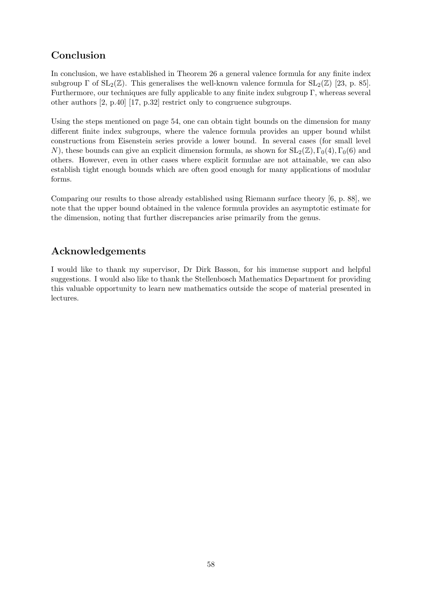# Conclusion

In conclusion, we have established in Theorem 26 a general valence formula for any finite index subgroup  $\Gamma$  of  $SL_2(\mathbb{Z})$ . This generalises the well-known valence formula for  $SL_2(\mathbb{Z})$  [23, p. 85]. Furthermore, our techniques are fully applicable to any finite index subgroup Γ, whereas several other authors [2, p.40] [17, p.32] restrict only to congruence subgroups.

Using the steps mentioned on page 54, one can obtain tight bounds on the dimension for many different finite index subgroups, where the valence formula provides an upper bound whilst constructions from Eisenstein series provide a lower bound. In several cases (for small level N), these bounds can give an explicit dimension formula, as shown for  $SL_2(\mathbb{Z}), \Gamma_0(4), \Gamma_0(6)$  and others. However, even in other cases where explicit formulae are not attainable, we can also establish tight enough bounds which are often good enough for many applications of modular forms.

Comparing our results to those already established using Riemann surface theory [6, p. 88], we note that the upper bound obtained in the valence formula provides an asymptotic estimate for the dimension, noting that further discrepancies arise primarily from the genus.

# Acknowledgements

I would like to thank my supervisor, Dr Dirk Basson, for his immense support and helpful suggestions. I would also like to thank the Stellenbosch Mathematics Department for providing this valuable opportunity to learn new mathematics outside the scope of material presented in lectures.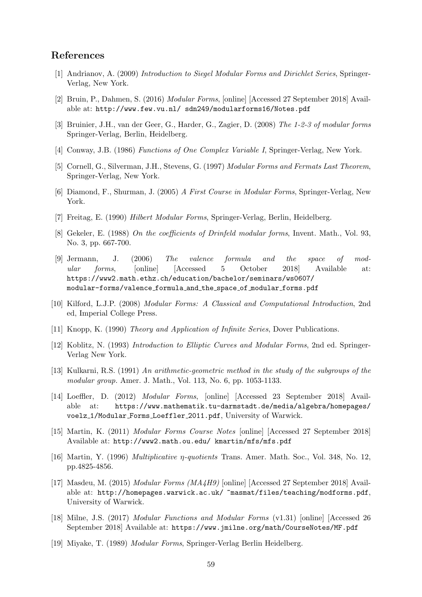## References

- [1] Andrianov, A. (2009) Introduction to Siegel Modular Forms and Dirichlet Series, Springer-Verlag, New York.
- [2] Bruin, P., Dahmen, S. (2016) Modular Forms, [online] [Accessed 27 September 2018] Available at: http://www.few.vu.nl/ sdn249/modularforms16/Notes.pdf
- [3] Bruinier, J.H., van der Geer, G., Harder, G., Zagier, D. (2008) The 1-2-3 of modular forms Springer-Verlag, Berlin, Heidelberg.
- [4] Conway, J.B. (1986) Functions of One Complex Variable I, Springer-Verlag, New York.
- [5] Cornell, G., Silverman, J.H., Stevens, G. (1997) Modular Forms and Fermats Last Theorem, Springer-Verlag, New York.
- [6] Diamond, F., Shurman, J. (2005) A First Course in Modular Forms, Springer-Verlag, New York.
- [7] Freitag, E. (1990) Hilbert Modular Forms, Springer-Verlag, Berlin, Heidelberg.
- [8] Gekeler, E. (1988) On the coefficients of Drinfeld modular forms, Invent. Math., Vol. 93, No. 3, pp. 667-700.
- [9] Jermann, J. (2006) The valence formula and the space of modular forms, [online] [Accessed 5 October 2018] Available at: https://www2.math.ethz.ch/education/bachelor/seminars/ws0607/ modular-forms/valence formula and the space of modular forms.pdf
- [10] Kilford, L.J.P. (2008) Modular Forms: A Classical and Computational Introduction, 2nd ed, Imperial College Press.
- [11] Knopp, K. (1990) Theory and Application of Infinite Series, Dover Publications.
- [12] Koblitz, N. (1993) Introduction to Elliptic Curves and Modular Forms, 2nd ed. Springer-Verlag New York.
- [13] Kulkarni, R.S. (1991) An arithmetic-geometric method in the study of the subgroups of the modular group. Amer. J. Math., Vol. 113, No. 6, pp. 1053-1133.
- [14] Loeffler, D. (2012) Modular Forms, [online] [Accessed 23 September 2018] Available at: https://www.mathematik.tu-darmstadt.de/media/algebra/homepages/ voelz 1/Modular Forms Loeffler 2011.pdf, University of Warwick.
- [15] Martin, K. (2011) Modular Forms Course Notes [online] [Accessed 27 September 2018] Available at: http://www2.math.ou.edu/ kmartin/mfs/mfs.pdf
- [16] Martin, Y. (1996) Multiplicative η-quotients Trans. Amer. Math. Soc., Vol. 348, No. 12, pp.4825-4856.
- [17] Masdeu, M. (2015) Modular Forms (MA4H9) [online] [Accessed 27 September 2018] Available at: http://homepages.warwick.ac.uk/ ~masmat/files/teaching/modforms.pdf, University of Warwick.
- [18] Milne, J.S. (2017) Modular Functions and Modular Forms (v1.31) [online] [Accessed 26 September 2018] Available at: https://www.jmilne.org/math/CourseNotes/MF.pdf
- [19] Miyake, T. (1989) Modular Forms, Springer-Verlag Berlin Heidelberg.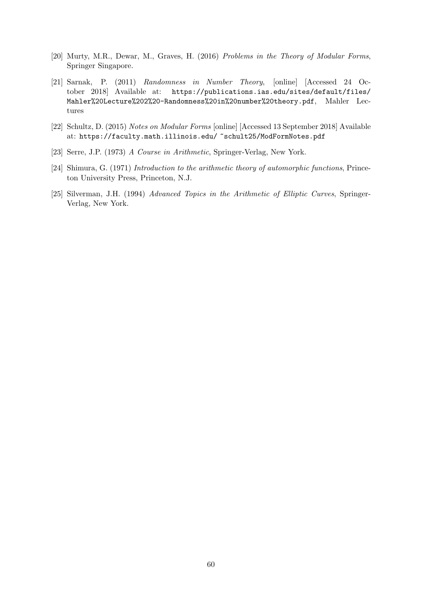- [20] Murty, M.R., Dewar, M., Graves, H. (2016) Problems in the Theory of Modular Forms, Springer Singapore.
- [21] Sarnak, P. (2011) Randomness in Number Theory, [online] [Accessed 24 October 2018] Available at: https://publications.ias.edu/sites/default/files/ Mahler%20Lecture%202%20-Randomness%20in%20number%20theory.pdf, Mahler Lectures
- [22] Schultz, D. (2015) Notes on Modular Forms [online] [Accessed 13 September 2018] Available at: https://faculty.math.illinois.edu/ ~schult25/ModFormNotes.pdf
- [23] Serre, J.P. (1973) A Course in Arithmetic, Springer-Verlag, New York.
- [24] Shimura, G. (1971) Introduction to the arithmetic theory of automorphic functions, Princeton University Press, Princeton, N.J.
- [25] Silverman, J.H. (1994) Advanced Topics in the Arithmetic of Elliptic Curves, Springer-Verlag, New York.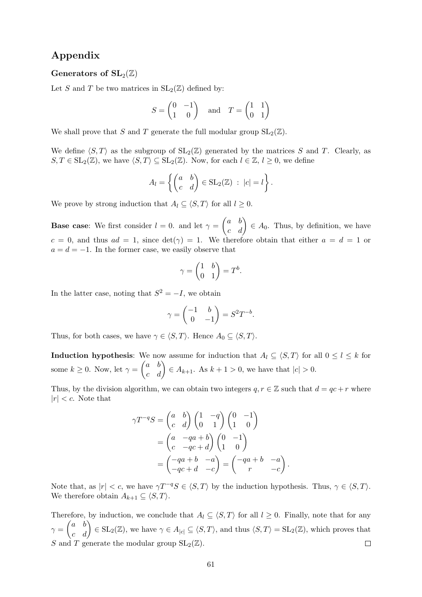# Appendix

## Generators of  $SL_2(\mathbb{Z})$

Let S and T be two matrices in  $SL_2(\mathbb{Z})$  defined by:

$$
S = \begin{pmatrix} 0 & -1 \\ 1 & 0 \end{pmatrix} \quad \text{and} \quad T = \begin{pmatrix} 1 & 1 \\ 0 & 1 \end{pmatrix}
$$

We shall prove that S and T generate the full modular group  $SL_2(\mathbb{Z})$ .

We define  $\langle S, T \rangle$  as the subgroup of  $SL_2(\mathbb{Z})$  generated by the matrices S and T. Clearly, as  $S, T \in SL_2(\mathbb{Z})$ , we have  $\langle S, T \rangle \subseteq SL_2(\mathbb{Z})$ . Now, for each  $l \in \mathbb{Z}, l \geq 0$ , we define

$$
A_l = \left\{ \begin{pmatrix} a & b \\ c & d \end{pmatrix} \in SL_2(\mathbb{Z}) \ : \ |c| = l \right\}.
$$

We prove by strong induction that  $A_l \subseteq \langle S, T \rangle$  for all  $l \geq 0$ .

**Base case**: We first consider  $l = 0$ . and let  $\gamma = \begin{pmatrix} a & b \\ c & d \end{pmatrix} \in A_0$ . Thus, by definition, we have  $c = 0$ , and thus  $ad = 1$ , since  $det(\gamma) = 1$ . We therefore obtain that either  $a = d = 1$  or  $a = d = -1$ . In the former case, we easily observe that

$$
\gamma = \begin{pmatrix} 1 & b \\ 0 & 1 \end{pmatrix} = T^b.
$$

In the latter case, noting that  $S^2 = -I$ , we obtain

$$
\gamma = \begin{pmatrix} -1 & b \\ 0 & -1 \end{pmatrix} = S^2 T^{-b}.
$$

Thus, for both cases, we have  $\gamma \in \langle S, T \rangle$ . Hence  $A_0 \subseteq \langle S, T \rangle$ .

**Induction hypothesis:** We now assume for induction that  $A_l \subseteq \langle S, T \rangle$  for all  $0 \leq l \leq k$  for some  $k \geq 0$ . Now, let  $\gamma = \begin{pmatrix} a & b \\ c & d \end{pmatrix} \in A_{k+1}$ . As  $k+1 > 0$ , we have that  $|c| > 0$ .

Thus, by the division algorithm, we can obtain two integers  $q, r \in \mathbb{Z}$  such that  $d = qc + r$  where  $|r| < c$ . Note that

$$
\gamma T^{-q}S = \begin{pmatrix} a & b \\ c & d \end{pmatrix} \begin{pmatrix} 1 & -q \\ 0 & 1 \end{pmatrix} \begin{pmatrix} 0 & -1 \\ 1 & 0 \end{pmatrix}
$$

$$
= \begin{pmatrix} a & -qa+b \\ c & -qc+d \end{pmatrix} \begin{pmatrix} 0 & -1 \\ 1 & 0 \end{pmatrix}
$$

$$
= \begin{pmatrix} -qa+b & -a \\ -qc+d & -c \end{pmatrix} = \begin{pmatrix} -qa+b & -a \\ r & -c \end{pmatrix}
$$

Note that, as  $|r| < c$ , we have  $\gamma T^{-q}S \in \langle S, T \rangle$  by the induction hypothesis. Thus,  $\gamma \in \langle S, T \rangle$ . We therefore obtain  $A_{k+1} \subseteq \langle S, T \rangle$ .

.

Therefore, by induction, we conclude that  $A_l \subseteq \langle S, T \rangle$  for all  $l \geq 0$ . Finally, note that for any  $\gamma = \begin{pmatrix} a & b \ c & d \end{pmatrix} \in SL_2(\mathbb{Z})$ , we have  $\gamma \in A_{|c|} \subseteq \langle S, T \rangle$ , and thus  $\langle S, T \rangle = SL_2(\mathbb{Z})$ , which proves that S and T generate the modular group  $SL_2(\mathbb{Z})$ .  $\Box$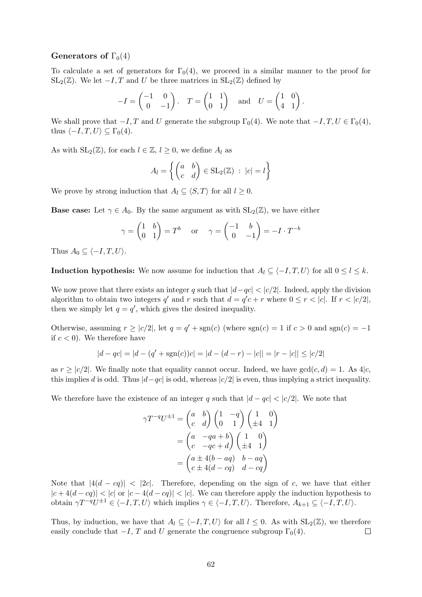## Generators of  $\Gamma_0(4)$

To calculate a set of generators for  $\Gamma_0(4)$ , we proceed in a similar manner to the proof for  $SL_2(\mathbb{Z})$ . We let  $-I$ , T and U be three matrices in  $SL_2(\mathbb{Z})$  defined by

$$
-I = \begin{pmatrix} -1 & 0 \\ 0 & -1 \end{pmatrix}, \quad T = \begin{pmatrix} 1 & 1 \\ 0 & 1 \end{pmatrix} \quad \text{and} \quad U = \begin{pmatrix} 1 & 0 \\ 4 & 1 \end{pmatrix}.
$$

We shall prove that  $-I, T$  and U generate the subgroup  $\Gamma_0(4)$ . We note that  $-I, T, U \in \Gamma_0(4)$ , thus  $\langle -I, T, U \rangle \subseteq \Gamma_0(4)$ .

As with  $SL_2(\mathbb{Z})$ , for each  $l \in \mathbb{Z}, l \geq 0$ , we define  $A_l$  as

$$
A_l = \left\{ \begin{pmatrix} a & b \\ c & d \end{pmatrix} \in SL_2(\mathbb{Z}) \ : \ |c| = l \right\}
$$

We prove by strong induction that  $A_l \subseteq \langle S, T \rangle$  for all  $l \geq 0$ .

**Base case:** Let  $\gamma \in A_0$ . By the same argument as with  $SL_2(\mathbb{Z})$ , we have either

$$
\gamma = \begin{pmatrix} 1 & b \\ 0 & 1 \end{pmatrix} = T^b \quad \text{or} \quad \gamma = \begin{pmatrix} -1 & b \\ 0 & -1 \end{pmatrix} = -I \cdot T^{-b}
$$

Thus  $A_0 \subseteq \langle -I, T, U \rangle$ .

**Induction hypothesis:** We now assume for induction that  $A_l \subseteq \langle -I, T, U \rangle$  for all  $0 \le l \le k$ .

We now prove that there exists an integer q such that  $|d-qc| < |c/2|$ . Indeed, apply the division algorithm to obtain two integers q' and r such that  $d = q'c + r$  where  $0 \le r < |c|$ . If  $r < |c/2|$ , then we simply let  $q = q'$ , which gives the desired inequality.

Otherwise, assuming  $r \ge |c/2|$ , let  $q = q' + \text{sgn}(c)$  (where  $\text{sgn}(c) = 1$  if  $c > 0$  and  $\text{sgn}(c) = -1$ if  $c < 0$ ). We therefore have

$$
|d - qc| = |d - (q' + \text{sgn}(c))c| = |d - (d - r) - |c|| = |r - |c|| \le |c/2|
$$

as  $r \ge |c/2|$ . We finally note that equality cannot occur. Indeed, we have  $gcd(c, d) = 1$ . As  $4|c$ , this implies d is odd. Thus  $|d-qc|$  is odd, whereas  $|c/2|$  is even, thus implying a strict inequality.

We therefore have the existence of an integer q such that  $|d - qc| < |c/2|$ . We note that

$$
\gamma T^{-q} U^{\pm 1} = \begin{pmatrix} a & b \\ c & d \end{pmatrix} \begin{pmatrix} 1 & -q \\ 0 & 1 \end{pmatrix} \begin{pmatrix} 1 & 0 \\ \pm 4 & 1 \end{pmatrix}
$$

$$
= \begin{pmatrix} a & -qa + b \\ c & -qc + d \end{pmatrix} \begin{pmatrix} 1 & 0 \\ \pm 4 & 1 \end{pmatrix}
$$

$$
= \begin{pmatrix} a \pm 4(b - aq) & b - aq \\ c \pm 4(d - cq) & d - cq \end{pmatrix}
$$

Note that  $|4(d - cq)| < 2c$ . Therefore, depending on the sign of c, we have that either  $|c + 4(d - cq)| < |c|$  or  $|c - 4(d - cq)| < |c|$ . We can therefore apply the induction hypothesis to obtain  $\gamma T^{-q}U^{\pm 1} \in \langle -I, T, U \rangle$  which implies  $\gamma \in \langle -I, T, U \rangle$ . Therefore,  $A_{k+1} \subseteq \langle -I, T, U \rangle$ .

Thus, by induction, we have that  $A_l \subseteq \langle -I, T, U \rangle$  for all  $l \leq 0$ . As with  $SL_2(\mathbb{Z})$ , we therefore easily conclude that  $-I$ , T and U generate the congruence subgroup  $\Gamma_0(4)$ .  $\Box$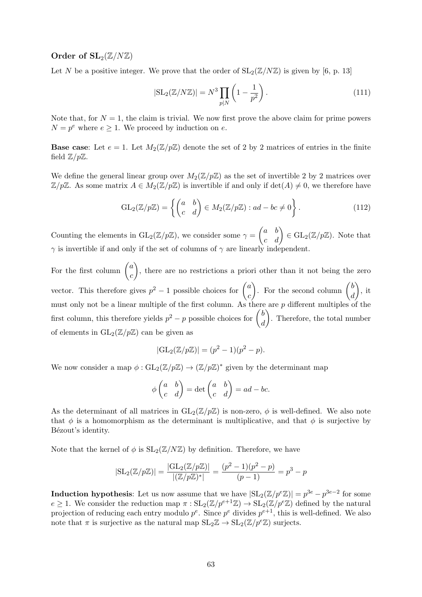## Order of  $SL_2(\mathbb{Z}/N\mathbb{Z})$

Let N be a positive integer. We prove that the order of  $SL_2(\mathbb{Z}/N\mathbb{Z})$  is given by [6, p. 13]

$$
|\mathrm{SL}_2(\mathbb{Z}/N\mathbb{Z})| = N^3 \prod_{p|N} \left(1 - \frac{1}{p^2}\right).
$$
 (111)

Note that, for  $N = 1$ , the claim is trivial. We now first prove the above claim for prime powers  $N = p^e$  where  $e \geq 1$ . We proceed by induction on e.

**Base case:** Let  $e = 1$ . Let  $M_2(\mathbb{Z}/p\mathbb{Z})$  denote the set of 2 by 2 matrices of entries in the finite field  $\mathbb{Z}/p\mathbb{Z}$ .

We define the general linear group over  $M_2(\mathbb{Z}/p\mathbb{Z})$  as the set of invertible 2 by 2 matrices over  $\mathbb{Z}/p\mathbb{Z}$ . As some matrix  $A \in M_2(\mathbb{Z}/p\mathbb{Z})$  is invertible if and only if  $\det(A) \neq 0$ , we therefore have

$$
GL_2(\mathbb{Z}/p\mathbb{Z}) = \left\{ \begin{pmatrix} a & b \\ c & d \end{pmatrix} \in M_2(\mathbb{Z}/p\mathbb{Z}) : ad - bc \neq 0 \right\}.
$$
 (112)

Counting the elements in  $GL_2(\mathbb{Z}/p\mathbb{Z})$ , we consider some  $\gamma = \begin{pmatrix} a & b \\ c & d \end{pmatrix} \in GL_2(\mathbb{Z}/p\mathbb{Z})$ . Note that  $\gamma$  is invertible if and only if the set of columns of  $\gamma$  are linearly independent.

For the first column  $\begin{pmatrix} a & b \\ c & d \end{pmatrix}$ c ), there are no restrictions a priori other than it not being the zero vector. This therefore gives  $p^2 - 1$  possible choices for  $\binom{a}{a}$ c ). For the second column  $\binom{b}{b}$ d  $\big), \text{ it}$ must only not be a linear multiple of the first column. As there are  $p$  different multiples of the first column, this therefore yields  $p^2 - p$  possible choices for  $\begin{pmatrix} b \\ j \end{pmatrix}$ d ). Therefore, the total number of elements in  $GL_2(\mathbb{Z}/p\mathbb{Z})$  can be given as

$$
|\mathrm{GL}_2(\mathbb{Z}/p\mathbb{Z})| = (p^2 - 1)(p^2 - p).
$$

We now consider a map  $\phi: GL_2(\mathbb{Z}/p\mathbb{Z}) \to (\mathbb{Z}/p\mathbb{Z})^*$  given by the determinant map

$$
\phi \begin{pmatrix} a & b \\ c & d \end{pmatrix} = \det \begin{pmatrix} a & b \\ c & d \end{pmatrix} = ad - bc.
$$

As the determinant of all matrices in  $GL_2(\mathbb{Z}/p\mathbb{Z})$  is non-zero,  $\phi$  is well-defined. We also note that  $\phi$  is a homomorphism as the determinant is multiplicative, and that  $\phi$  is surjective by Bézout's identity.

Note that the kernel of  $\phi$  is  $SL_2(\mathbb{Z}/N\mathbb{Z})$  by definition. Therefore, we have

$$
|\mathrm{SL}_2(\mathbb{Z}/p\mathbb{Z})| = \frac{|\mathrm{GL}_2(\mathbb{Z}/p\mathbb{Z})|}{|(\mathbb{Z}/p\mathbb{Z})^*|} = \frac{(p^2 - 1)(p^2 - p)}{(p - 1)} = p^3 - p
$$

**Induction hypothesis**: Let us now assume that we have  $|\text{SL}_2(\mathbb{Z}/p^e\mathbb{Z})| = p^{3e} - p^{3e-2}$  for some  $e \geq 1$ . We consider the reduction map  $\pi : SL_2(\mathbb{Z}/p^{e+1}\mathbb{Z}) \to SL_2(\mathbb{Z}/p^e\mathbb{Z})$  defined by the natural projection of reducing each entry modulo  $p^e$ . Since  $p^e$  divides  $p^{e+1}$ , this is well-defined. We also note that  $\pi$  is surjective as the natural map  $SL_2\mathbb{Z} \to SL_2(\mathbb{Z}/p^e\mathbb{Z})$  surjects.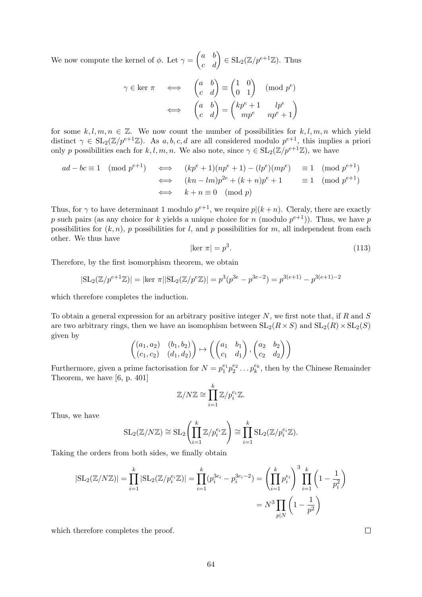We now compute the kernel of  $\phi$ . Let  $\gamma = \begin{pmatrix} a & b \\ c & d \end{pmatrix} \in SL_2(\mathbb{Z}/p^{e+1}\mathbb{Z})$ . Thus

$$
\gamma \in \ker \pi \quad \Longleftrightarrow \quad \begin{pmatrix} a & b \\ c & d \end{pmatrix} \equiv \begin{pmatrix} 1 & 0 \\ 0 & 1 \end{pmatrix} \pmod{p^e}
$$

$$
\iff \quad \begin{pmatrix} a & b \\ c & d \end{pmatrix} = \begin{pmatrix} kp^e + 1 & lp^e \\ mp^e & np^e + 1 \end{pmatrix}
$$

for some  $k, l, m, n \in \mathbb{Z}$ . We now count the number of possibilities for  $k, l, m, n$  which yield distinct  $\gamma \in SL_2(\mathbb{Z}/p^{e+1}\mathbb{Z})$ . As  $a, b, c, d$  are all considered modulo  $p^{e+1}$ , this implies a priori only p possibilities each for k, l, m, n. We also note, since  $\gamma \in SL_2(\mathbb{Z}/p^{e+1}\mathbb{Z})$ , we have

$$
ad - bc \equiv 1 \pmod{p^{e+1}} \iff (kp^e + 1)(np^e + 1) - (lp^e)(mp^e) \equiv 1 \pmod{p^{e+1}}
$$
  

$$
\iff (kn - lm)p^{2e} + (k + n)p^e + 1 \equiv 1 \pmod{p^{e+1}}
$$
  

$$
\iff k + n \equiv 0 \pmod{p}
$$

Thus, for  $\gamma$  to have determinant 1 modulo  $p^{e+1}$ , we require  $p|(k+n)$ . Cleraly, there are exactly p such pairs (as any choice for k yields a unique choice for n (modulo  $p^{e+1}$ )). Thus, we have p possibilities for  $(k, n)$ , p possibilities for l, and p possibilities for m, all independent from each other. We thus have

$$
|\ker \pi| = p^3. \tag{113}
$$

Therefore, by the first isomorphism theorem, we obtain

$$
|\mathrm{SL}_2(\mathbb{Z}/p^{e+1}\mathbb{Z})| = |\ker \pi| |\mathrm{SL}_2(\mathbb{Z}/p^e\mathbb{Z})| = p^3(p^{3e} - p^{3e-2}) = p^{3(e+1)} - p^{3(e+1)-2}
$$

which therefore completes the induction.

To obtain a general expression for an arbitrary positive integer  $N$ , we first note that, if  $R$  and  $S$ are two arbitrary rings, then we have an isomophism between  $SL_2(R \times S)$  and  $SL_2(R) \times SL_2(S)$ given by

$$
\begin{pmatrix}\n(a_1, a_2) & (b_1, b_2) \\
(c_1, c_2) & (d_1, d_2)\n\end{pmatrix} \mapsto \begin{pmatrix}\n(a_1 & b_1) \\
c_1 & d_1\n\end{pmatrix}, \begin{pmatrix}\na_2 & b_2 \\
c_2 & d_2\n\end{pmatrix}
$$

Furthermore, given a prime factorisation for  $N = p_1^{e_1} p_2^{e_2} \dots p_k^{e_k}$ , then by the Chinese Remainder Theorem, we have [6, p. 401]

$$
\mathbb{Z}/N\mathbb{Z} \cong \prod_{i=1}^k \mathbb{Z}/p_i^{e_i}\mathbb{Z}.
$$

Thus, we have

$$
SL_2(\mathbb{Z}/N\mathbb{Z}) \cong SL_2\left(\prod_{i=1}^k \mathbb{Z}/p_i^{e_i}\mathbb{Z}\right) \cong \prod_{i=1}^k SL_2(\mathbb{Z}/p_i^{e_i}\mathbb{Z}).
$$

Taking the orders from both sides, we finally obtain

$$
|\text{SL}_2(\mathbb{Z}/N\mathbb{Z})| = \prod_{i=1}^k |\text{SL}_2(\mathbb{Z}/p_i^{e_i}\mathbb{Z})| = \prod_{i=1}^k (p_i^{3e_i} - p_i^{3e_i - 2}) = \left(\prod_{i=1}^k p_i^{e_i}\right)^3 \prod_{i=1}^k \left(1 - \frac{1}{p_i^2}\right)
$$

$$
= N^3 \prod_{p|N} \left(1 - \frac{1}{p^2}\right)
$$

which therefore completes the proof.